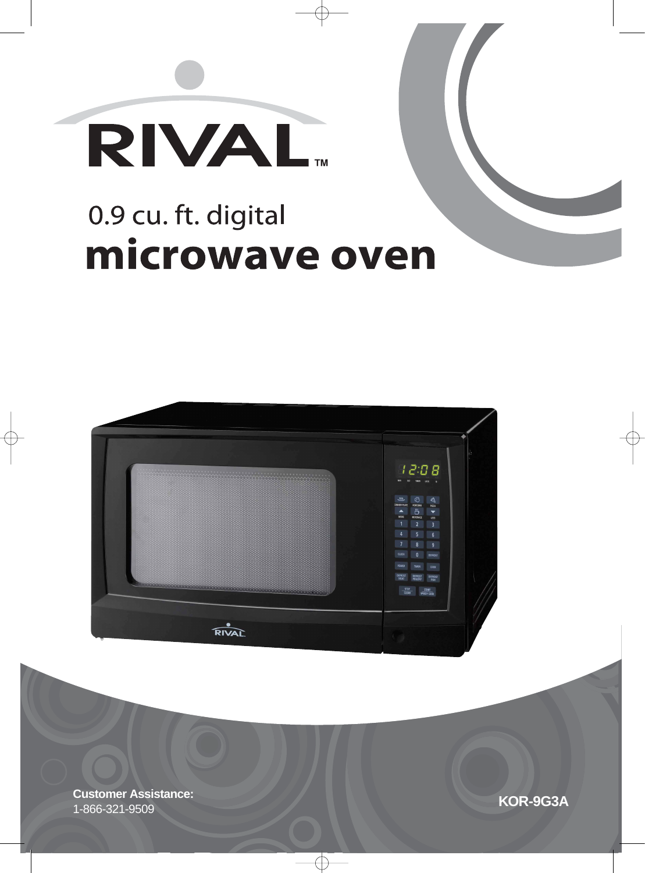

# 0.9 cu. ft. digital microwave oven



**KOR-9G3A Customer Assistance:** 1-866-321-9509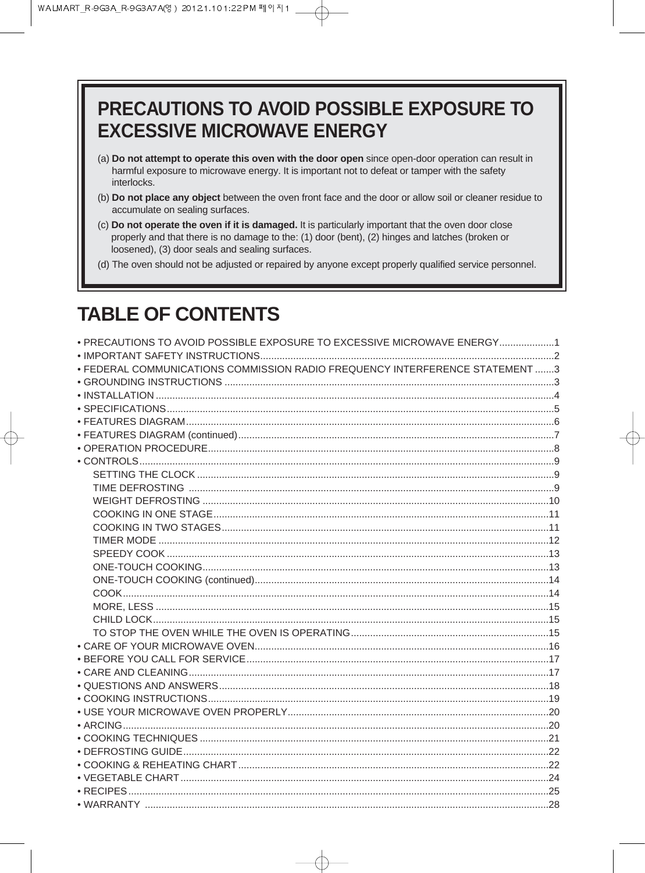## PRECAUTIONS TO AVOID POSSIBLE EXPOSURE TO **EXCESSIVE MICROWAVE ENERGY**

- (a) Do not attempt to operate this oven with the door open since open-door operation can result in harmful exposure to microwave energy. It is important not to defeat or tamper with the safety interlocks.
- (b) Do not place any object between the oven front face and the door or allow soil or cleaner residue to accumulate on sealing surfaces.
- (c) Do not operate the oven if it is damaged. It is particularly important that the oven door close properly and that there is no damage to the: (1) door (bent), (2) hinges and latches (broken or loosened), (3) door seals and sealing surfaces.
- (d) The oven should not be adjusted or repaired by anyone except properly qualified service personnel.

## **TABLE OF CONTENTS**

| • FEDERAL COMMUNICATIONS COMMISSION RADIO FREQUENCY INTERFERENCE STATEMENT 3 |  |
|------------------------------------------------------------------------------|--|
|                                                                              |  |
|                                                                              |  |
|                                                                              |  |
|                                                                              |  |
|                                                                              |  |
|                                                                              |  |
|                                                                              |  |
|                                                                              |  |
|                                                                              |  |
|                                                                              |  |
|                                                                              |  |
|                                                                              |  |
|                                                                              |  |
|                                                                              |  |
|                                                                              |  |
|                                                                              |  |
|                                                                              |  |
|                                                                              |  |
|                                                                              |  |
|                                                                              |  |
|                                                                              |  |
|                                                                              |  |
|                                                                              |  |
|                                                                              |  |
|                                                                              |  |
|                                                                              |  |
|                                                                              |  |
|                                                                              |  |
|                                                                              |  |
|                                                                              |  |
|                                                                              |  |
|                                                                              |  |
|                                                                              |  |
|                                                                              |  |
|                                                                              |  |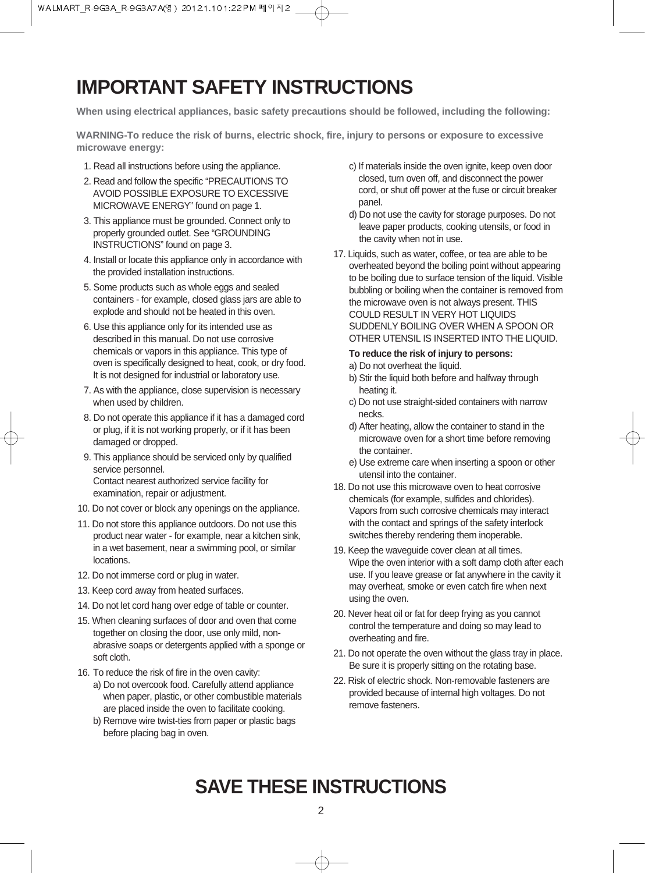## **IMPORTANT SAFETY INSTRUCTIONS**

**When using electrical appliances, basic safety precautions should be followed, including the following:**

**WARNING-To reduce the risk of burns, electric shock, fire, injury to persons or exposure to excessive microwave energy:**

- 1. Read all instructions before using the appliance.
- 2. Read and follow the specific "PRECAUTIONS TO AVOID POSSIBLE EXPOSURE TO EXCESSIVE MICROWAVE ENERGY" found on page 1.
- 3. This appliance must be grounded. Connect only to properly grounded outlet. See "GROUNDING INSTRUCTIONS" found on page 3.
- 4. Install or locate this appliance only in accordance with the provided installation instructions.
- 5. Some products such as whole eggs and sealed containers - for example, closed glass jars are able to explode and should not be heated in this oven.
- 6. Use this appliance only for its intended use as described in this manual. Do not use corrosive chemicals or vapors in this appliance. This type of oven is specifically designed to heat, cook, or dry food. It is not designed for industrial or laboratory use.
- 7. As with the appliance, close supervision is necessary when used by children.
- 8. Do not operate this appliance if it has a damaged cord or plug, if it is not working properly, or if it has been damaged or dropped.
- 9. This appliance should be serviced only by qualified service personnel. Contact nearest authorized service facility for examination, repair or adjustment.
- 10. Do not cover or block any openings on the appliance.
- 11. Do not store this appliance outdoors. Do not use this product near water - for example, near a kitchen sink, in a wet basement, near a swimming pool, or similar locations.
- 12. Do not immerse cord or plug in water.
- 13. Keep cord away from heated surfaces.
- 14. Do not let cord hang over edge of table or counter.
- 15. When cleaning surfaces of door and oven that come together on closing the door, use only mild, nonabrasive soaps or detergents applied with a sponge or soft cloth.
- 16. To reduce the risk of fire in the oven cavity: a) Do not overcook food. Carefully attend appliance when paper, plastic, or other combustible materials are placed inside the oven to facilitate cooking.
	- b) Remove wire twist-ties from paper or plastic bags before placing bag in oven.
- c) If materials inside the oven ignite, keep oven door closed, turn oven off, and disconnect the power cord, or shut off power at the fuse or circuit breaker panel.
- d) Do not use the cavity for storage purposes. Do not leave paper products, cooking utensils, or food in the cavity when not in use.
- 17. Liquids, such as water, coffee, or tea are able to be overheated beyond the boiling point without appearing to be boiling due to surface tension of the liquid. Visible bubbling or boiling when the container is removed from the microwave oven is not always present. THIS COULD RESULT IN VERY HOT LIQUIDS SUDDENLY BOILING OVER WHEN A SPOON OR OTHER UTENSIL IS INSERTED INTO THE LIQUID.

#### **To reduce the risk of injury to persons:**

- a) Do not overheat the liquid.
- b) Stir the liquid both before and halfway through heating it.
- c) Do not use straight-sided containers with narrow necks.
- d) After heating, allow the container to stand in the microwave oven for a short time before removing the container.
- e) Use extreme care when inserting a spoon or other utensil into the container.
- 18. Do not use this microwave oven to heat corrosive chemicals (for example, sulfides and chlorides). Vapors from such corrosive chemicals may interact with the contact and springs of the safety interlock switches thereby rendering them inoperable.
- 19. Keep the waveguide cover clean at all times. Wipe the oven interior with a soft damp cloth after each use. If you leave grease or fat anywhere in the cavity it may overheat, smoke or even catch fire when next using the oven.
- 20. Never heat oil or fat for deep frying as you cannot control the temperature and doing so may lead to overheating and fire.
- 21. Do not operate the oven without the glass tray in place. Be sure it is properly sitting on the rotating base.
- 22. Risk of electric shock. Non-removable fasteners are provided because of internal high voltages. Do not remove fasteners.

## **SAVE THESE INSTRUCTIONS**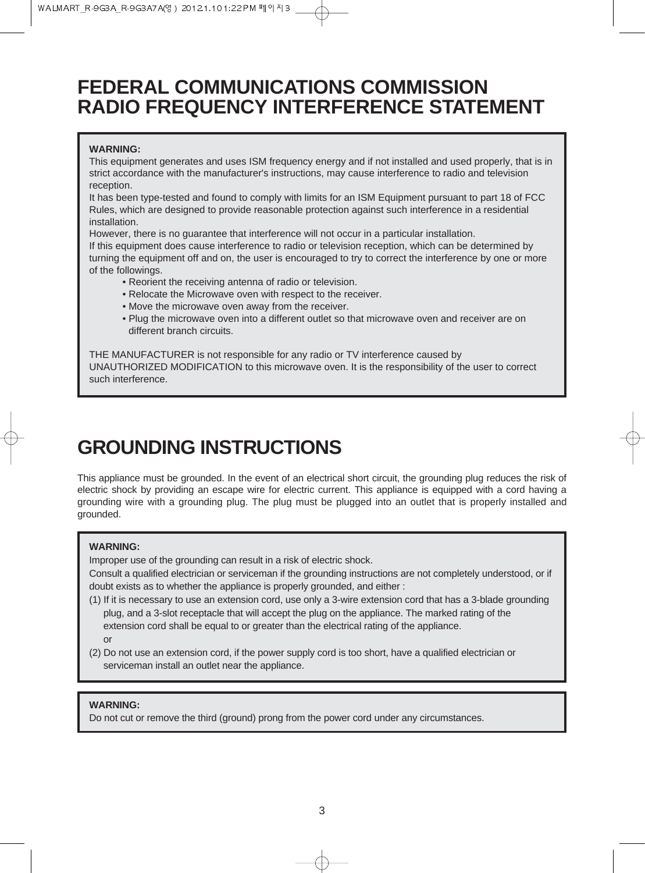## **FEDERAL COMMUNICATIONS COMMISSION RADIO FREQUENCY INTERFERENCE STATEMENT**

#### **WARNING:**

This equipment generates and uses ISM frequency energy and if not installed and used properly, that is in strict accordance with the manufacturer's instructions, may cause interference to radio and television reception.

It has been type-tested and found to comply with limits for an ISM Equipment pursuant to part 18 of FCC Rules, which are designed to provide reasonable protection against such interference in a residential installation.

However, there is no guarantee that interference will not occur in a particular installation.

If this equipment does cause interference to radio or television reception, which can be determined by turning the equipment off and on, the user is encouraged to try to correct the interference by one or more of the followings.

- Reorient the receiving antenna of radio or television.
- Relocate the Microwave oven with respect to the receiver.
- Move the microwave oven away from the receiver.
- Plug the microwave oven into a different outlet so that microwave oven and receiver are on different branch circuits.

THE MANUFACTURER is not responsible for any radio or TV interference caused by UNAUTHORIZED MODIFICATION to this microwave oven. It is the responsibility of the user to correct such interference.

## **GROUNDING INSTRUCTIONS**

This appliance must be grounded. In the event of an electrical short circuit, the grounding plug reduces the risk of electric shock by providing an escape wire for electric current. This appliance is equipped with a cord having a grounding wire with a grounding plug. The plug must be plugged into an outlet that is properly installed and grounded.

#### **WARNING:**

Improper use of the grounding can result in a risk of electric shock.

Consult a qualified electrician or serviceman if the grounding instructions are not completely understood, or if doubt exists as to whether the appliance is properly grounded, and either :

- (1) If it is necessary to use an extension cord, use only a 3-wire extension cord that has a 3-blade grounding plug, and a 3-slot receptacle that will accept the plug on the appliance. The marked rating of the extension cord shall be equal to or greater than the electrical rating of the appliance. or
- (2) Do not use an extension cord, if the power supply cord is too short, have a qualified electrician or serviceman install an outlet near the appliance.

#### **WARNING:**

Do not cut or remove the third (ground) prong from the power cord under any circumstances.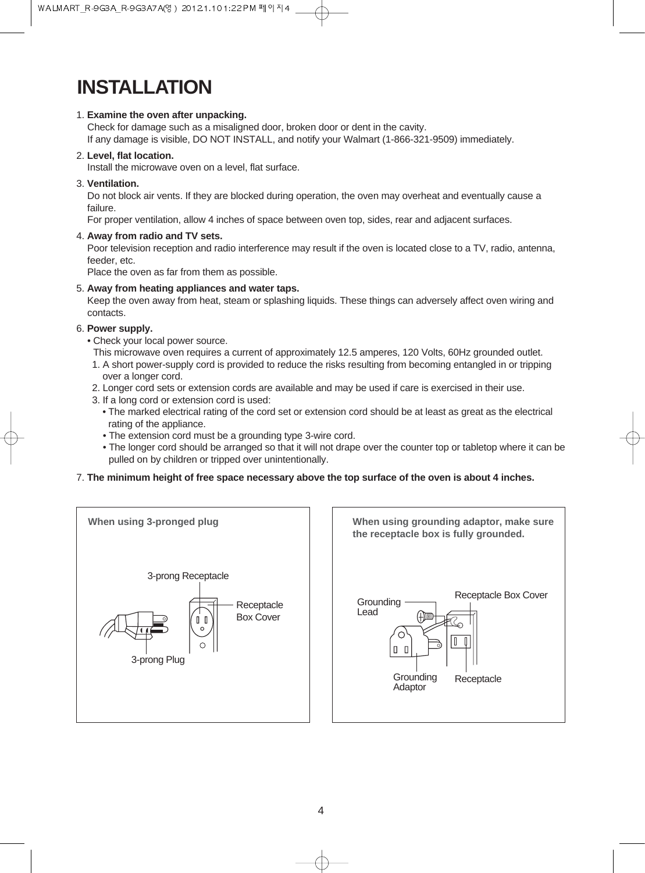## **INSTALLATION**

#### 1. **Examine the oven after unpacking.**

Check for damage such as a misaligned door, broken door or dent in the cavity. If any damage is visible, DO NOT INSTALL, and notify your Walmart (1-866-321-9509) immediately.

#### 2. **Level, flat location.**

Install the microwave oven on a level, flat surface.

3. **Ventilation.**

Do not block air vents. If they are blocked during operation, the oven may overheat and eventually cause a failure.

For proper ventilation, allow 4 inches of space between oven top, sides, rear and adjacent surfaces.

4. **Away from radio and TV sets.**

Poor television reception and radio interference may result if the oven is located close to a TV, radio, antenna, feeder, etc.

Place the oven as far from them as possible.

#### 5. **Away from heating appliances and water taps.**

Keep the oven away from heat, steam or splashing liquids. These things can adversely affect oven wiring and contacts.

#### 6. **Power supply.**

- Check your local power source.
- This microwave oven requires a current of approximately 12.5 amperes, 120 Volts, 60Hz grounded outlet.
- 1. A short power-supply cord is provided to reduce the risks resulting from becoming entangled in or tripping over a longer cord.
- 2. Longer cord sets or extension cords are available and may be used if care is exercised in their use.
- 3. If a long cord or extension cord is used:
	- The marked electrical rating of the cord set or extension cord should be at least as great as the electrical rating of the appliance.
	- The extension cord must be a grounding type 3-wire cord.
	- The longer cord should be arranged so that it will not drape over the counter top or tabletop where it can be pulled on by children or tripped over unintentionally.

#### 7. **The minimum height of free space necessary above the top surface of the oven is about 4 inches.**





4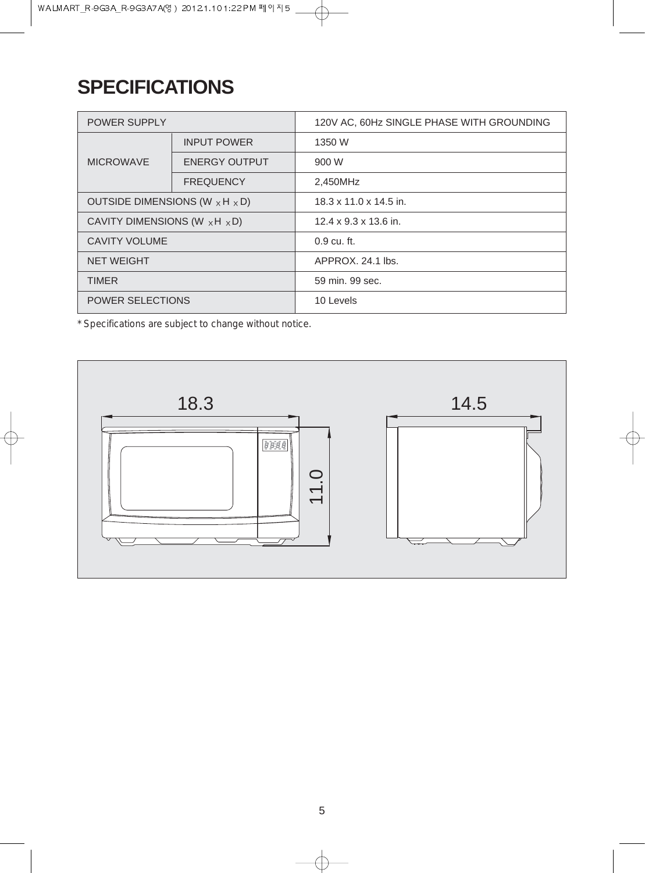## **SPECIFICATIONS**

| <b>POWER SUPPLY</b>                          |                      | 120V AC, 60Hz SINGLE PHASE WITH GROUNDING |
|----------------------------------------------|----------------------|-------------------------------------------|
|                                              | <b>INPUT POWER</b>   | 1350 W                                    |
| <b>MICROWAVE</b>                             | <b>ENERGY OUTPUT</b> | 900 W                                     |
|                                              | <b>FREQUENCY</b>     | 2.450MHz                                  |
| OUTSIDE DIMENSIONS (W $\times$ H $\times$ D) |                      | $18.3 \times 11.0 \times 14.5$ in.        |
| CAVITY DIMENSIONS (W $\times$ H $\times$ D)  |                      | $12.4 \times 9.3 \times 13.6$ in.         |
| <b>CAVITY VOLUME</b>                         |                      | $0.9 \text{ cu. ft.}$                     |
| <b>NET WEIGHT</b>                            |                      | APPROX, 24.1 lbs.                         |
| <b>TIMER</b>                                 |                      | 59 min. 99 sec.                           |
| <b>POWER SELECTIONS</b>                      |                      | 10 Levels                                 |

 $\oplus$ 

*\* Specifications are subject to change without notice.*

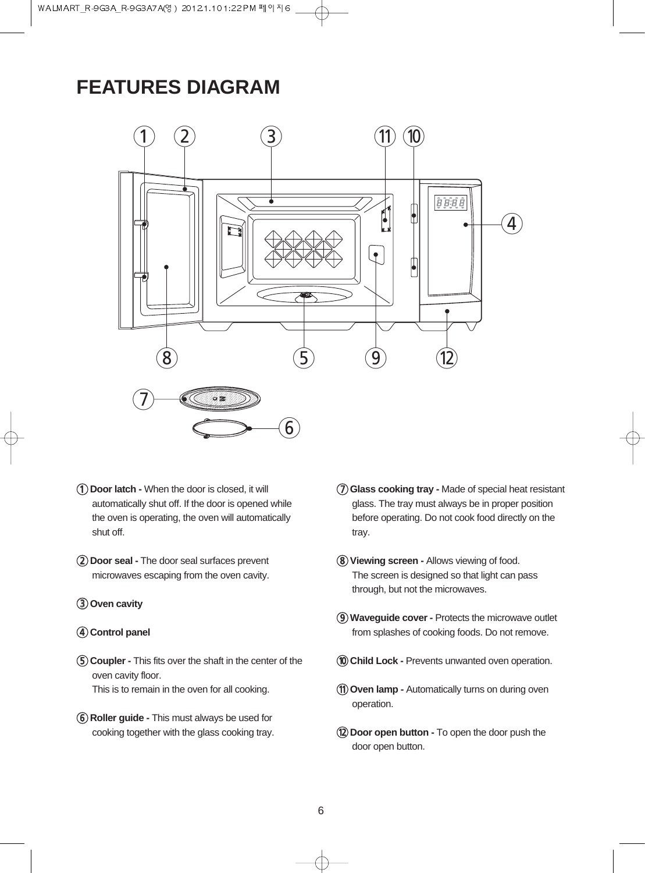## **FEATURES DIAGRAM**



- 1**Door latch** When the door is closed, it will automatically shut off. If the door is opened while the oven is operating, the oven will automatically shut off.
- 2**Door seal** The door seal surfaces prevent microwaves escaping from the oven cavity.
- 3**Oven cavity**

#### 4**Control panel**

- 5**Coupler** This fits over the shaft in the center of the oven cavity floor. This is to remain in the oven for all cooking.
- 6**Roller guide** This must always be used for cooking together with the glass cooking tray.
- 7**Glass cooking tray** Made of special heat resistant glass. The tray must always be in proper position before operating. Do not cook food directly on the tray.
- 8**Viewing screen** Allows viewing of food. The screen is designed so that light can pass through, but not the microwaves.
- 9**Waveguide cover** Protects the microwave outlet from splashes of cooking foods. Do not remove.
- 0**Child Lock -** Prevents unwanted oven operation.
- q**Oven lamp** Automatically turns on during oven operation.
- **(12) Door open button To open the door push the** door open button.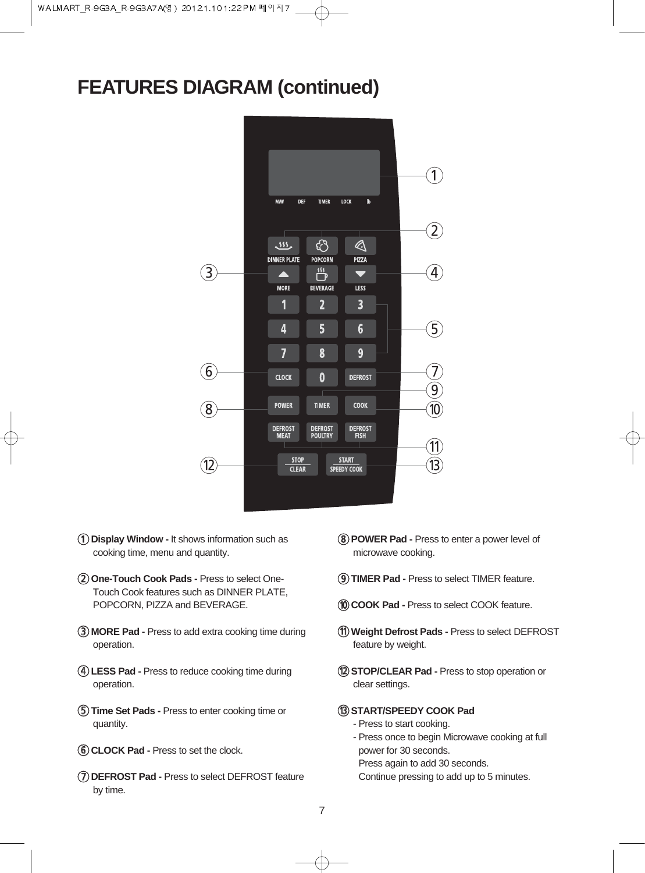## **FEATURES DIAGRAM (continued)**



- 1**Display Window -** It shows information such as cooking time, menu and quantity.
- 2**One-Touch Cook Pads -** Press to select One-Touch Cook features such as DINNER PLATE, POPCORN, PIZZA and BEVERAGE.
- 3**MORE Pad -** Press to add extra cooking time during operation.
- 4**LESS Pad -** Press to reduce cooking time during operation.
- 5**Time Set Pads -** Press to enter cooking time or quantity.
- 6**CLOCK Pad -** Press to set the clock.
- 7**DEFROST Pad -** Press to select DEFROST feature by time.
- 8**POWER Pad -** Press to enter a power level of microwave cooking.
- 9**TIMER Pad -** Press to select TIMER feature.
- 0**COOK Pad -** Press to select COOK feature.
- q**Weight Defrost Pads -** Press to select DEFROST feature by weight.
- **(12) STOP/CLEAR Pad Press to stop operation or** clear settings.

#### **(B) START/SPEEDY COOK Pad**

- Press to start cooking.
- Press once to begin Microwave cooking at full power for 30 seconds. Press again to add 30 seconds.
- Continue pressing to add up to 5 minutes.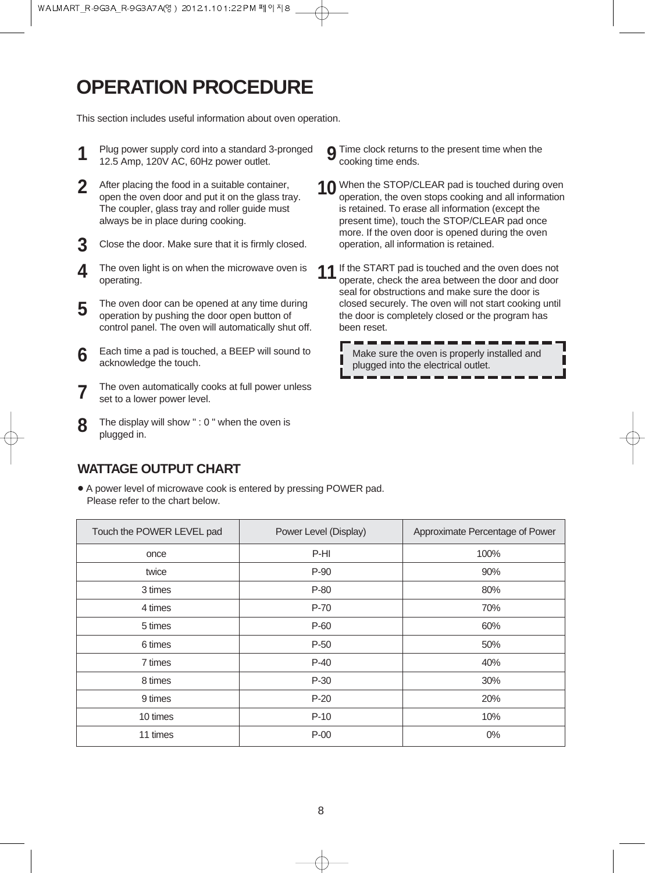## **OPERATION PROCEDURE**

This section includes useful information about oven operation.

- Plug power supply cord into a standard 3-pronged 12.5 Amp, 120V AC, 60Hz power outlet. **1**
- After placing the food in a suitable container, open the oven door and put it on the glass tray. The coupler, glass tray and roller guide must always be in place during cooking. **2**
- Close the door. Make sure that it is firmly closed. **3**
- The oven light is on when the microwave oven is operating. **4**
- The oven door can be opened at any time during operation by pushing the door open button of control panel. The oven will automatically shut off. **5**
- Each time a pad is touched, a BEEP will sound to acknowledge the touch. **6**
- The oven automatically cooks at full power unless set to a lower power level. **7**
- The display will show " : 0 " when the oven is plugged in. **8**
- **9** Time clock returns to the present time when the cooking time ends. cooking time ends.
- **10** When the STOP/CLEAR pad is touched during oven<br>cooking and all information operation, the oven stops cooking and all information is retained. To erase all information (except the present time), touch the STOP/CLEAR pad once more. If the oven door is opened during the oven operation, all information is retained.
- **11** If the START pad is touched and the oven does not operate, check the area between the door and door operate, check the area between the door and door seal for obstructions and make sure the door is closed securely. The oven will not start cooking until the door is completely closed or the program has been reset.

Make sure the oven is properly installed and plugged into the electrical outlet.

#### **WATTAGE OUTPUT CHART**

• A power level of microwave cook is entered by pressing POWER pad. Please refer to the chart below.

| Touch the POWER LEVEL pad | Power Level (Display) | Approximate Percentage of Power |
|---------------------------|-----------------------|---------------------------------|
| once                      | P-HI                  | 100%                            |
| twice                     | P-90                  | 90%                             |
| 3 times                   | P-80                  | 80%                             |
| 4 times                   | P-70                  | 70%                             |
| 5 times                   | P-60                  | 60%                             |
| 6 times                   | $P-50$                | 50%                             |
| 7 times                   | $P-40$                | 40%                             |
| 8 times                   | $P-30$                | 30%                             |
| 9 times                   | $P-20$                | 20%                             |
| 10 times                  | $P-10$                | 10%                             |
| 11 times                  | $P-00$                | 0%                              |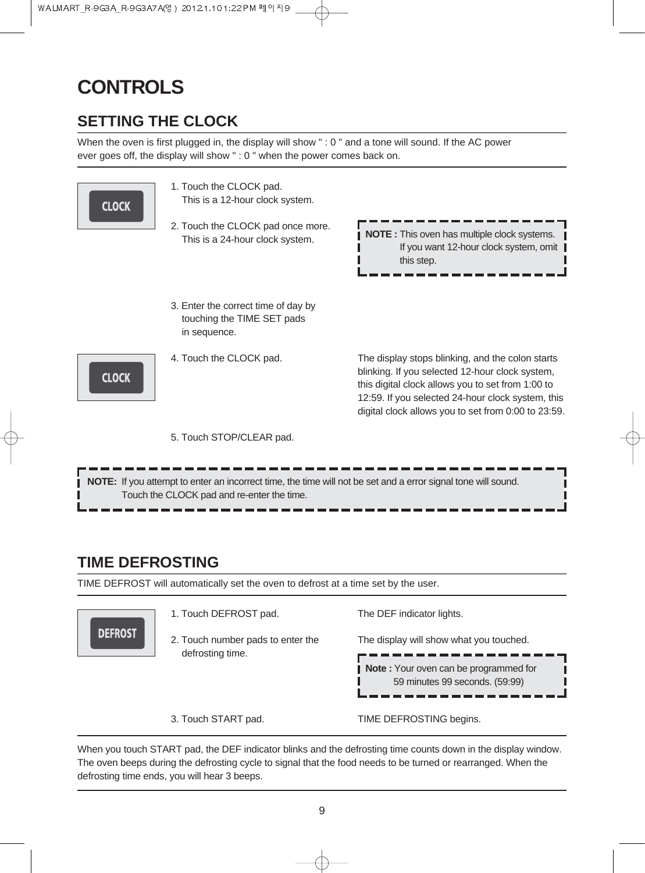## **CONTROLS**

## **SETTING THE CLOCK**

When the oven is first plugged in, the display will show " : 0 " and a tone will sound. If the AC power ever goes off, the display will show " : 0 " when the power comes back on.



## **TIME DEFROSTING**

TIME DEFROST will automatically set the oven to defrost at a time set by the user.



When you touch START pad, the DEF indicator blinks and the defrosting time counts down in the display window. The oven beeps during the defrosting cycle to signal that the food needs to be turned or rearranged. When the defrosting time ends, you will hear 3 beeps.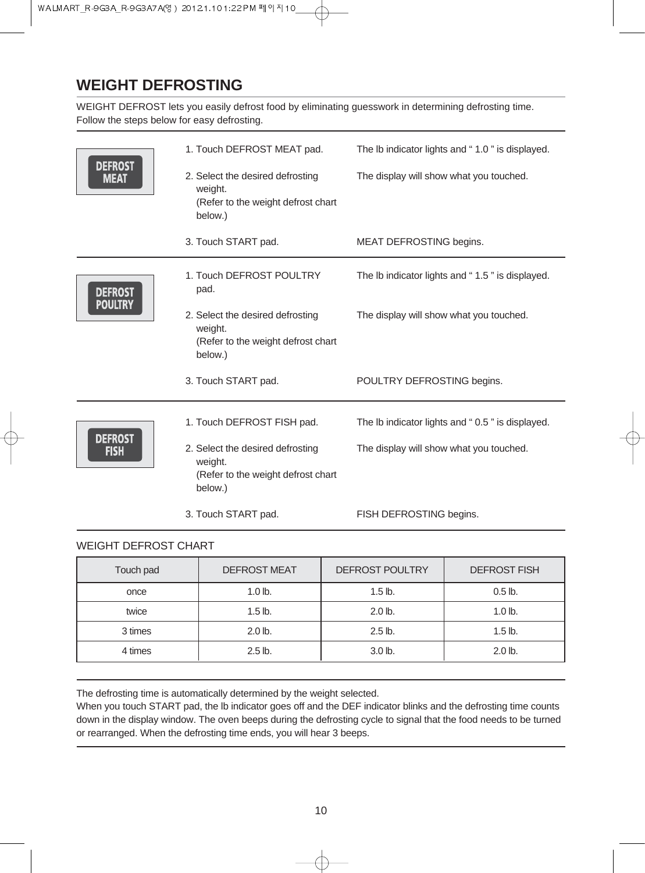## **WEIGHT DEFROSTING**

WEIGHT DEFROST lets you easily defrost food by eliminating guesswork in determining defrosting time. Follow the steps below for easy defrosting.

|                               | 1. Touch DEFROST MEAT pad.                                                                   | The Ib indicator lights and "1.0" is displayed. |
|-------------------------------|----------------------------------------------------------------------------------------------|-------------------------------------------------|
| <b>DEFROST</b><br><b>MEAT</b> | 2. Select the desired defrosting<br>weight.<br>(Refer to the weight defrost chart<br>below.) | The display will show what you touched.         |
|                               | 3. Touch START pad.                                                                          | MEAT DEFROSTING begins.                         |
| <b>DEFROST</b>                | 1. Touch DEFROST POULTRY<br>pad.                                                             | The Ib indicator lights and "1.5" is displayed. |
| <b>POULTRY</b>                | 2. Select the desired defrosting<br>weight.<br>(Refer to the weight defrost chart<br>below.) | The display will show what you touched.         |
|                               | 3. Touch START pad.                                                                          | POULTRY DEFROSTING begins.                      |
| <b>DEFROST</b>                | 1. Touch DEFROST FISH pad.                                                                   | The Ib indicator lights and "0.5" is displayed. |
| <b>FISH</b>                   | 2. Select the desired defrosting<br>weight.<br>(Refer to the weight defrost chart<br>below.) | The display will show what you touched.         |
|                               | 3. Touch START pad.                                                                          | FISH DEFROSTING begins.                         |

### WEIGHT DEFROST CHART

| Touch pad | <b>DEFROST MEAT</b> | DEFROST POULTRY | <b>DEFROST FISH</b> |
|-----------|---------------------|-----------------|---------------------|
| once      | $1.0$ lb.           | $1.5$ lb.       | $0.5$ lb.           |
| twice     | $1.5$ lb.           | $2.0$ lb.       | $1.0$ lb.           |
| 3 times   | $2.0$ lb.           | $2.5$ lb.       | $1.5$ lb.           |
| 4 times   | $2.5$ lb.           | $3.0$ lb.       | $2.0$ lb.           |

The defrosting time is automatically determined by the weight selected.

When you touch START pad, the lb indicator goes off and the DEF indicator blinks and the defrosting time counts down in the display window. The oven beeps during the defrosting cycle to signal that the food needs to be turned or rearranged. When the defrosting time ends, you will hear 3 beeps.

क़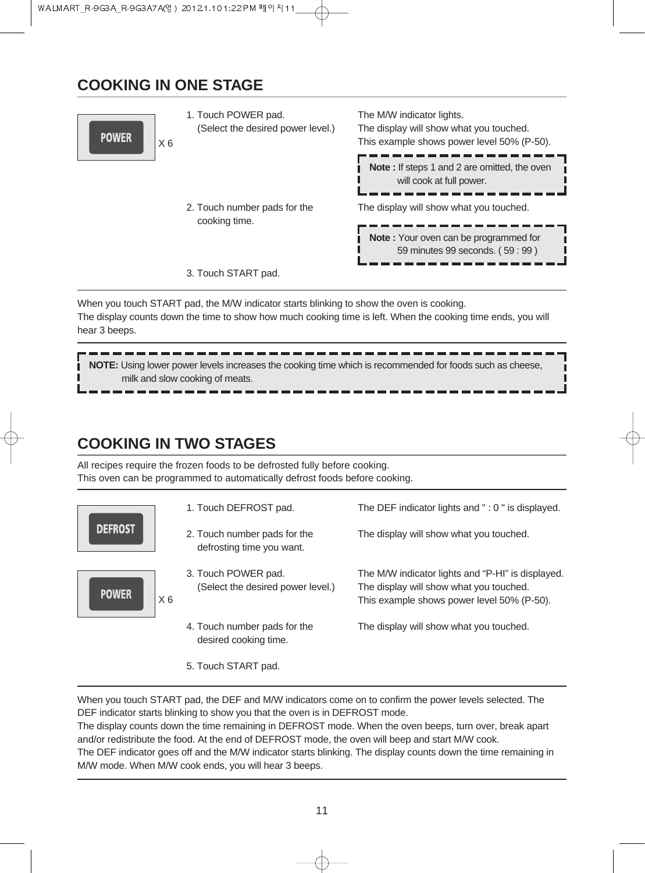## **COOKING IN ONE STAGE**



1. Touch POWER pad. (Select the desired power level.) 2. Touch number pads for the cooking time. 3. Touch START pad. The M/W indicator lights. The display will show what you touched. This example shows power level 50% (P-50). The display will show what you touched. **Note :** If steps 1 and 2 are omitted, the oven will cook at full power. **Note :** Your oven can be programmed for 59 minutes 99 seconds. ( 59 : 99 )

When you touch START pad, the M/W indicator starts blinking to show the oven is cooking. The display counts down the time to show how much cooking time is left. When the cooking time ends, you will hear 3 beeps.

**NOTE:** Using lower power levels increases the cooking time which is recommended for foods such as cheese, milk and slow cooking of meats.

## **COOKING IN TWO STAGES**

All recipes require the frozen foods to be defrosted fully before cooking. This oven can be programmed to automatically defrost foods before cooking.



5. Touch START pad.

When you touch START pad, the DEF and M/W indicators come on to confirm the power levels selected. The DEF indicator starts blinking to show you that the oven is in DEFROST mode.

The display counts down the time remaining in DEFROST mode. When the oven beeps, turn over, break apart and/or redistribute the food. At the end of DEFROST mode, the oven will beep and start M/W cook.

The DEF indicator goes off and the M/W indicator starts blinking. The display counts down the time remaining in M/W mode. When M/W cook ends, you will hear 3 beeps.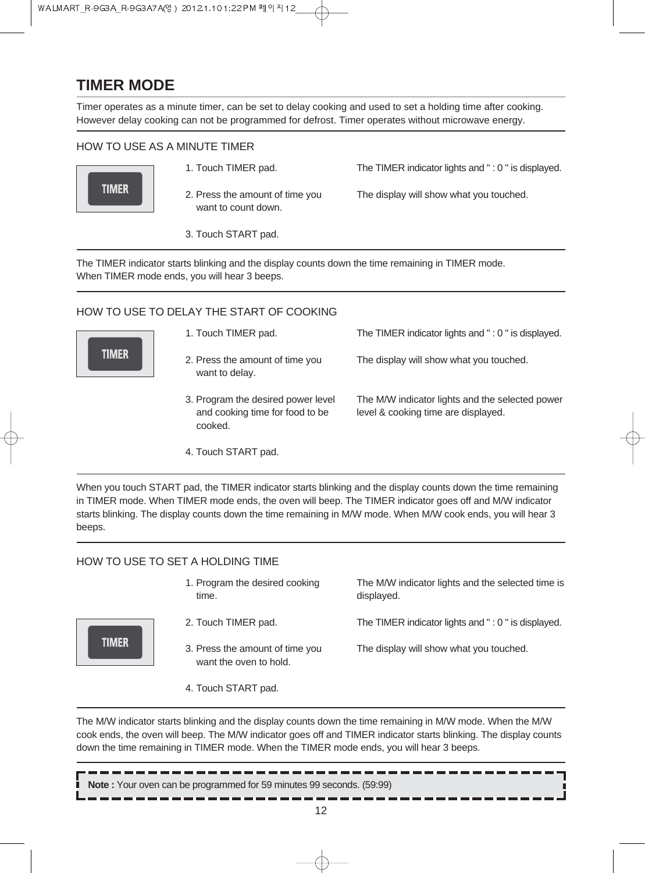## **TIMER MODE**

Timer operates as a minute timer, can be set to delay cooking and used to set a holding time after cooking. However delay cooking can not be programmed for defrost. Timer operates without microwave energy.

#### HOW TO USE AS A MINUTE TIMER



- 1. Touch TIMER pad. The TIMER indicator lights and " : 0 " is displayed.
- 2. Press the amount of time you want to count down.

The display will show what you touched.

3. Touch START pad.

The TIMER indicator starts blinking and the display counts down the time remaining in TIMER mode. When TIMER mode ends, you will hear 3 beeps.

#### HOW TO USE TO DELAY THE START OF COOKING



**TIMER** 

- 1. Touch TIMER pad.
- 2. Press the amount of time you want to delay.
- 3. Program the desired power level and cooking time for food to be cooked.

The M/W indicator lights and the selected power

The TIMER indicator lights and " : 0 " is displayed.

The display will show what you touched.

level & cooking time are displayed.

4. Touch START pad.

When you touch START pad, the TIMER indicator starts blinking and the display counts down the time remaining in TIMER mode. When TIMER mode ends, the oven will beep. The TIMER indicator goes off and M/W indicator starts blinking. The display counts down the time remaining in M/W mode. When M/W cook ends, you will hear 3 beeps.

#### HOW TO USE TO SET A HOLDING TIME

| 1. Program the desired cooking<br>time.                   | The M/W indicator lights and the selected time is<br>displayed. |
|-----------------------------------------------------------|-----------------------------------------------------------------|
| 2. Touch TIMER pad.                                       | The TIMER indicator lights and ": 0" is displayed.              |
| 3. Press the amount of time you<br>want the oven to hold. | The display will show what you touched.                         |

4. Touch START pad.

The M/W indicator starts blinking and the display counts down the time remaining in M/W mode. When the M/W cook ends, the oven will beep. The M/W indicator goes off and TIMER indicator starts blinking. The display counts down the time remaining in TIMER mode. When the TIMER mode ends, you will hear 3 beeps.

**Note :** Your oven can be programmed for 59 minutes 99 seconds. (59:99)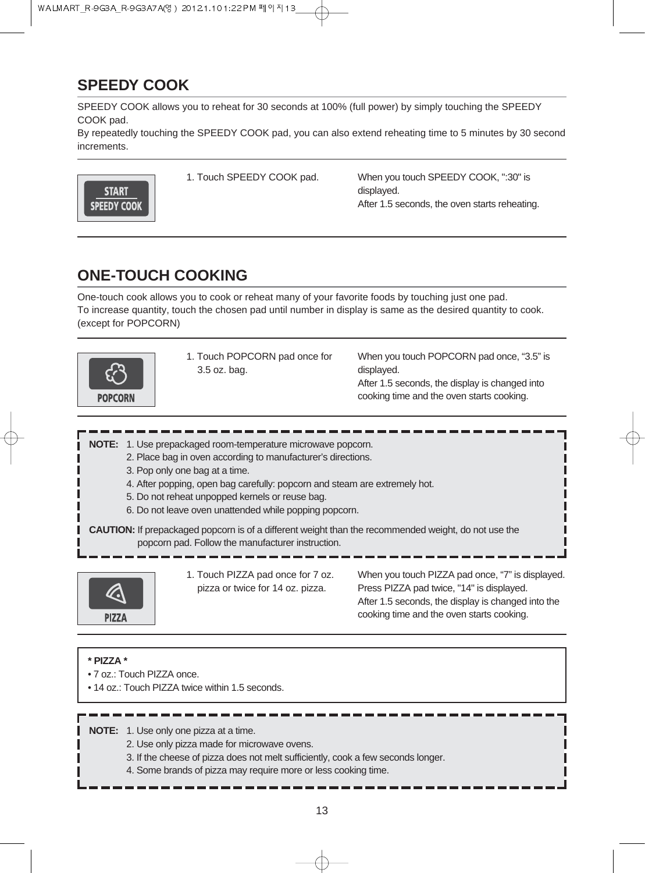## **SPEEDY COOK**

SPEEDY COOK allows you to reheat for 30 seconds at 100% (full power) by simply touching the SPEEDY COOK pad.

By repeatedly touching the SPEEDY COOK pad, you can also extend reheating time to 5 minutes by 30 second increments.



1. Touch SPEEDY COOK pad. When you touch SPEEDY COOK, ":30" is displayed. After 1.5 seconds, the oven starts reheating.

## **ONE-TOUCH COOKING**

One-touch cook allows you to cook or reheat many of your favorite foods by touching just one pad. To increase quantity, touch the chosen pad until number in display is same as the desired quantity to cook. (except for POPCORN)



1. Touch POPCORN pad once for 3.5 oz. bag.

When you touch POPCORN pad once, "3.5" is displayed. After 1.5 seconds, the display is changed into cooking time and the oven starts cooking.

**NOTE:** 1. Use prepackaged room-temperature microwave popcorn.

- 2. Place bag in oven according to manufacturer's directions.
- 3. Pop only one bag at a time.
- 4. After popping, open bag carefully: popcorn and steam are extremely hot.
- 5. Do not reheat unpopped kernels or reuse bag.
- 6. Do not leave oven unattended while popping popcorn.

**CAUTION:** If prepackaged popcorn is of a different weight than the recommended weight, do not use the popcorn pad. Follow the manufacturer instruction.



1. Touch PIZZA pad once for 7 oz. pizza or twice for 14 oz. pizza.

When you touch PIZZA pad once, "7" is displayed. Press PIZZA pad twice, "14" is displayed. After 1.5 seconds, the display is changed into the cooking time and the oven starts cooking.

#### **\* PIZZA \***

- 7 oz.: Touch PIZZA once.
- 14 oz.: Touch PIZZA twice within 1.5 seconds.

**NOTE:** 1. Use only one pizza at a time.

- 2. Use only pizza made for microwave ovens.
- 3. If the cheese of pizza does not melt sufficiently, cook a few seconds longer.
- 4. Some brands of pizza may require more or less cooking time.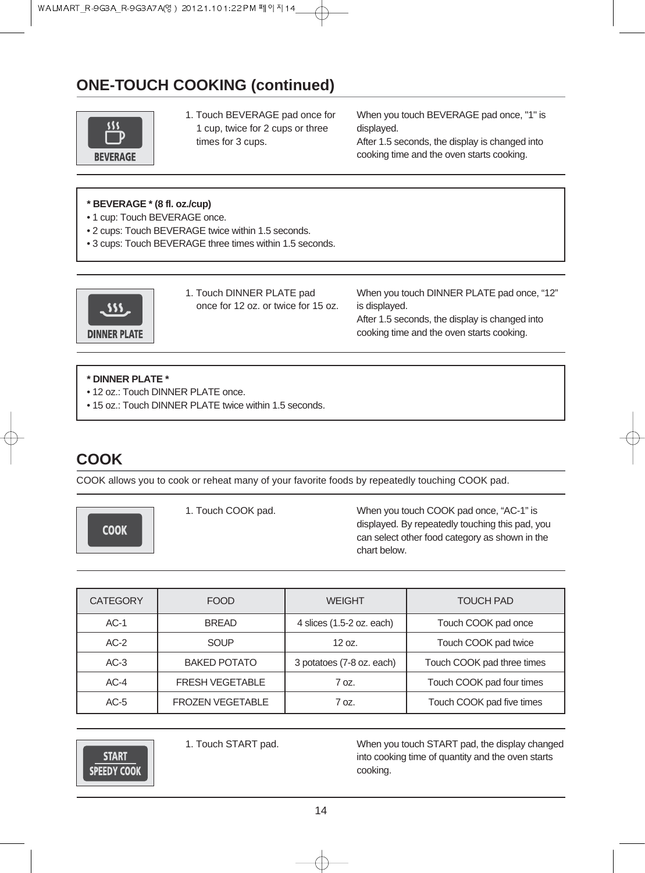## **ONE-TOUCH COOKING (continued)**



1. Touch BEVERAGE pad once for 1 cup, twice for 2 cups or three times for 3 cups.

When you touch BEVERAGE pad once, "1" is displayed.

After 1.5 seconds, the display is changed into cooking time and the oven starts cooking.

#### **\* BEVERAGE \* (8 fl. oz./cup)**

- 1 cup: Touch BEVERAGE once.
- 2 cups: Touch BEVERAGE twice within 1.5 seconds.
- 3 cups: Touch BEVERAGE three times within 1.5 seconds.



1. Touch DINNER PLATE pad once for 12 oz. or twice for 15 oz. When you touch DINNER PLATE pad once, "12" is displayed. After 1.5 seconds, the display is changed into cooking time and the oven starts cooking.

#### **\* DINNER PLATE \***

- 12 oz.: Touch DINNER PLATE once.
- 15 oz.: Touch DINNER PLATE twice within 1.5 seconds.

## **COOK**

COOK allows you to cook or reheat many of your favorite foods by repeatedly touching COOK pad.

**COOK** 

1. Touch COOK pad. When you touch COOK pad once, "AC-1" is displayed. By repeatedly touching this pad, you can select other food category as shown in the chart below.

| <b>CATEGORY</b> | <b>FOOD</b>             | <b>WEIGHT</b>             | <b>TOUCH PAD</b>           |
|-----------------|-------------------------|---------------------------|----------------------------|
| $AC-1$          | <b>BREAD</b>            | 4 slices (1.5-2 oz. each) | Touch COOK pad once        |
| $AC-2$          | SOUP                    | 12 oz.                    | Touch COOK pad twice       |
| $AC-3$          | <b>BAKED POTATO</b>     | 3 potatoes (7-8 oz. each) | Touch COOK pad three times |
| $AC-4$          | <b>FRESH VEGETABLE</b>  | 7 oz.                     | Touch COOK pad four times  |
| $AC-5$          | <b>FROZEN VEGETABLE</b> | 70z                       | Touch COOK pad five times  |



1. Touch START pad. When you touch START pad, the display changed into cooking time of quantity and the oven starts cooking.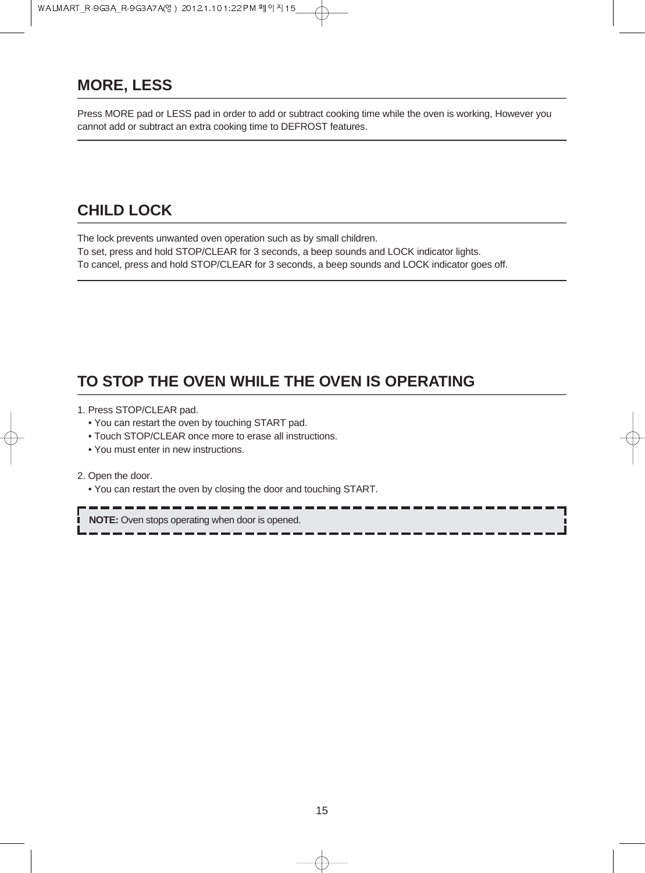## **MORE, LESS**

Press MORE pad or LESS pad in order to add or subtract cooking time while the oven is working, However you cannot add or subtract an extra cooking time to DEFROST features.

## **CHILD LOCK**

The lock prevents unwanted oven operation such as by small children. To set, press and hold STOP/CLEAR for 3 seconds, a beep sounds and LOCK indicator lights. To cancel, press and hold STOP/CLEAR for 3 seconds, a beep sounds and LOCK indicator goes off.

## **TO STOP THE OVEN WHILE THE OVEN IS OPERATING**

- 1. Press STOP/CLEAR pad.
	- You can restart the oven by touching START pad.
	- Touch STOP/CLEAR once more to erase all instructions.
	- You must enter in new instructions.

2. Open the door.

• You can restart the oven by closing the door and touching START.

**NOTE:** Oven stops operating when door is opened.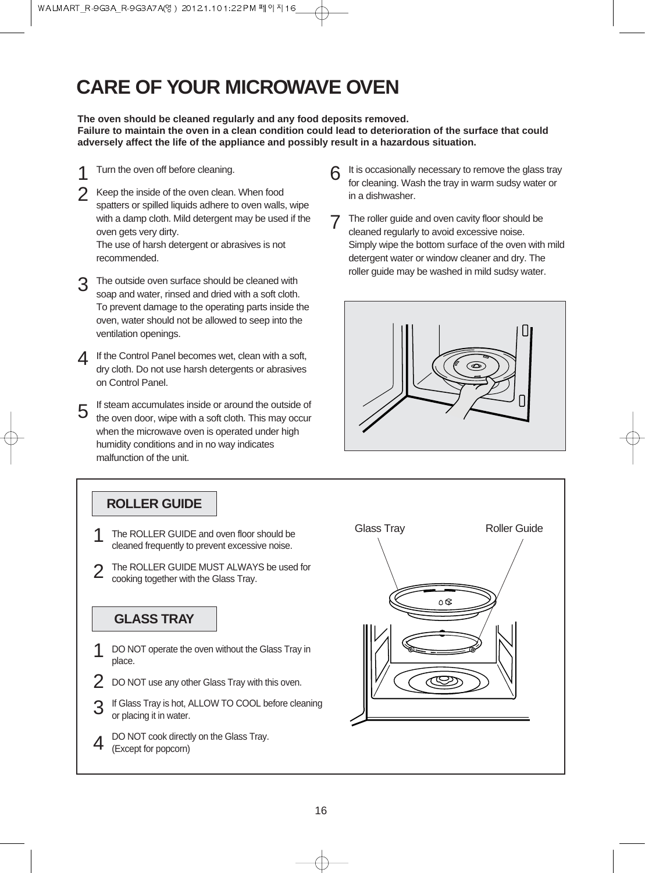## **CARE OF YOUR MICROWAVE OVEN**

**The oven should be cleaned regularly and any food deposits removed. Failure to maintain the oven in a clean condition could lead to deterioration of the surface that could adversely affect the life of the appliance and possibly result in a hazardous situation.**

- Turn the oven off before cleaning. 1
- Keep the inside of the oven clean. When food spatters or spilled liquids adhere to oven walls, wipe with a damp cloth. Mild detergent may be used if the oven gets very dirty. The use of harsh detergent or abrasives is not recommended.  $\mathcal{P}$
- The outside oven surface should be cleaned with soap and water, rinsed and dried with a soft cloth. To prevent damage to the operating parts inside the oven, water should not be allowed to seep into the ventilation openings. 3
- 4 If the Control Panel becomes wet, clean with a soft,<br>dry cloth. De not use barsh detergents as abrasives dry cloth. Do not use harsh detergents or abrasives on Control Panel.
- If steam accumulates inside or around the outside of the oven door, wipe with a soft cloth. This may occur when the microwave oven is operated under high humidity conditions and in no way indicates malfunction of the unit. 5
- It is occasionally necessary to remove the glass tray for cleaning. Wash the tray in warm sudsy water or in a dishwasher. 6
- The roller guide and oven cavity floor should be cleaned regularly to avoid excessive noise. Simply wipe the bottom surface of the oven with mild detergent water or window cleaner and dry. The roller guide may be washed in mild sudsy water. 7



### **ROLLER GUIDE**

- cleaned frequently to prevent excessive noise. 1
- The ROLLER GUIDE MUST ALWAYS be used for cooking together with the Glass Tray. 2

### **GLASS TRAY**

- DO NOT operate the oven without the Glass Tray in place. 1
- DO NOT use any other Glass Tray with this oven. 2
- If Glass Tray is hot, ALLOW TO COOL before cleaning or placing it in water. 3
- DO NOT cook directly on the Glass Tray. (Except for popcorn) 4

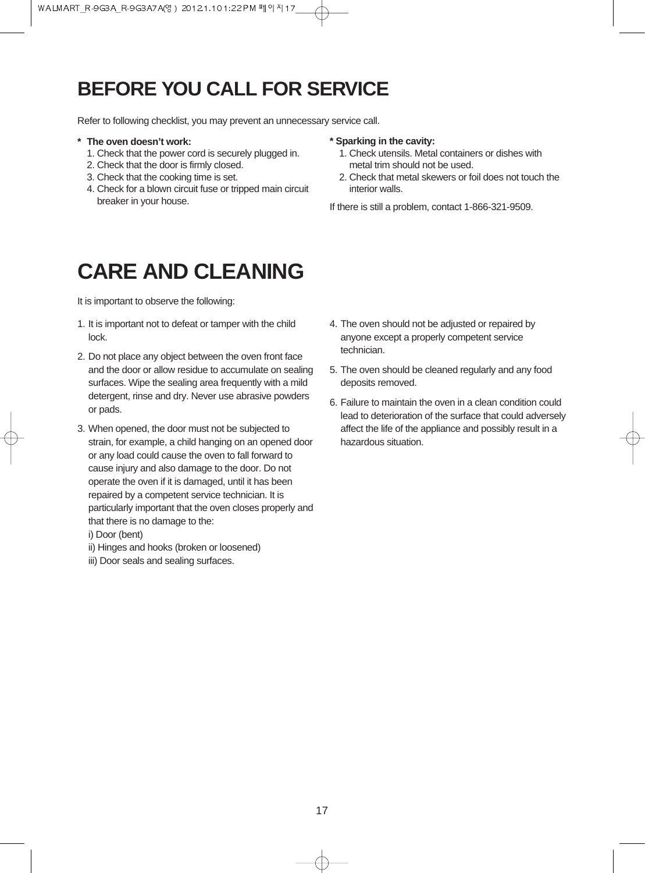## **BEFORE YOU CALL FOR SERVICE**

Refer to following checklist, you may prevent an unnecessary service call.

- **\* The oven doesn't work:**
	- 1. Check that the power cord is securely plugged in.
	- 2. Check that the door is firmly closed.
	- 3. Check that the cooking time is set.
	- 4. Check for a blown circuit fuse or tripped main circuit breaker in your house.

#### **\* Sparking in the cavity:**

- 1. Check utensils. Metal containers or dishes with metal trim should not be used.
- 2. Check that metal skewers or foil does not touch the interior walls.

If there is still a problem, contact 1-866-321-9509.

## **CARE AND CLEANING**

It is important to observe the following:

- 1. It is important not to defeat or tamper with the child lock.
- 2. Do not place any object between the oven front face and the door or allow residue to accumulate on sealing surfaces. Wipe the sealing area frequently with a mild detergent, rinse and dry. Never use abrasive powders or pads.
- 3. When opened, the door must not be subjected to strain, for example, a child hanging on an opened door or any load could cause the oven to fall forward to cause injury and also damage to the door. Do not operate the oven if it is damaged, until it has been repaired by a competent service technician. It is particularly important that the oven closes properly and that there is no damage to the:
	- i) Door (bent)
	- ii) Hinges and hooks (broken or loosened)
	- iii) Door seals and sealing surfaces.
- 4. The oven should not be adjusted or repaired by anyone except a properly competent service technician.
- 5. The oven should be cleaned regularly and any food deposits removed.
- 6. Failure to maintain the oven in a clean condition could lead to deterioration of the surface that could adversely affect the life of the appliance and possibly result in a hazardous situation.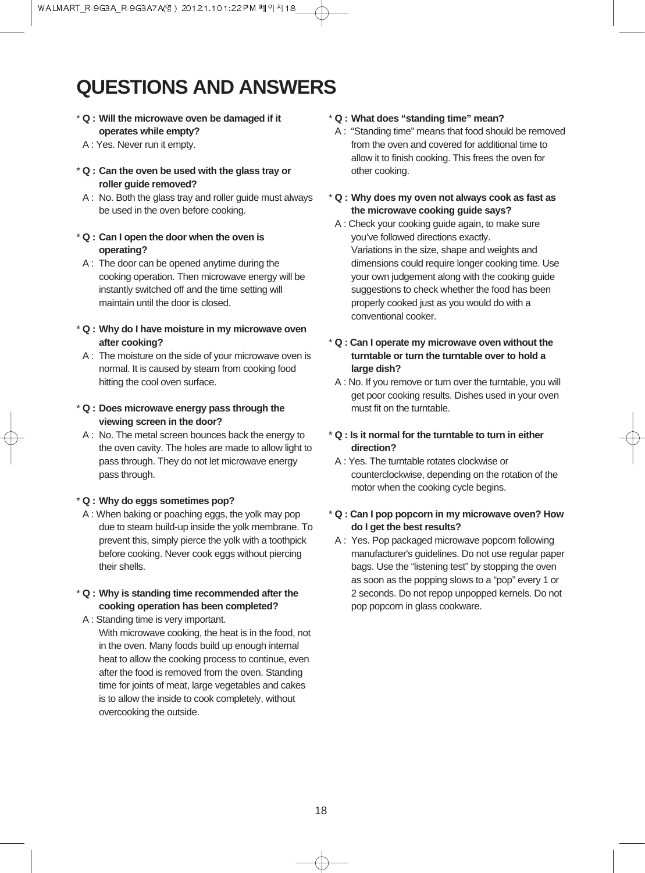## **QUESTIONS AND ANSWERS**

- \* **Q : Will the microwave oven be damaged if it operates while empty?**
- A : Yes. Never run it empty.
- \* **Q : Can the oven be used with the glass tray or roller guide removed?**
- A : No. Both the glass tray and roller guide must always be used in the oven before cooking.

#### \* **Q : Can I open the door when the oven is operating?**

- $A:$  The door can be opened anytime during the cooking operation. Then microwave energy will be instantly switched off and the time setting will maintain until the door is closed.
- \* **Q : Why do I have moisture in my microwave oven after cooking?**
- A : The moisture on the side of your microwave oven is normal. It is caused by steam from cooking food hitting the cool oven surface.
- \* **Q : Does microwave energy pass through the viewing screen in the door?**
- A : No. The metal screen bounces back the energy to the oven cavity. The holes are made to allow light to pass through. They do not let microwave energy pass through.

#### \* **Q : Why do eggs sometimes pop?**

A : When baking or poaching eggs, the yolk may pop due to steam build-up inside the yolk membrane. To prevent this, simply pierce the yolk with a toothpick before cooking. Never cook eggs without piercing their shells.

#### \* **Q : Why is standing time recommended after the cooking operation has been completed?**

A : Standing time is very important.

With microwave cooking, the heat is in the food, not in the oven. Many foods build up enough internal heat to allow the cooking process to continue, even after the food is removed from the oven. Standing time for joints of meat, large vegetables and cakes is to allow the inside to cook completely, without overcooking the outside.

#### \* **Q : What does "standing time" mean?**

- A : "Standing time" means that food should be removed from the oven and covered for additional time to allow it to finish cooking. This frees the oven for other cooking.
- \* **Q : Why does my oven not always cook as fast as the microwave cooking guide says?**
- A : Check your cooking guide again, to make sure you've followed directions exactly. Variations in the size, shape and weights and dimensions could require longer cooking time. Use your own judgement along with the cooking guide suggestions to check whether the food has been properly cooked just as you would do with a conventional cooker.
- \* **Q : Can I operate my microwave oven without the turntable or turn the turntable over to hold a large dish?**
- A : No. If you remove or turn over the turntable, you will get poor cooking results. Dishes used in your oven must fit on the turntable.
- \* **Q : Is it normal for the turntable to turn in either direction?**
- A : Yes. The turntable rotates clockwise or counterclockwise, depending on the rotation of the motor when the cooking cycle begins.
- \* **Q : Can I pop popcorn in my microwave oven? How do I get the best results?**
- A : Yes. Pop packaged microwave popcorn following manufacturer's guidelines. Do not use regular paper bags. Use the "listening test" by stopping the oven as soon as the popping slows to a "pop" every 1 or 2 seconds. Do not repop unpopped kernels. Do not pop popcorn in glass cookware.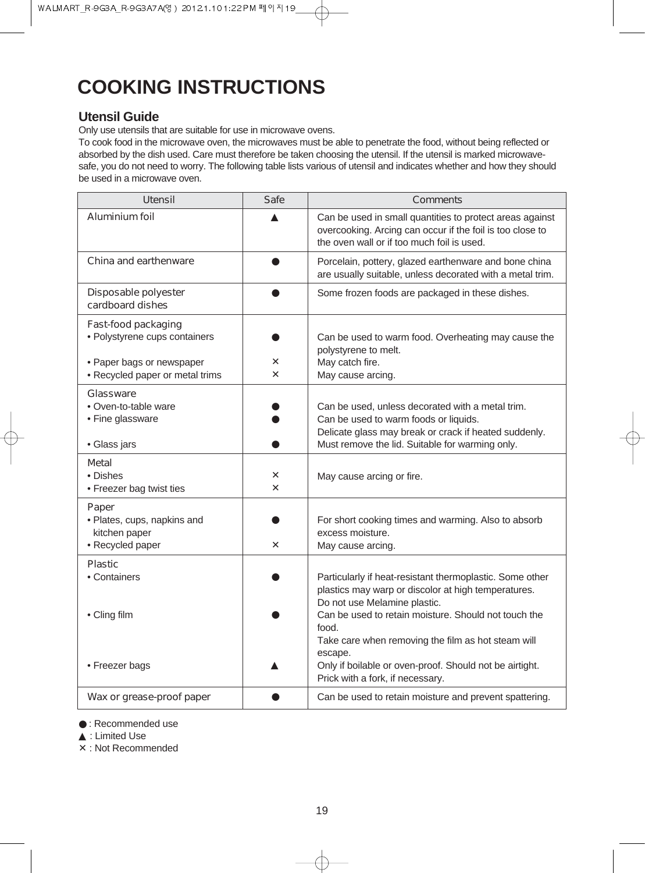## **COOKING INSTRUCTIONS**

#### **Utensil Guide**

Only use utensils that are suitable for use in microwave ovens.

To cook food in the microwave oven, the microwaves must be able to penetrate the food, without being reflected or absorbed by the dish used. Care must therefore be taken choosing the utensil. If the utensil is marked microwavesafe, you do not need to worry. The following table lists various of utensil and indicates whether and how they should be used in a microwave oven.

| <b>Utensil</b>                                                                                                       | <b>Safe</b>                | <b>Comments</b>                                                                                                                                                                                                                                                                                                                                                                  |
|----------------------------------------------------------------------------------------------------------------------|----------------------------|----------------------------------------------------------------------------------------------------------------------------------------------------------------------------------------------------------------------------------------------------------------------------------------------------------------------------------------------------------------------------------|
| <b>Aluminium foil</b>                                                                                                |                            | Can be used in small quantities to protect areas against<br>overcooking. Arcing can occur if the foil is too close to<br>the oven wall or if too much foil is used.                                                                                                                                                                                                              |
| <b>China and earthenware</b>                                                                                         |                            | Porcelain, pottery, glazed earthenware and bone china<br>are usually suitable, unless decorated with a metal trim.                                                                                                                                                                                                                                                               |
| Disposable polyester<br>cardboard dishes                                                                             |                            | Some frozen foods are packaged in these dishes.                                                                                                                                                                                                                                                                                                                                  |
| Fast-food packaging<br>· Polystyrene cups containers<br>• Paper bags or newspaper<br>• Recycled paper or metal trims | X<br>$\boldsymbol{\times}$ | Can be used to warm food. Overheating may cause the<br>polystyrene to melt.<br>May catch fire.<br>May cause arcing.                                                                                                                                                                                                                                                              |
| Glassware<br>• Oven-to-table ware<br>• Fine glassware<br>· Glass jars                                                |                            | Can be used, unless decorated with a metal trim.<br>Can be used to warm foods or liquids.<br>Delicate glass may break or crack if heated suddenly.<br>Must remove the lid. Suitable for warming only.                                                                                                                                                                            |
| Metal<br>• Dishes<br>• Freezer bag twist ties                                                                        | X<br>$\boldsymbol{\times}$ | May cause arcing or fire.                                                                                                                                                                                                                                                                                                                                                        |
| Paper<br>· Plates, cups, napkins and<br>kitchen paper<br>• Recycled paper                                            | X                          | For short cooking times and warming. Also to absorb<br>excess moisture.<br>May cause arcing.                                                                                                                                                                                                                                                                                     |
| <b>Plastic</b><br>• Containers<br>• Cling film<br>• Freezer bags                                                     |                            | Particularly if heat-resistant thermoplastic. Some other<br>plastics may warp or discolor at high temperatures.<br>Do not use Melamine plastic.<br>Can be used to retain moisture. Should not touch the<br>food.<br>Take care when removing the film as hot steam will<br>escape.<br>Only if boilable or oven-proof. Should not be airtight.<br>Prick with a fork, if necessary. |
| Wax or grease-proof paper                                                                                            |                            | Can be used to retain moisture and prevent spattering.                                                                                                                                                                                                                                                                                                                           |

● : Recommended use

▲ : Limited Use

✕ : Not Recommended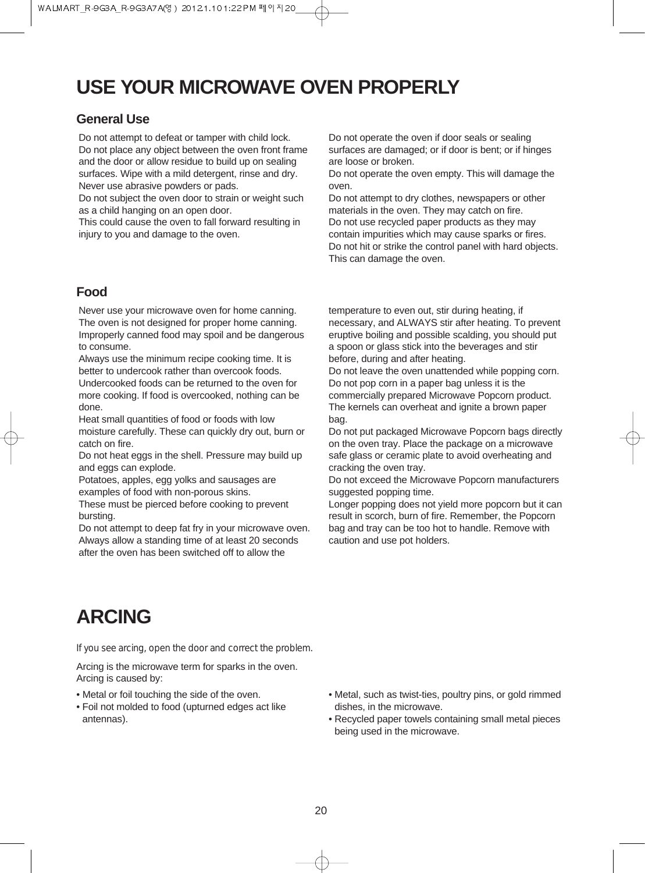## **USE YOUR MICROWAVE OVEN PROPERLY**

#### **General Use**

Do not attempt to defeat or tamper with child lock. Do not place any object between the oven front frame and the door or allow residue to build up on sealing surfaces. Wipe with a mild detergent, rinse and dry. Never use abrasive powders or pads.

Do not subject the oven door to strain or weight such as a child hanging on an open door.

This could cause the oven to fall forward resulting in injury to you and damage to the oven.

#### **Food**

Never use your microwave oven for home canning. The oven is not designed for proper home canning. Improperly canned food may spoil and be dangerous to consume.

Always use the minimum recipe cooking time. It is better to undercook rather than overcook foods. Undercooked foods can be returned to the oven for more cooking. If food is overcooked, nothing can be done.

Heat small quantities of food or foods with low moisture carefully. These can quickly dry out, burn or catch on fire.

Do not heat eggs in the shell. Pressure may build up and eggs can explode.

Potatoes, apples, egg yolks and sausages are examples of food with non-porous skins.

These must be pierced before cooking to prevent bursting.

Do not attempt to deep fat fry in your microwave oven. Always allow a standing time of at least 20 seconds after the oven has been switched off to allow the

Do not operate the oven if door seals or sealing surfaces are damaged; or if door is bent; or if hinges are loose or broken.

Do not operate the oven empty. This will damage the oven.

Do not attempt to dry clothes, newspapers or other materials in the oven. They may catch on fire. Do not use recycled paper products as they may contain impurities which may cause sparks or fires. Do not hit or strike the control panel with hard objects. This can damage the oven.

temperature to even out, stir during heating, if necessary, and ALWAYS stir after heating. To prevent eruptive boiling and possible scalding, you should put a spoon or glass stick into the beverages and stir before, during and after heating.

Do not leave the oven unattended while popping corn. Do not pop corn in a paper bag unless it is the commercially prepared Microwave Popcorn product. The kernels can overheat and ignite a brown paper bag.

Do not put packaged Microwave Popcorn bags directly on the oven tray. Place the package on a microwave safe glass or ceramic plate to avoid overheating and cracking the oven tray.

Do not exceed the Microwave Popcorn manufacturers suggested popping time.

Longer popping does not yield more popcorn but it can result in scorch, burn of fire. Remember, the Popcorn bag and tray can be too hot to handle. Remove with caution and use pot holders.

## **ARCING**

*If you see arcing, open the door and correct the problem.*

Arcing is the microwave term for sparks in the oven. Arcing is caused by:

- Metal or foil touching the side of the oven.
- Foil not molded to food (upturned edges act like antennas).
- Metal, such as twist-ties, poultry pins, or gold rimmed dishes, in the microwave.
- Recycled paper towels containing small metal pieces being used in the microwave.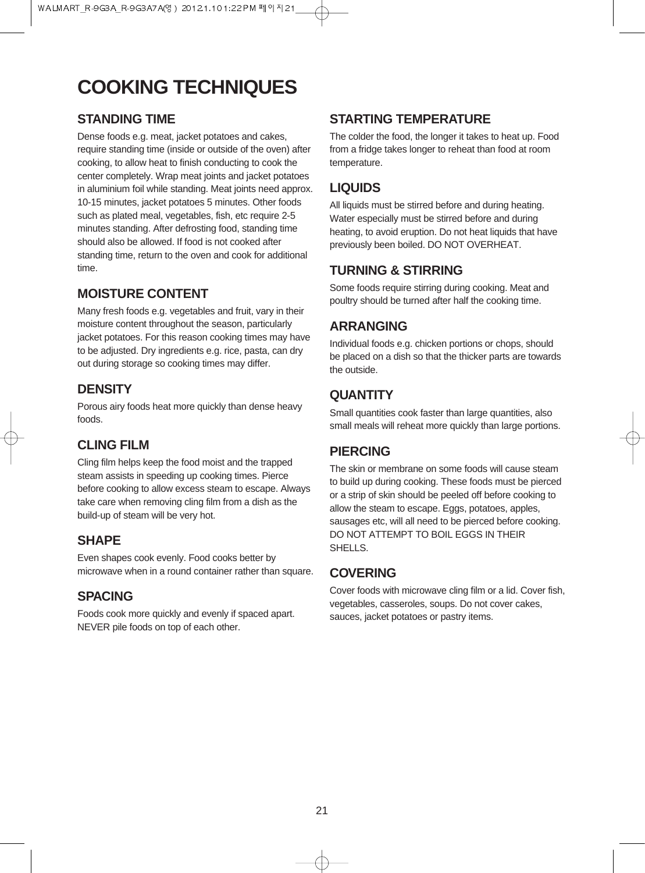## **COOKING TECHNIQUES**

### **STANDING TIME**

Dense foods e.g. meat, jacket potatoes and cakes, require standing time (inside or outside of the oven) after cooking, to allow heat to finish conducting to cook the center completely. Wrap meat joints and jacket potatoes in aluminium foil while standing. Meat joints need approx. 10-15 minutes, jacket potatoes 5 minutes. Other foods such as plated meal, vegetables, fish, etc require 2-5 minutes standing. After defrosting food, standing time should also be allowed. If food is not cooked after standing time, return to the oven and cook for additional time.

### **MOISTURE CONTENT**

Many fresh foods e.g. vegetables and fruit, vary in their moisture content throughout the season, particularly jacket potatoes. For this reason cooking times may have to be adjusted. Dry ingredients e.g. rice, pasta, can dry out during storage so cooking times may differ.

### **DENSITY**

Porous airy foods heat more quickly than dense heavy foods.

## **CLING FILM**

Cling film helps keep the food moist and the trapped steam assists in speeding up cooking times. Pierce before cooking to allow excess steam to escape. Always take care when removing cling film from a dish as the build-up of steam will be very hot.

### **SHAPE**

Even shapes cook evenly. Food cooks better by microwave when in a round container rather than square.

### **SPACING**

Foods cook more quickly and evenly if spaced apart. NEVER pile foods on top of each other.

### **STARTING TEMPERATURE**

The colder the food, the longer it takes to heat up. Food from a fridge takes longer to reheat than food at room temperature.

### **LIQUIDS**

All liquids must be stirred before and during heating. Water especially must be stirred before and during heating, to avoid eruption. Do not heat liquids that have previously been boiled. DO NOT OVERHEAT.

### **TURNING & STIRRING**

Some foods require stirring during cooking. Meat and poultry should be turned after half the cooking time.

### **ARRANGING**

Individual foods e.g. chicken portions or chops, should be placed on a dish so that the thicker parts are towards the outside.

### **QUANTITY**

Small quantities cook faster than large quantities, also small meals will reheat more quickly than large portions.

### **PIERCING**

The skin or membrane on some foods will cause steam to build up during cooking. These foods must be pierced or a strip of skin should be peeled off before cooking to allow the steam to escape. Eggs, potatoes, apples, sausages etc, will all need to be pierced before cooking. DO NOT ATTEMPT TO BOIL EGGS IN THEIR SHELL<sub>S</sub>.

### **COVERING**

Cover foods with microwave cling film or a lid. Cover fish, vegetables, casseroles, soups. Do not cover cakes, sauces, jacket potatoes or pastry items.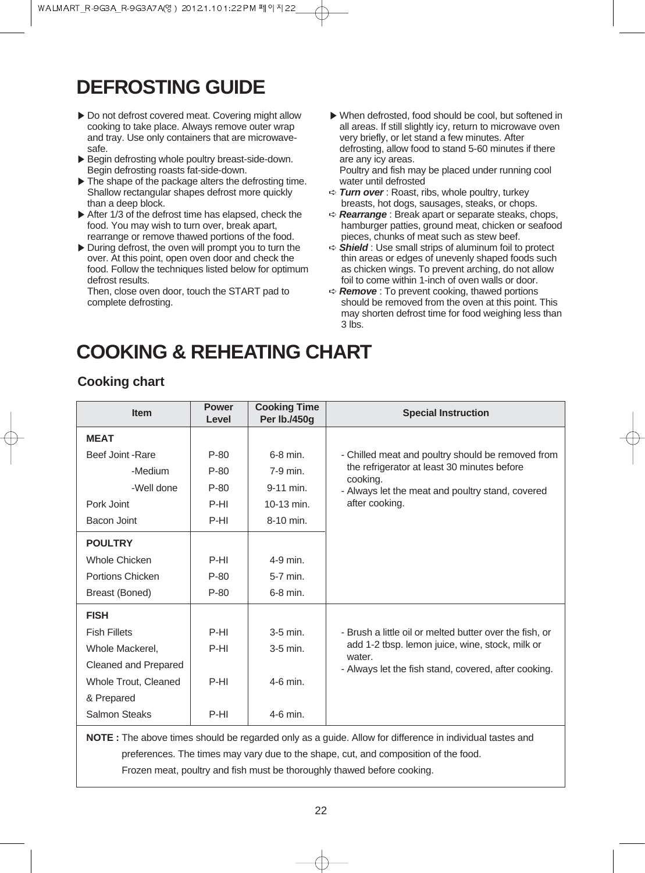## **DEFROSTING GUIDE**

- ▶ Do not defrost covered meat. Covering might allow cooking to take place. Always remove outer wrap and tray. Use only containers that are microwavesafe.
- ▶Begin defrosting whole poultry breast-side-down. Begin defrosting roasts fat-side-down.
- ▶ The shape of the package alters the defrosting time. Shallow rectangular shapes defrost more quickly than a deep block.
- ▶ After 1/3 of the defrost time has elapsed, check the food. You may wish to turn over, break apart, rearrange or remove thawed portions of the food.
- ▶During defrost, the oven will prompt you to turn the over. At this point, open oven door and check the food. Follow the techniques listed below for optimum defrost results.

Then, close oven door, touch the START pad to complete defrosting.

▶When defrosted, food should be cool, but softened in all areas. If still slightly icy, return to microwave oven very briefly, or let stand a few minutes. After defrosting, allow food to stand 5-60 minutes if there are any icy areas.

Poultry and fish may be placed under running cool water until defrosted

- ➪ **Turn over** : Roast, ribs, whole poultry, turkey breasts, hot dogs, sausages, steaks, or chops.
- ➪ **Rearrange** : Break apart or separate steaks, chops, hamburger patties, ground meat, chicken or seafood pieces, chunks of meat such as stew beef.
- ➪ **Shield** : Use small strips of aluminum foil to protect thin areas or edges of unevenly shaped foods such as chicken wings. To prevent arching, do not allow foil to come within 1-inch of oven walls or door.
- ➪ **Remove** : To prevent cooking, thawed portions should be removed from the oven at this point. This may shorten defrost time for food weighing less than 3 lbs.

## **COOKING & REHEATING CHART**

### **Cooking chart**

| <b>Item</b>                                                                                              | <b>Power</b><br>Level | <b>Cooking Time</b><br>Per lb./450g | <b>Special Instruction</b>                                |  |
|----------------------------------------------------------------------------------------------------------|-----------------------|-------------------------------------|-----------------------------------------------------------|--|
| <b>MEAT</b>                                                                                              |                       |                                     |                                                           |  |
| Beef Joint - Rare                                                                                        | $P-80$                | $6-8$ min.                          | - Chilled meat and poultry should be removed from         |  |
| -Medium                                                                                                  | $P-80$                | 7-9 min.                            | the refrigerator at least 30 minutes before<br>cooking.   |  |
| -Well done                                                                                               | $P-80$                | 9-11 min.                           | - Always let the meat and poultry stand, covered          |  |
| Pork Joint                                                                                               | P-HI                  | 10-13 min.                          | after cooking.                                            |  |
| Bacon Joint                                                                                              | P-HI                  | 8-10 min.                           |                                                           |  |
| <b>POULTRY</b>                                                                                           |                       |                                     |                                                           |  |
| <b>Whole Chicken</b>                                                                                     | P-HI                  | 4-9 min.                            |                                                           |  |
| Portions Chicken                                                                                         | $P-80$                | 5-7 min.                            |                                                           |  |
| Breast (Boned)                                                                                           | $P-80$                | 6-8 min.                            |                                                           |  |
| <b>FISH</b>                                                                                              |                       |                                     |                                                           |  |
| <b>Fish Fillets</b>                                                                                      | P-HI                  | $3-5$ min.                          | - Brush a little oil or melted butter over the fish, or   |  |
| Whole Mackerel,                                                                                          | P-HI                  | $3-5$ min.                          | add 1-2 tbsp. lemon juice, wine, stock, milk or<br>water. |  |
| Cleaned and Prepared                                                                                     |                       |                                     | - Always let the fish stand, covered, after cooking.      |  |
| Whole Trout, Cleaned                                                                                     | P-HI                  | 4-6 min.                            |                                                           |  |
| & Prepared                                                                                               |                       |                                     |                                                           |  |
| Salmon Steaks                                                                                            | P-HI                  | $4-6$ min.                          |                                                           |  |
| NOTE : The above times should be regarded only as a guide. Allow for difference in individual tastes and |                       |                                     |                                                           |  |

preferences. The times may vary due to the shape, cut, and composition of the food.

Frozen meat, poultry and fish must be thoroughly thawed before cooking.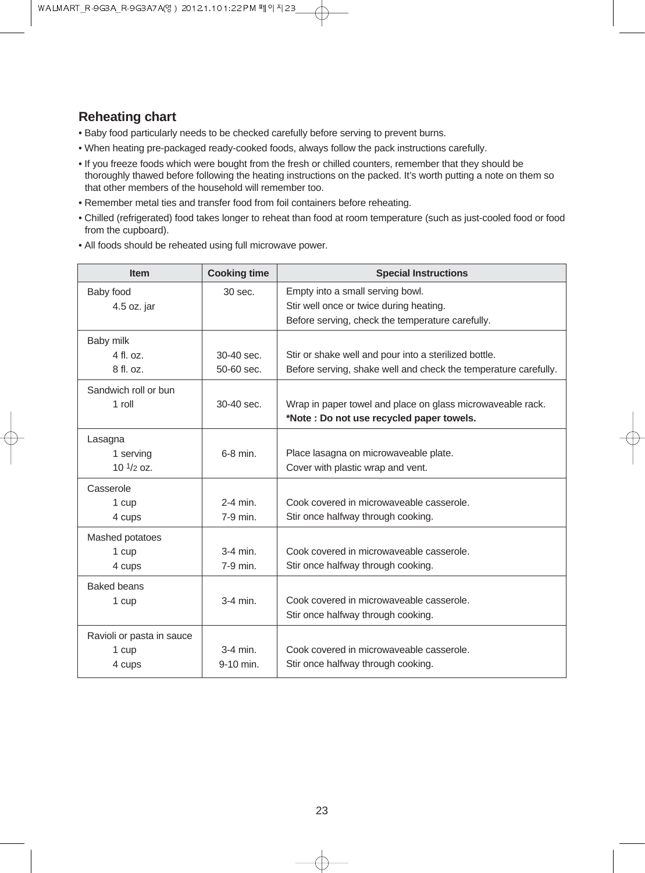### **Reheating chart**

- Baby food particularly needs to be checked carefully before serving to prevent burns.
- When heating pre-packaged ready-cooked foods, always follow the pack instructions carefully.
- If you freeze foods which were bought from the fresh or chilled counters, remember that they should be thoroughly thawed before following the heating instructions on the packed. It's worth putting a note on them so that other members of the household will remember too.
- Remember metal ties and transfer food from foil containers before reheating.
- Chilled (refrigerated) food takes longer to reheat than food at room temperature (such as just-cooled food or food from the cupboard).
- All foods should be reheated using full microwave power.

| <b>Item</b>               | <b>Cooking time</b> | <b>Special Instructions</b>                                     |
|---------------------------|---------------------|-----------------------------------------------------------------|
| Baby food                 | 30 sec.             | Empty into a small serving bowl.                                |
| 4.5 oz. jar               |                     | Stir well once or twice during heating.                         |
|                           |                     | Before serving, check the temperature carefully.                |
| Baby milk                 |                     |                                                                 |
| $4$ fl. $0z$ .            | $30-40$ sec.        | Stir or shake well and pour into a sterilized bottle.           |
| 8 fl. oz.                 | 50-60 sec.          | Before serving, shake well and check the temperature carefully. |
| Sandwich roll or bun      |                     |                                                                 |
| $1$ roll                  | 30-40 sec.          | Wrap in paper towel and place on glass microwaveable rack.      |
|                           |                     | *Note : Do not use recycled paper towels.                       |
| Lasagna                   |                     |                                                                 |
| 1 serving                 | 6-8 min.            | Place lasagna on microwaveable plate.                           |
| $10^{1/2}$ oz.            |                     | Cover with plastic wrap and vent.                               |
| Casserole                 |                     |                                                                 |
| 1 cup                     | $2-4$ min.          | Cook covered in microwaveable casserole.                        |
| 4 cups                    | 7-9 min.            | Stir once halfway through cooking.                              |
| Mashed potatoes           |                     |                                                                 |
| 1 cup                     | $3-4$ min.          | Cook covered in microwaveable casserole.                        |
| 4 cups                    | 7-9 min.            | Stir once halfway through cooking.                              |
| <b>Baked beans</b>        |                     |                                                                 |
| 1 cup                     | $3-4$ min.          | Cook covered in microwaveable casserole.                        |
|                           |                     | Stir once halfway through cooking.                              |
| Ravioli or pasta in sauce |                     |                                                                 |
| 1 cup                     | $3-4$ min.          | Cook covered in microwaveable casserole.                        |
| 4 cups                    | 9-10 min.           | Stir once halfway through cooking.                              |

⊄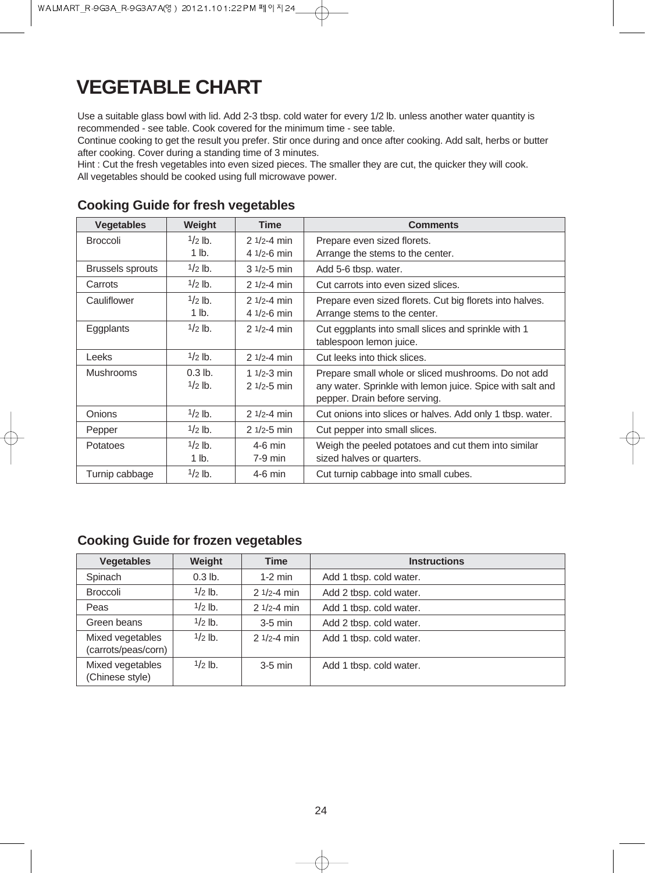## **VEGETABLE CHART**

Use a suitable glass bowl with lid. Add 2-3 tbsp. cold water for every 1/2 lb. unless another water quantity is recommended - see table. Cook covered for the minimum time - see table.

Continue cooking to get the result you prefer. Stir once during and once after cooking. Add salt, herbs or butter after cooking. Cover during a standing time of 3 minutes.

Hint : Cut the fresh vegetables into even sized pieces. The smaller they are cut, the quicker they will cook. All vegetables should be cooked using full microwave power.

| <b>Vegetables</b>       | Weight    | <b>Time</b>     | <b>Comments</b>                                           |
|-------------------------|-----------|-----------------|-----------------------------------------------------------|
| <b>Broccoli</b>         | $1/2$ lb. | $21/2 - 4 min$  | Prepare even sized florets.                               |
|                         | $1$ lb.   | 4 $1/2 - 6$ min | Arrange the stems to the center.                          |
| <b>Brussels sprouts</b> | $1/2$ lb. | $31/2 - 5$ min  | Add 5-6 tbsp. water.                                      |
| Carrots                 | $1/2$ lb. | $21/2 - 4 min$  | Cut carrots into even sized slices.                       |
| Cauliflower             | $1/2$ lb. | $21/2 - 4 min$  | Prepare even sized florets. Cut big florets into halves.  |
|                         | $1$ lb.   | 4 $1/2 - 6$ min | Arrange stems to the center.                              |
| Eggplants               | $1/2$ lb. | $21/2 - 4$ min  | Cut eggplants into small slices and sprinkle with 1       |
|                         |           |                 | tablespoon lemon juice.                                   |
| Leeks                   | $1/2$ lb. | $21/2 - 4$ min  | Cut leeks into thick slices.                              |
| <b>Mushrooms</b>        | $0.3$ lb. | 1 $1/2 - 3$ min | Prepare small whole or sliced mushrooms. Do not add       |
|                         | $1/2$ lb. | $21/2 - 5$ min  | any water. Sprinkle with lemon juice. Spice with salt and |
|                         |           |                 | pepper. Drain before serving.                             |
| <b>Onions</b>           | $1/2$ lb. | $21/2 - 4$ min  | Cut onions into slices or halves. Add only 1 tbsp. water. |
| Pepper                  | $1/2$ lb. | $21/2 - 5$ min  | Cut pepper into small slices.                             |
| Potatoes                | $1/2$ lb. | $4-6$ min       | Weigh the peeled potatoes and cut them into similar       |
|                         | $1$ lb.   | $7-9$ min       | sized halves or quarters.                                 |
| Turnip cabbage          | $1/2$ lb. | $4-6$ min       | Cut turnip cabbage into small cubes.                      |

### **Cooking Guide for fresh vegetables**

### **Cooking Guide for frozen vegetables**

| <b>Vegetables</b>                       | Weight    | <b>Time</b>    | <b>Instructions</b>     |
|-----------------------------------------|-----------|----------------|-------------------------|
| Spinach                                 | $0.3$ lb. | $1-2$ min      | Add 1 tbsp. cold water. |
| <b>Broccoli</b>                         | $1/2$ lb. | $21/2 - 4 min$ | Add 2 tbsp. cold water. |
| Peas                                    | $1/2$ lb. | $21/2 - 4 min$ | Add 1 tbsp. cold water. |
| Green beans                             | $1/2$ lb. | $3-5$ min      | Add 2 tbsp. cold water. |
| Mixed vegetables<br>(carrots/peas/corn) | $1/2$ lb. | $21/2 - 4 min$ | Add 1 tbsp. cold water. |
| Mixed vegetables<br>(Chinese style)     | $1/2$ lb. | $3-5$ min      | Add 1 tbsp. cold water. |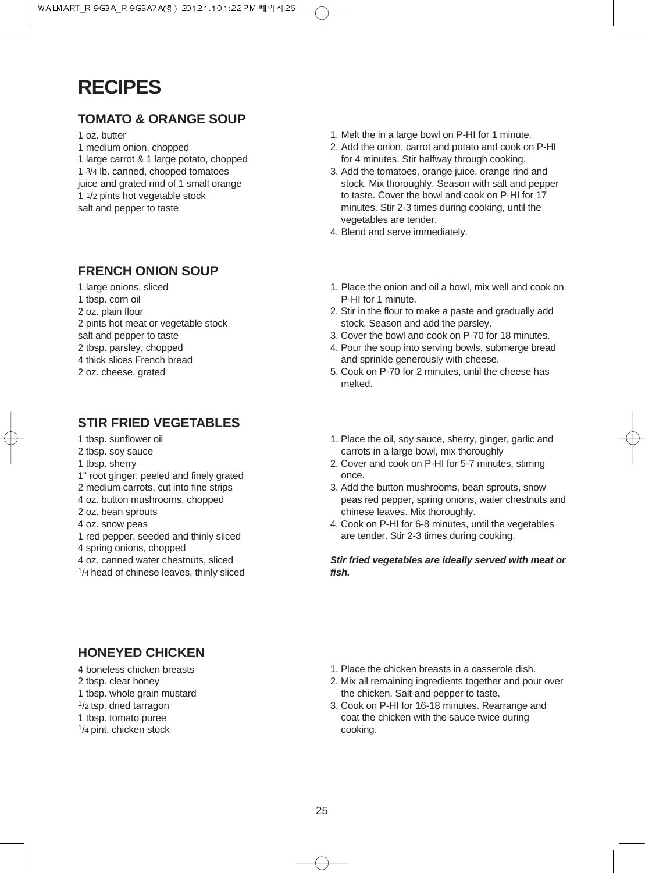## **RECIPES**

### **TOMATO & ORANGE SOUP**

- 1 oz. butter
- 1 medium onion, chopped
- 1 large carrot & 1 large potato, chopped
- 1 3/4 lb. canned, chopped tomatoes
- juice and grated rind of 1 small orange 1 1/2 pints hot vegetable stock
- salt and pepper to taste

### **FRENCH ONION SOUP**

- 1 large onions, sliced
- 1 tbsp. corn oil
- 2 oz. plain flour
- 2 pints hot meat or vegetable stock
- salt and pepper to taste
- 2 tbsp. parsley, chopped
- 4 thick slices French bread
- 2 oz. cheese, grated

### **STIR FRIED VEGETABLES**

- 1 tbsp. sunflower oil
- 2 tbsp. soy sauce
- 1 tbsp. sherry
- 1" root ginger, peeled and finely grated
- 2 medium carrots, cut into fine strips
- 4 oz. button mushrooms, chopped
- 2 oz. bean sprouts
- 4 oz. snow peas
- 1 red pepper, seeded and thinly sliced
- 4 spring onions, chopped
- 4 oz. canned water chestnuts, sliced
- 1/4 head of chinese leaves, thinly sliced
- 1. Melt the in a large bowl on P-HI for 1 minute.
- 2. Add the onion, carrot and potato and cook on P-HI for 4 minutes. Stir halfway through cooking.
- 3. Add the tomatoes, orange juice, orange rind and stock. Mix thoroughly. Season with salt and pepper to taste. Cover the bowl and cook on P-HI for 17 minutes. Stir 2-3 times during cooking, until the vegetables are tender.
- 4. Blend and serve immediately.
- 1. Place the onion and oil a bowl, mix well and cook on P-HI for 1 minute.
- 2. Stir in the flour to make a paste and gradually add stock. Season and add the parsley.
- 3. Cover the bowl and cook on P-70 for 18 minutes.
- 4. Pour the soup into serving bowls, submerge bread and sprinkle generously with cheese.
- 5. Cook on P-70 for 2 minutes, until the cheese has melted.
- 1. Place the oil, soy sauce, sherry, ginger, garlic and carrots in a large bowl, mix thoroughly
- 2. Cover and cook on P-HI for 5-7 minutes, stirring once.
- 3. Add the button mushrooms, bean sprouts, snow peas red pepper, spring onions, water chestnuts and chinese leaves. Mix thoroughly.
- 4. Cook on P-HI for 6-8 minutes, until the vegetables are tender. Stir 2-3 times during cooking.

**Stir fried vegetables are ideally served with meat or fish.**

### **HONEYED CHICKEN**

- 4 boneless chicken breasts
- 2 tbsp. clear honey 1 tbsp. whole grain mustard
- 1/2 tsp. dried tarragon
- 1 tbsp. tomato puree
- 1/4 pint. chicken stock
- 1. Place the chicken breasts in a casserole dish.
- 2. Mix all remaining ingredients together and pour over the chicken. Salt and pepper to taste.
- 3. Cook on P-HI for 16-18 minutes. Rearrange and coat the chicken with the sauce twice during cooking.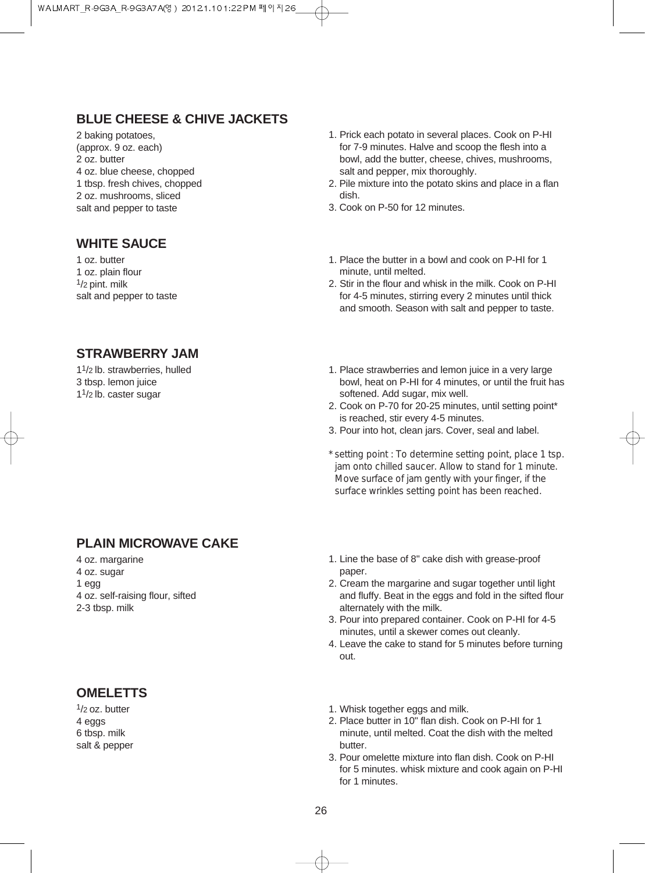### **BLUE CHEESE & CHIVE JACKETS**

2 baking potatoes, (approx. 9 oz. each) 2 oz. butter 4 oz. blue cheese, chopped 1 tbsp. fresh chives, chopped 2 oz. mushrooms, sliced salt and pepper to taste

#### **WHITE SAUCE**

1 oz. butter 1 oz. plain flour  $1/2$  pint. milk salt and pepper to taste

- 1. Prick each potato in several places. Cook on P-HI for 7-9 minutes. Halve and scoop the flesh into a bowl, add the butter, cheese, chives, mushrooms, salt and pepper, mix thoroughly.
- 2. Pile mixture into the potato skins and place in a flan dish.
- 3. Cook on P-50 for 12 minutes.
- 1. Place the butter in a bowl and cook on P-HI for 1 minute, until melted.
- 2. Stir in the flour and whisk in the milk. Cook on P-HI for 4-5 minutes, stirring every 2 minutes until thick and smooth. Season with salt and pepper to taste.

### **STRAWBERRY JAM**

11/2 lb. strawberries, hulled 3 tbsp. lemon juice 11/2 lb. caster sugar

- 1. Place strawberries and lemon juice in a very large bowl, heat on P-HI for 4 minutes, or until the fruit has softened. Add sugar, mix well.
- 2. Cook on P-70 for 20-25 minutes, until setting point\* is reached, stir every 4-5 minutes.
- 3. Pour into hot, clean jars. Cover, seal and label.
- *\* setting point : To determine setting point, place 1 tsp. jam onto chilled saucer. Allow to stand for 1 minute. Move surface of jam gently with your finger, if the surface wrinkles setting point has been reached.*

### **PLAIN MICROWAVE CAKE**

4 oz. margarine 4 oz. sugar 1 egg 4 oz. self-raising flour, sifted 2-3 tbsp. milk

### **OMELETTS**

1/2 oz. butter 4 eggs 6 tbsp. milk salt & pepper

- 1. Line the base of 8" cake dish with grease-proof paper.
- 2. Cream the margarine and sugar together until light and fluffy. Beat in the eggs and fold in the sifted flour alternately with the milk.
- 3. Pour into prepared container. Cook on P-HI for 4-5 minutes, until a skewer comes out cleanly.
- 4. Leave the cake to stand for 5 minutes before turning out.
- 1. Whisk together eggs and milk.
- 2. Place butter in 10" flan dish. Cook on P-HI for 1 minute, until melted. Coat the dish with the melted butter.
- 3. Pour omelette mixture into flan dish. Cook on P-HI for 5 minutes. whisk mixture and cook again on P-HI for 1 minutes.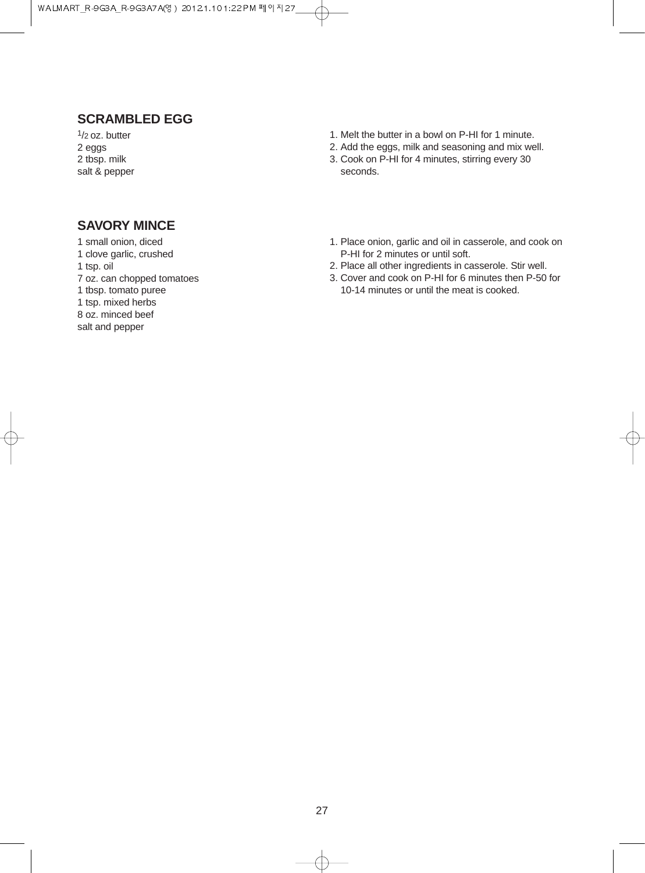## **SCRAMBLED EGG**

 $1/2$  oz. butter 2 eggs 2 tbsp. milk salt & pepper

#### 1. Melt the butter in a bowl on P-HI for 1 minute.

- 2. Add the eggs, milk and seasoning and mix well. 3. Cook on P-HI for 4 minutes, stirring every 30
- seconds.

### **SAVORY MINCE**

- 1 small onion, diced 1 clove garlic, crushed
- 1 tsp. oil
- 7 oz. can chopped tomatoes

1 tbsp. tomato puree

1 tsp. mixed herbs

8 oz. minced beef

salt and pepper

- 1. Place onion, garlic and oil in casserole, and cook on P-HI for 2 minutes or until soft.
- 2. Place all other ingredients in casserole. Stir well.
- 3. Cover and cook on P-HI for 6 minutes then P-50 for 10-14 minutes or until the meat is cooked.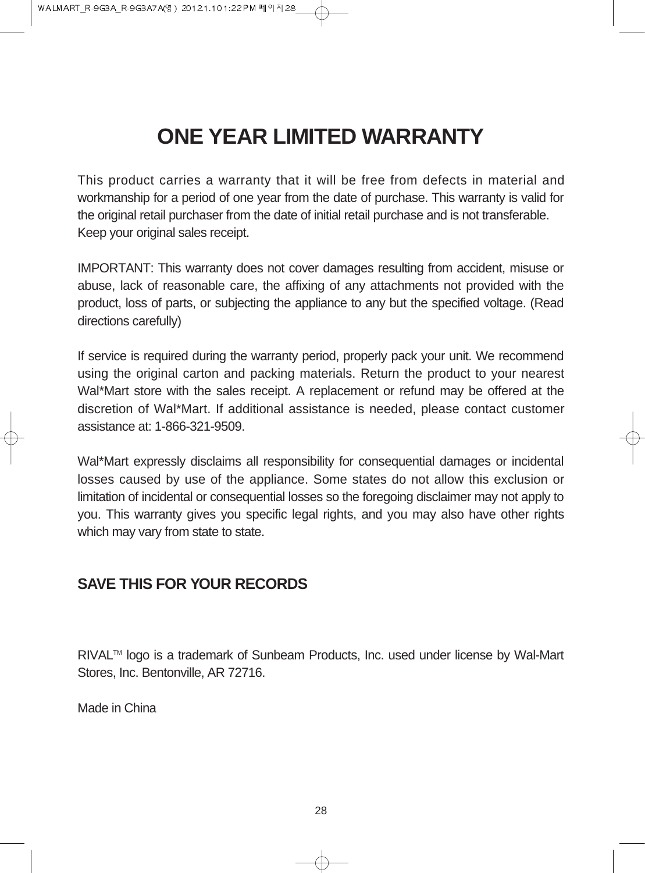## **ONE YEAR LIMITED WARRANTY**

This product carries a warranty that it will be free from defects in material and workmanship for a period of one year from the date of purchase. This warranty is valid for the original retail purchaser from the date of initial retail purchase and is not transferable. Keep your original sales receipt.

IMPORTANT: This warranty does not cover damages resulting from accident, misuse or abuse, lack of reasonable care, the affixing of any attachments not provided with the product, loss of parts, or subjecting the appliance to any but the specified voltage. (Read directions carefully)

If service is required during the warranty period, properly pack your unit. We recommend using the original carton and packing materials. Return the product to your nearest Wal\*Mart store with the sales receipt. A replacement or refund may be offered at the discretion of Wal\*Mart. If additional assistance is needed, please contact customer assistance at: 1-866-321-9509.

Wal\*Mart expressly disclaims all responsibility for consequential damages or incidental losses caused by use of the appliance. Some states do not allow this exclusion or limitation of incidental or consequential losses so the foregoing disclaimer may not apply to you. This warranty gives you specific legal rights, and you may also have other rights which may vary from state to state.

## **SAVE THIS FOR YOUR RECORDS**

RIVAL™ logo is a trademark of Sunbeam Products, Inc. used under license by Wal-Mart Stores, Inc. Bentonville, AR 72716.

Made in China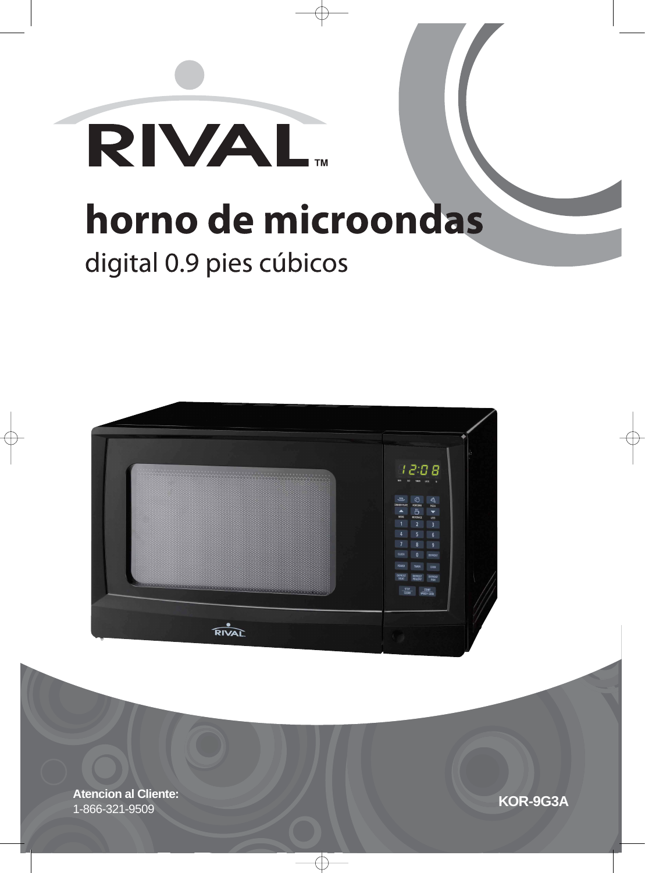



**KOR-9G3A Atencion al Cliente:** 1-866-321-9509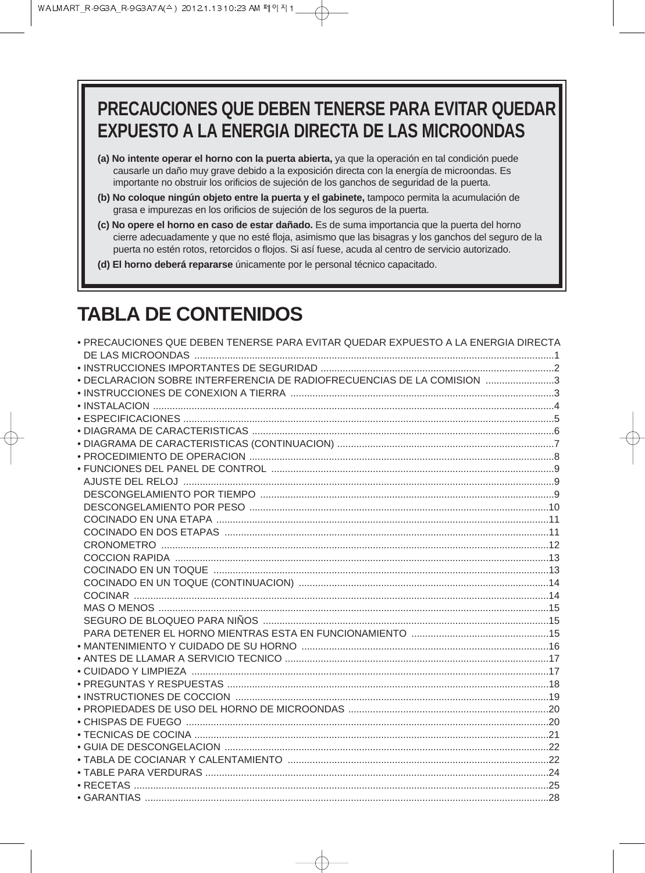## PRECAUCIONES QUE DEBEN TENERSE PARA EVITAR QUEDAR **EXPUESTO A LA ENERGIA DIRECTA DE LAS MICROONDAS**

- (a) No intente operar el horno con la puerta abierta, ya que la operación en tal condición puede causarle un daño muy grave debido a la exposición directa con la energía de microondas. Es importante no obstruir los orificios de sujeción de los ganchos de seguridad de la puerta.
- (b) No coloque ningún objeto entre la puerta y el gabinete, tampoco permita la acumulación de grasa e impurezas en los orificios de sujeción de los seguros de la puerta.
- (c) No opere el horno en caso de estar dañado. Es de suma importancia que la puerta del horno cierre adecuadamente y que no esté floja, asimismo que las bisagras y los ganchos del seguro de la puerta no estén rotos, retorcidos o flojos. Si así fuese, acuda al centro de servicio autorizado.
- (d) El horno deberá repararse únicamente por le personal técnico capacitado.

## **TABLA DE CONTENIDOS**

| · PRECAUCIONES QUE DEBEN TENERSE PARA EVITAR QUEDAR EXPUESTO A LA ENERGIA DIRECTA |  |
|-----------------------------------------------------------------------------------|--|
|                                                                                   |  |
| • DECLARACION SOBRE INTERFERENCIA DE RADIOFRECUENCIAS DE LA COMISION 3            |  |
|                                                                                   |  |
|                                                                                   |  |
|                                                                                   |  |
|                                                                                   |  |
|                                                                                   |  |
|                                                                                   |  |
|                                                                                   |  |
|                                                                                   |  |
|                                                                                   |  |
|                                                                                   |  |
|                                                                                   |  |
|                                                                                   |  |
|                                                                                   |  |
|                                                                                   |  |
|                                                                                   |  |
|                                                                                   |  |
|                                                                                   |  |
|                                                                                   |  |
|                                                                                   |  |
|                                                                                   |  |
|                                                                                   |  |
|                                                                                   |  |
|                                                                                   |  |
|                                                                                   |  |
|                                                                                   |  |
|                                                                                   |  |
|                                                                                   |  |
|                                                                                   |  |
|                                                                                   |  |
|                                                                                   |  |
|                                                                                   |  |
|                                                                                   |  |
|                                                                                   |  |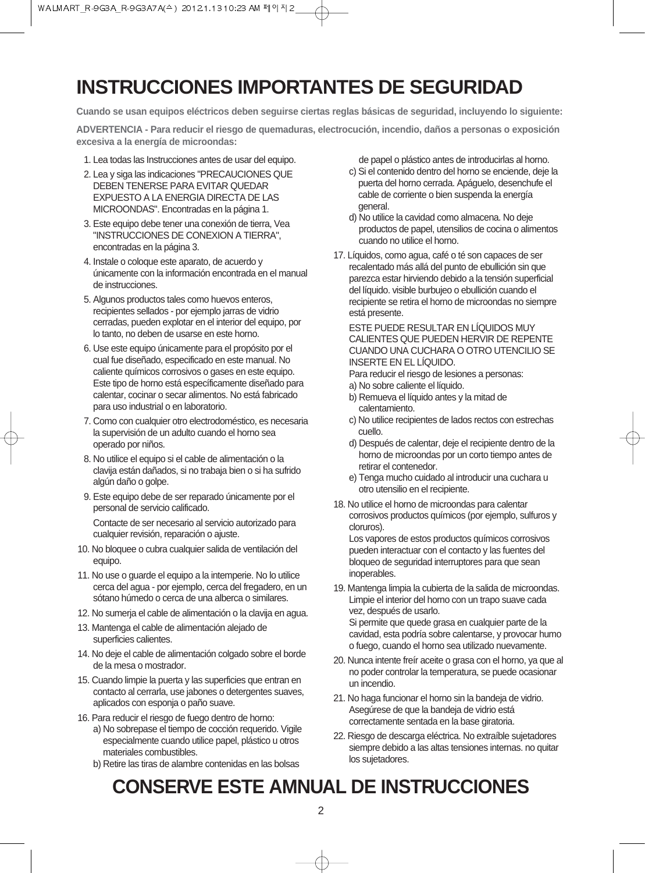## **INSTRUCCIONES IMPORTANTES DE SEGURIDAD**

**Cuando se usan equipos eléctricos deben seguirse ciertas reglas básicas de seguridad, incluyendo lo siguiente:**

**ADVERTENCIA - Para reducir el riesgo de quemaduras, electrocución, incendio, daños a personas o exposición excesiva a la energía de microondas:**

- 1. Lea todas las Instrucciones antes de usar del equipo.
- 2. Lea y siga las indicaciones "PRECAUCIONES QUE DEBEN TENERSE PARA EVITAR QUEDAR EXPUESTO A LA ENERGIA DIRECTA DE LAS MICROONDAS". Encontradas en la página 1.
- 3. Este equipo debe tener una conexión de tierra, Vea "INSTRUCCIONES DE CONEXION A TIERRA", encontradas en la página 3.
- 4. Instale o coloque este aparato, de acuerdo y únicamente con la información encontrada en el manual de instrucciones.
- 5. Algunos productos tales como huevos enteros, recipientes sellados - por ejemplo jarras de vidrio cerradas, pueden explotar en el interior del equipo, por lo tanto, no deben de usarse en este horno.
- 6. Use este equipo únicamente para el propósito por el cual fue diseñado, especificado en este manual. No caliente químicos corrosivos o gases en este equipo. Este tipo de horno está específicamente diseñado para calentar, cocinar o secar alimentos. No está fabricado para uso industrial o en laboratorio.
- 7. Como con cualquier otro electrodoméstico, es necesaria la supervisión de un adulto cuando el horno sea operado por niños.
- 8. No utilice el equipo si el cable de alimentación o la clavija están dañados, si no trabaja bien o si ha sufrido algún daño o golpe.
- 9. Este equipo debe de ser reparado únicamente por el personal de servicio calificado. Contacte de ser necesario al servicio autorizado para

cualquier revisión, reparación o ajuste.

- 10. No bloquee o cubra cualquier salida de ventilación del equipo.
- 11. No use o guarde el equipo a la intemperie. No lo utilice cerca del agua - por ejemplo, cerca del fregadero, en un sótano húmedo o cerca de una alberca o similares.
- 12. No sumerja el cable de alimentación o la clavija en agua.
- 13. Mantenga el cable de alimentación alejado de superficies calientes.
- 14. No deje el cable de alimentación colgado sobre el borde de la mesa o mostrador.
- 15. Cuando limpie la puerta y las superficies que entran en contacto al cerrarla, use jabones o detergentes suaves, aplicados con esponja o paño suave.
- 16. Para reducir el riesgo de fuego dentro de horno:
	- a) No sobrepase el tiempo de cocción requerido. Vigile especialmente cuando utilice papel, plástico u otros materiales combustibles.
	- b) Retire las tiras de alambre contenidas en las bolsas

de papel o plástico antes de introducirlas al horno.

- c) Si el contenido dentro del horno se enciende, deje la puerta del horno cerrada. Apáguelo, desenchufe el cable de corriente o bien suspenda la energía general.
- d) No utilice la cavidad como almacena. No deje productos de papel, utensilios de cocina o alimentos cuando no utilice el horno.
- 17. Líquidos, como agua, café o té son capaces de ser recalentado más allá del punto de ebullición sin que parezca estar hirviendo debido a la tensión superficial del líquido. visible burbujeo o ebullición cuando el recipiente se retira el horno de microondas no siempre está presente.

ESTE PUEDE RESULTAR EN LÍQUIDOS MUY CALIENTES QUE PUEDEN HERVIR DE REPENTE CUANDO UNA CUCHARA O OTRO UTENCILIO SE INSERTE EN EL LÍQUIDO.

Para reducir el riesgo de lesiones a personas:

- a) No sobre caliente el líquido.
- b) Remueva el líquido antes y la mitad de calentamiento.
- c) No utilice recipientes de lados rectos con estrechas cuello.
- d) Después de calentar, deje el recipiente dentro de la horno de microondas por un corto tiempo antes de retirar el contenedor.
- e) Tenga mucho cuidado al introducir una cuchara u otro utensilio en el recipiente.
- 18. No utilice el horno de microondas para calentar corrosivos productos químicos (por ejemplo, sulfuros y cloruros).

Los vapores de estos productos químicos corrosivos pueden interactuar con el contacto y las fuentes del bloqueo de seguridad interruptores para que sean inoperables.

19. Mantenga limpia la cubierta de la salida de microondas. Limpie el interior del horno con un trapo suave cada vez, después de usarlo.

Si permite que quede grasa en cualquier parte de la cavidad, esta podría sobre calentarse, y provocar humo o fuego, cuando el horno sea utilizado nuevamente.

- 20. Nunca intente freír aceite o grasa con el horno, ya que al no poder controlar la temperatura, se puede ocasionar un incendio.
- 21. No haga funcionar el horno sin la bandeja de vidrio. Asegúrese de que la bandeja de vidrio está correctamente sentada en la base giratoria.
- 22. Riesgo de descarga eléctrica. No extraíble sujetadores siempre debido a las altas tensiones internas. no quitar los sujetadores.

## **CONSERVE ESTE AMNUAL DE INSTRUCCIONES**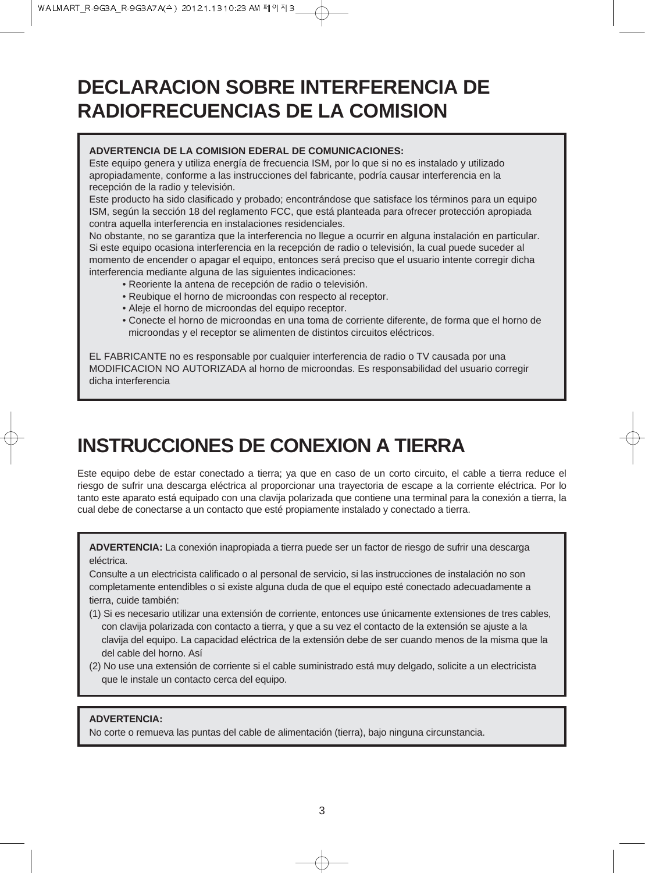## **DECLARACION SOBRE INTERFERENCIA DE RADIOFRECUENCIAS DE LA COMISION**

#### **ADVERTENCIA DE LA COMISION EDERAL DE COMUNICACIONES:**

Este equipo genera y utiliza energía de frecuencia ISM, por lo que si no es instalado y utilizado apropiadamente, conforme a las instrucciones del fabricante, podría causar interferencia en la recepción de la radio y televisión.

Este producto ha sido clasificado y probado; encontrándose que satisface los términos para un equipo ISM, según la sección 18 del reglamento FCC, que está planteada para ofrecer protección apropiada contra aquella interferencia en instalaciones residenciales.

No obstante, no se garantiza que la interferencia no llegue a ocurrir en alguna instalación en particular. Si este equipo ocasiona interferencia en la recepción de radio o televisión, la cual puede suceder al momento de encender o apagar el equipo, entonces será preciso que el usuario intente corregir dicha interferencia mediante alguna de las siguientes indicaciones:

- Reoriente la antena de recepción de radio o televisión.
- Reubique el horno de microondas con respecto al receptor.
- Aleje el horno de microondas del equipo receptor.
- Conecte el horno de microondas en una toma de corriente diferente, de forma que el horno de microondas y el receptor se alimenten de distintos circuitos eléctricos.

EL FABRICANTE no es responsable por cualquier interferencia de radio o TV causada por una MODIFICACION NO AUTORIZADA al horno de microondas. Es responsabilidad del usuario corregir dicha interferencia

## **INSTRUCCIONES DE CONEXION A TIERRA**

Este equipo debe de estar conectado a tierra; ya que en caso de un corto circuito, el cable a tierra reduce el riesgo de sufrir una descarga eléctrica al proporcionar una trayectoria de escape a la corriente eléctrica. Por lo tanto este aparato está equipado con una clavija polarizada que contiene una terminal para la conexión a tierra, la cual debe de conectarse a un contacto que esté propiamente instalado y conectado a tierra.

**ADVERTENCIA:** La conexión inapropiada a tierra puede ser un factor de riesgo de sufrir una descarga eléctrica.

Consulte a un electricista calificado o al personal de servicio, si las instrucciones de instalación no son completamente entendibles o si existe alguna duda de que el equipo esté conectado adecuadamente a tierra, cuide también:

- (1) Si es necesario utilizar una extensión de corriente, entonces use únicamente extensiones de tres cables, con clavija polarizada con contacto a tierra, y que a su vez el contacto de la extensión se ajuste a la clavija del equipo. La capacidad eléctrica de la extensión debe de ser cuando menos de la misma que la del cable del horno. Así
- (2) No use una extensión de corriente si el cable suministrado está muy delgado, solicite a un electricista que le instale un contacto cerca del equipo.

#### **ADVERTENCIA:**

No corte o remueva las puntas del cable de alimentación (tierra), bajo ninguna circunstancia.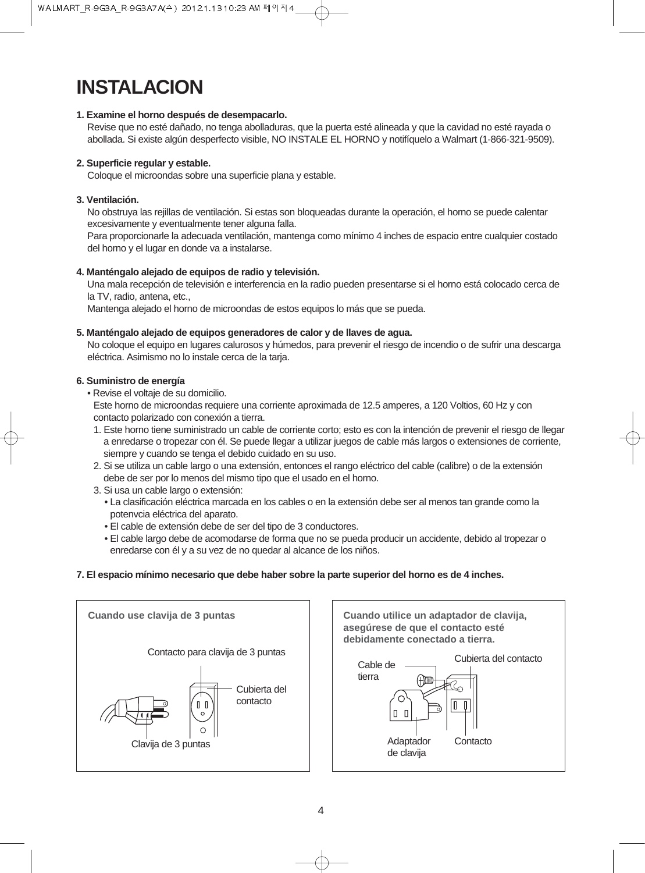## **INSTALACION**

#### **1. Examine el horno después de desempacarlo.**

Revise que no esté dañado, no tenga abolladuras, que la puerta esté alineada y que la cavidad no esté rayada o abollada. Si existe algún desperfecto visible, NO INSTALE EL HORNO y notifíquelo a Walmart (1-866-321-9509).

#### **2. Superficie regular y estable.**

Coloque el microondas sobre una superficie plana y estable.

#### **3. Ventilación.**

No obstruya las rejillas de ventilación. Si estas son bloqueadas durante la operación, el horno se puede calentar excesivamente y eventualmente tener alguna falla.

Para proporcionarle la adecuada ventilación, mantenga como mínimo 4 inches de espacio entre cualquier costado del horno y el lugar en donde va a instalarse.

#### **4. Manténgalo alejado de equipos de radio y televisión.**

Una mala recepción de televisión e interferencia en la radio pueden presentarse si el horno está colocado cerca de la TV, radio, antena, etc.,

Mantenga alejado el horno de microondas de estos equipos lo más que se pueda.

#### **5. Manténgalo alejado de equipos generadores de calor y de llaves de agua.**

No coloque el equipo en lugares calurosos y húmedos, para prevenir el riesgo de incendio o de sufrir una descarga eléctrica. Asimismo no lo instale cerca de la tarja.

#### **6. Suministro de energía**

• Revise el voltaje de su domicilio.

Este horno de microondas requiere una corriente aproximada de 12.5 amperes, a 120 Voltios, 60 Hz y con contacto polarizado con conexión a tierra.

- 1. Este horno tiene suministrado un cable de corriente corto; esto es con la intención de prevenir el riesgo de llegar a enredarse o tropezar con él. Se puede llegar a utilizar juegos de cable más largos o extensiones de corriente, siempre y cuando se tenga el debido cuidado en su uso.
- 2. Si se utiliza un cable largo o una extensión, entonces el rango eléctrico del cable (calibre) o de la extensión debe de ser por lo menos del mismo tipo que el usado en el horno.
- 3. Si usa un cable largo o extensión:
	- La clasificación eléctrica marcada en los cables o en la extensión debe ser al menos tan grande como la potenvcia eléctrica del aparato.
	- El cable de extensión debe de ser del tipo de 3 conductores.
	- El cable largo debe de acomodarse de forma que no se pueda producir un accidente, debido al tropezar o enredarse con él y a su vez de no quedar al alcance de los niños.

#### **7. El espacio mínimo necesario que debe haber sobre la parte superior del horno es de 4 inches.**

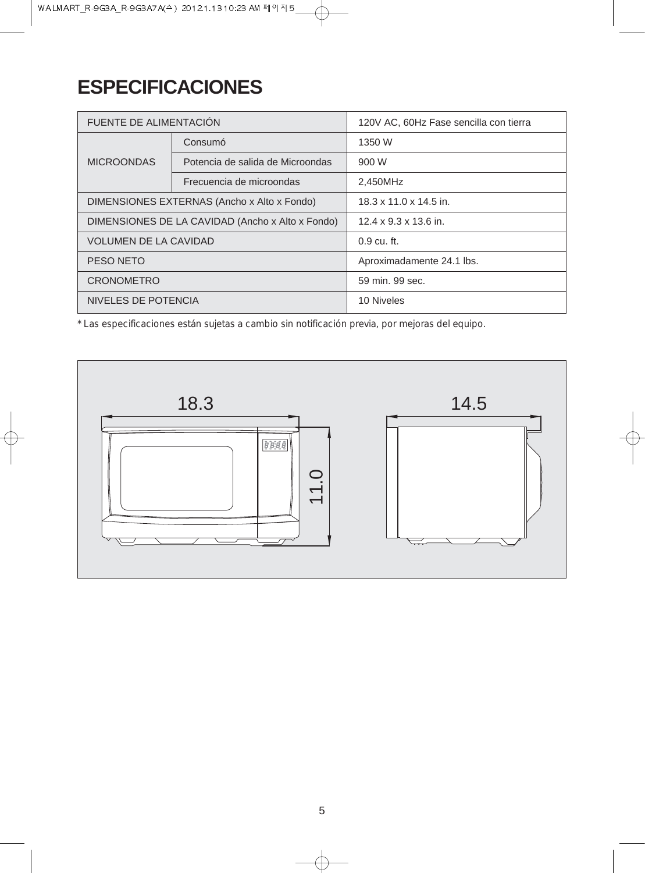## **ESPECIFICACIONES**

| FUENTE DE ALIMENTACIÓN                           |                                  | 120V AC, 60Hz Fase sencilla con tierra |
|--------------------------------------------------|----------------------------------|----------------------------------------|
| Consumó                                          |                                  | 1350 W                                 |
| <b>MICROONDAS</b>                                | Potencia de salida de Microondas | 900 W                                  |
|                                                  | Frecuencia de microondas         | 2.450MHz                               |
| DIMENSIONES EXTERNAS (Ancho x Alto x Fondo)      |                                  | $18.3 \times 11.0 \times 14.5$ in.     |
| DIMENSIONES DE LA CAVIDAD (Ancho x Alto x Fondo) |                                  | $12.4 \times 9.3 \times 13.6$ in.      |
| <b>VOLUMEN DE LA CAVIDAD</b>                     |                                  | $0.9 \text{ cu. ft.}$                  |
| PESO NETO                                        |                                  | Aproximadamente 24.1 lbs.              |
| <b>CRONOMETRO</b>                                |                                  | 59 min. 99 sec.                        |
| NIVELES DE POTENCIA                              |                                  | 10 Niveles                             |

 $\oplus$ 

*\* Las especificaciones están sujetas a cambio sin notificación previa, por mejoras del equipo.*

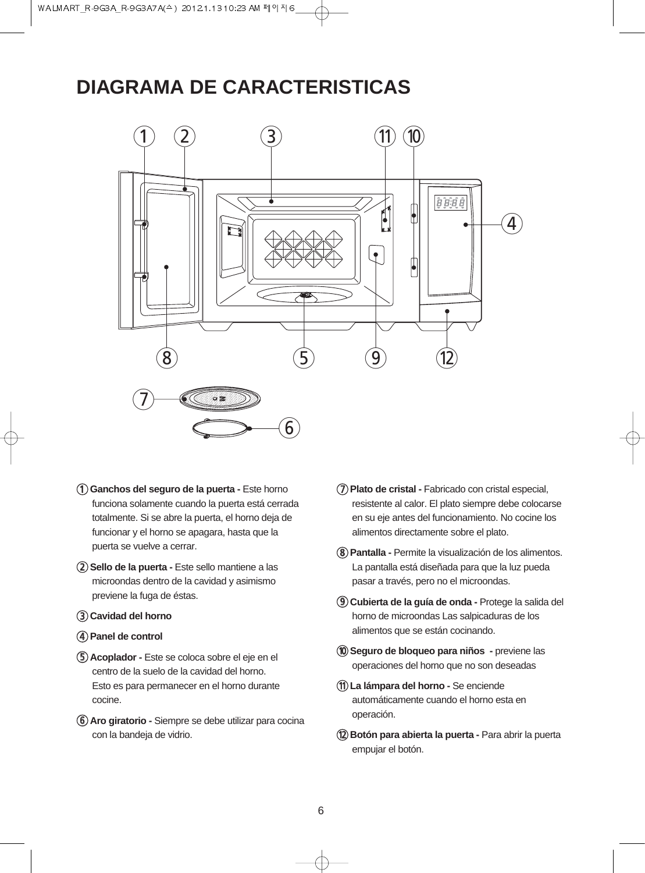## **DIAGRAMA DE CARACTERISTICAS**



- 1**Ganchos del seguro de la puerta -** Este horno funciona solamente cuando la puerta está cerrada totalmente. Si se abre la puerta, el horno deja de funcionar y el horno se apagara, hasta que la puerta se vuelve a cerrar.
- 2**Sello de la puerta -** Este sello mantiene a las microondas dentro de la cavidad y asimismo previene la fuga de éstas.
- 3**Cavidad del horno**
- 4**Panel de control**
- 5**Acoplador -** Este se coloca sobre el eje en el centro de la suelo de la cavidad del horno. Esto es para permanecer en el horno durante cocine.
- 6**Aro giratorio -** Siempre se debe utilizar para cocina con la bandeja de vidrio.
- 7**Plato de cristal -** Fabricado con cristal especial, resistente al calor. El plato siempre debe colocarse en su eje antes del funcionamiento. No cocine los alimentos directamente sobre el plato.
- 8**Pantalla -** Permite la visualización de los alimentos. La pantalla está diseñada para que la luz pueda pasar a través, pero no el microondas.
- 9**Cubierta de la guía de onda -** Protege la salida del horno de microondas Las salpicaduras de los alimentos que se están cocinando.
- 0**Seguro de bloqueo para niños -** previene las operaciones del horno que no son deseadas
- q**La lámpara del horno -** Se enciende automáticamente cuando el horno esta en operación.
- **(12) Botón para abierta la puerta -** Para abrir la puerta empujar el botón.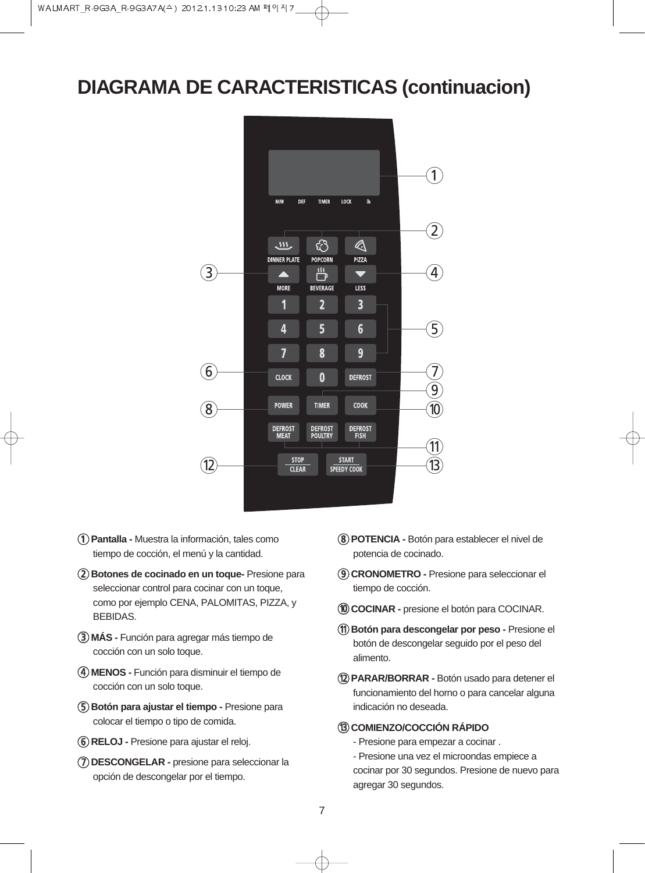## **DIAGRAMA DE CARACTERISTICAS (continuacion)**



- 1**Pantalla -** Muestra la información, tales como tiempo de cocción, el menú y la cantidad.
- 2**Botones de cocinado en un toque-** Presione para seleccionar control para cocinar con un toque, como por ejemplo CENA, PALOMITAS, PIZZA, y BEBIDAS.
- 3**MÁS -** Función para agregar más tiempo de cocción con un solo toque.
- 4**MENOS -** Función para disminuir el tiempo de cocción con un solo toque.
- 5**Botón para ajustar el tiempo -** Presione para colocar el tiempo o tipo de comida.
- 6**RELOJ -** Presione para ajustar el reloj.
- 7**DESCONGELAR -** presione para seleccionar la opción de descongelar por el tiempo.
- 8**POTENCIA -** Botón para establecer el nivel de potencia de cocinado.
- 9**CRONOMETRO -** Presione para seleccionar el tiempo de cocción.
- 0**COCINAR -** presione el botón para COCINAR.
- q**Botón para descongelar por peso -** Presione el botón de descongelar seguido por el peso del alimento.
- w**PARAR/BORRAR -** Botón usado para detener el funcionamiento del horno o para cancelar alguna indicación no deseada.
- e**COMIENZO/COCCIÓN RÁPIDO**

agregar 30 segundos.

- Presione para empezar a cocinar .
- Presione una vez el microondas empiece a cocinar por 30 segundos. Presione de nuevo para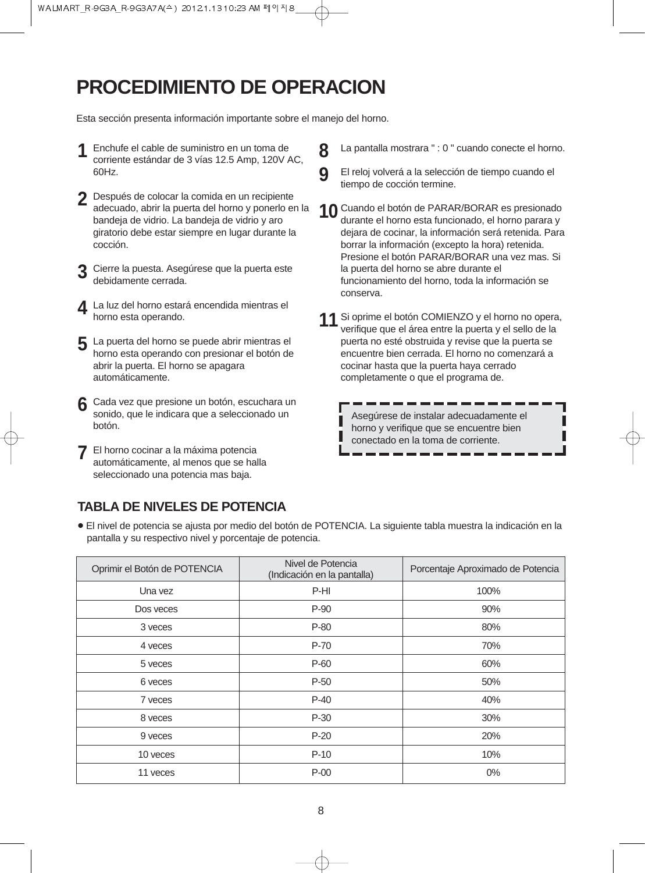## **PROCEDIMIENTO DE OPERACION**

Esta sección presenta información importante sobre el manejo del horno.

- Enchufe el cable de suministro en un toma de corriente estándar de 3 vías 12.5 Amp, 120V AC, 60Hz. **1**
- Después de colocar la comida en un recipiente **2** adecuado, abrir la puerta del horno y ponerlo en la bandeja de vidrio. La bandeja de vidrio y aro giratorio debe estar siempre en lugar durante la cocción.
- Cierre la puesta. Asegúrese que la puerta este **3** debidamente cerrada.
- 4 La luz del horno estará encendida mientras el<br>horno esta operando horno esta operando.
- La puerta del horno se puede abrir mientras el horno esta operando con presionar el botón de abrir la puerta. El horno se apagara automáticamente. **5**
- Cada vez que presione un botón, escuchara un sonido, que le indicara que a seleccionado un botón. **6**
- El horno cocinar a la máxima potencia automáticamente, al menos que se halla seleccionado una potencia mas baja. **7**

### **TABLA DE NIVELES DE POTENCIA**

- La pantalla mostrara " : 0 " cuando conecte el horno.
- El reloj volverá a la selección de tiempo cuando el tiempo de cocción termine.
- Cuando el botón de PARAR/BORAR es presionado durante el horno esta funcionado, el horno parara y dejara de cocinar, la información será retenida. Para borrar la información (excepto la hora) retenida. Presione el botón PARAR/BORAR una vez mas. Si la puerta del horno se abre durante el funcionamiento del horno, toda la información se conserva. **10**
	-

**8**

**9**

**11** Si oprime el botón COMIENZO y el horno no opera,<br>Verifique que el área entre la puerta y el sello de la verifique que el área entre la puerta y el sello de la puerta no esté obstruida y revise que la puerta se encuentre bien cerrada. El horno no comenzará a cocinar hasta que la puerta haya cerrado completamente o que el programa de.

> Asegúrese de instalar adecuadamente el horno y verifique que se encuentre bien conectado en la toma de corriente.

• El nivel de potencia se ajusta por medio del botón de POTENCIA. La siguiente tabla muestra la indicación en la pantalla y su respectivo nivel y porcentaje de potencia.

| Oprimir el Botón de POTENCIA | Nivel de Potencia<br>(Indicación en la pantalla) | Porcentaje Aproximado de Potencia |
|------------------------------|--------------------------------------------------|-----------------------------------|
| Una vez                      | P-HI                                             | 100%                              |
| Dos veces                    | $P-90$                                           | 90%                               |
| 3 veces                      | $P-80$                                           | 80%                               |
| 4 yeces                      | P-70                                             | 70%                               |
| 5 yeces                      | $P-60$                                           | 60%                               |
| 6 yeces                      | $P-50$                                           | 50%                               |
| 7 yeces                      | $P-40$                                           | 40%                               |
| 8 veces                      | $P-30$                                           | 30%                               |
| 9 veces                      | $P-20$                                           | 20%                               |
| 10 yeces                     | $P-10$                                           | 10%                               |
| 11 yeces                     | $P-00$                                           | $0\%$                             |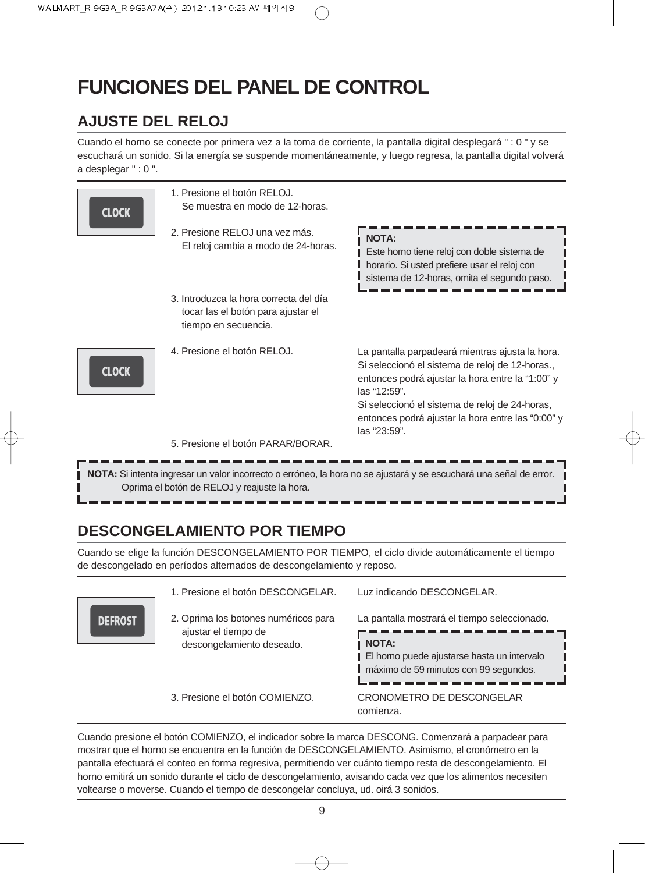## **FUNCIONES DEL PANEL DE CONTROL**

## **AJUSTE DEL RELOJ**

Cuando el horno se conecte por primera vez a la toma de corriente, la pantalla digital desplegará " : 0 " y se escuchará un sonido. Si la energía se suspende momentáneamente, y luego regresa, la pantalla digital volverá a desplegar " : 0 ".

| <b>CLOCK</b> | 1. Presione el botón RELOJ.<br>Se muestra en modo de 12-horas.<br>2. Presione RELOJ una vez más.<br>El reloj cambia a modo de 24-horas. | <b>NOTA:</b><br>Este horno tiene reloj con doble sistema de<br>horario. Si usted prefiere usar el reloj con<br>sistema de 12-horas, omita el segundo paso.                                                                                                                                             |
|--------------|-----------------------------------------------------------------------------------------------------------------------------------------|--------------------------------------------------------------------------------------------------------------------------------------------------------------------------------------------------------------------------------------------------------------------------------------------------------|
|              | 3. Introduzca la hora correcta del día<br>tocar las el botón para ajustar el<br>tiempo en secuencia.                                    |                                                                                                                                                                                                                                                                                                        |
| <b>CLOCK</b> | 4. Presione el botón RELOJ.                                                                                                             | La pantalla parpadeará mientras ajusta la hora.<br>Si seleccionó el sistema de reloj de 12-horas.,<br>entonces podrá ajustar la hora entre la "1:00" y<br>$\text{las}$ "12:59".<br>Si seleccionó el sistema de reloj de 24-horas,<br>entonces podrá ajustar la hora entre las "0:00" y<br>las "23:59". |
|              | 5. Presione el botón PARAR/BORAR.                                                                                                       |                                                                                                                                                                                                                                                                                                        |
|              | Oprima el botón de RELOJ y reajuste la hora.                                                                                            | NOTA: Si intenta ingresar un valor incorrecto o erróneo, la hora no se ajustará y se escuchará una señal de error.                                                                                                                                                                                     |

## **DESCONGELAMIENTO POR TIEMPO**

**DEFRC** 

Cuando se elige la función DESCONGELAMIENTO POR TIEMPO, el ciclo divide automáticamente el tiempo de descongelado en períodos alternados de descongelamiento y reposo.

|                                                   | 1. Presione el botón DESCONGELAR.                                                                    | Luz indicando DESCONGELAR.                   |
|---------------------------------------------------|------------------------------------------------------------------------------------------------------|----------------------------------------------|
| $\overline{\text{ST}}$                            | 2. Oprima los botones numéricos para                                                                 | La pantalla mostrará el tiempo seleccionado. |
| ajustar el tiempo de<br>descongelamiento deseado. | <b>NOTA:</b><br>El horno puede ajustarse hasta un intervalo<br>máximo de 59 minutos con 99 segundos. |                                              |
|                                                   | 3. Presione el botón COMIENZO.                                                                       | CRONOMETRO DE DESCONGELAR<br>comienza.       |

Cuando presione el botón COMIENZO, el indicador sobre la marca DESCONG. Comenzará a parpadear para mostrar que el horno se encuentra en la función de DESCONGELAMIENTO. Asimismo, el cronómetro en la pantalla efectuará el conteo en forma regresiva, permitiendo ver cuánto tiempo resta de descongelamiento. El horno emitirá un sonido durante el ciclo de descongelamiento, avisando cada vez que los alimentos necesiten voltearse o moverse. Cuando el tiempo de descongelar concluya, ud. oirá 3 sonidos.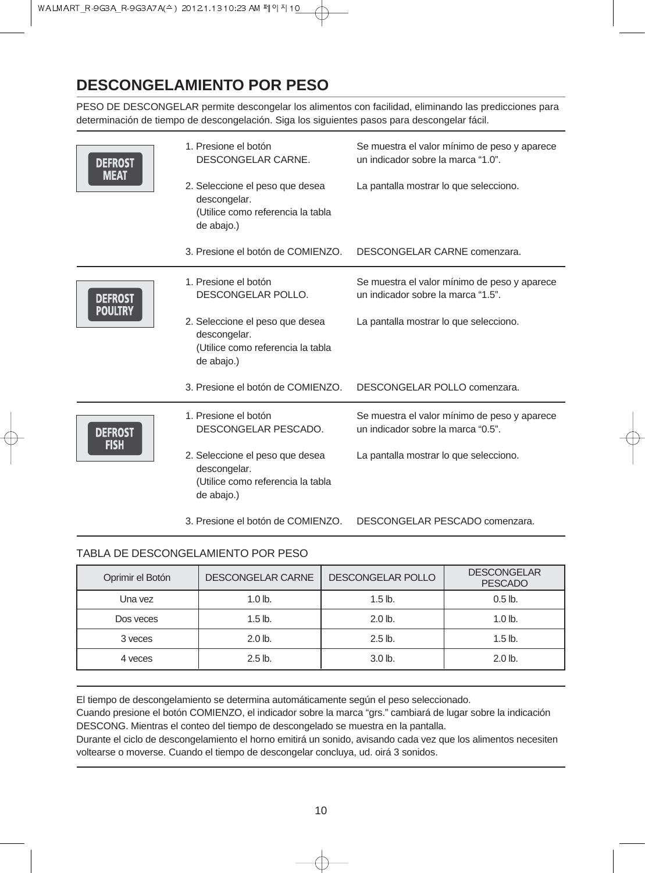## **DESCONGELAMIENTO POR PESO**

PESO DE DESCONGELAR permite descongelar los alimentos con facilidad, eliminando las predicciones para determinación de tiempo de descongelación. Siga los siguientes pasos para descongelar fácil.

| <b>DEFROST</b><br><b>MEAT</b> | 1. Presione el botón<br>DESCONGELAR CARNE.                                                         | Se muestra el valor mínimo de peso y aparece<br>un indicador sobre la marca "1.0". |
|-------------------------------|----------------------------------------------------------------------------------------------------|------------------------------------------------------------------------------------|
|                               | 2. Seleccione el peso que desea<br>descongelar.<br>(Utilice como referencia la tabla<br>de abajo.) | La pantalla mostrar lo que selecciono.                                             |
|                               | 3. Presione el botón de COMIENZO.                                                                  | DESCONGELAR CARNE comenzara.                                                       |
| <b>DEFROST</b>                | 1. Presione el botón<br>DESCONGELAR POLLO.                                                         | Se muestra el valor mínimo de peso y aparece<br>un indicador sobre la marca "1.5". |
| <b>POULTRY</b>                | 2. Seleccione el peso que desea<br>descongelar.<br>(Utilice como referencia la tabla<br>de abajo.) | La pantalla mostrar lo que selecciono.                                             |
|                               | 3. Presione el botón de COMIENZO.                                                                  | DESCONGELAR POLLO comenzara.                                                       |
| <b>DEFROST</b><br><b>FISH</b> | 1. Presione el botón<br>DESCONGELAR PESCADO.                                                       | Se muestra el valor mínimo de peso y aparece<br>un indicador sobre la marca "0.5". |
|                               | 2. Seleccione el peso que desea<br>descongelar.<br>(Utilice como referencia la tabla<br>de abajo.) | La pantalla mostrar lo que selecciono.                                             |
|                               | 3. Presione el botón de COMIENZO.                                                                  | DESCONGELAR PESCADO comenzara.                                                     |

#### TABLA DE DESCONGELAMIENTO POR PESO

| Oprimir el Botón | <b>DESCONGELAR CARNE</b> | <b>DESCONGELAR POLLO</b> | <b>DESCONGELAR</b><br><b>PESCADO</b> |
|------------------|--------------------------|--------------------------|--------------------------------------|
| Una vez          | $1.0$ lb.                | $1.5$ lb.                | $0.5$ lb.                            |
| Dos veces        | $1.5$ lb.                | $2.0$ lb.                | $1.0$ lb.                            |
| 3 yeces          | $2.0$ lb.                | $2.5$ lb.                | $1.5$ lb.                            |
| 4 yeces          | $2.5$ lb.                | 3.0 <sub>lb</sub>        | $2.0$ lb.                            |

El tiempo de descongelamiento se determina automáticamente según el peso seleccionado.

Cuando presione el botón COMIENZO, el indicador sobre la marca "grs." cambiará de lugar sobre la indicación DESCONG. Mientras el conteo del tiempo de descongelado se muestra en la pantalla.

Durante el ciclo de descongelamiento el horno emitirá un sonido, avisando cada vez que los alimentos necesiten voltearse o moverse. Cuando el tiempo de descongelar concluya, ud. oirá 3 sonidos.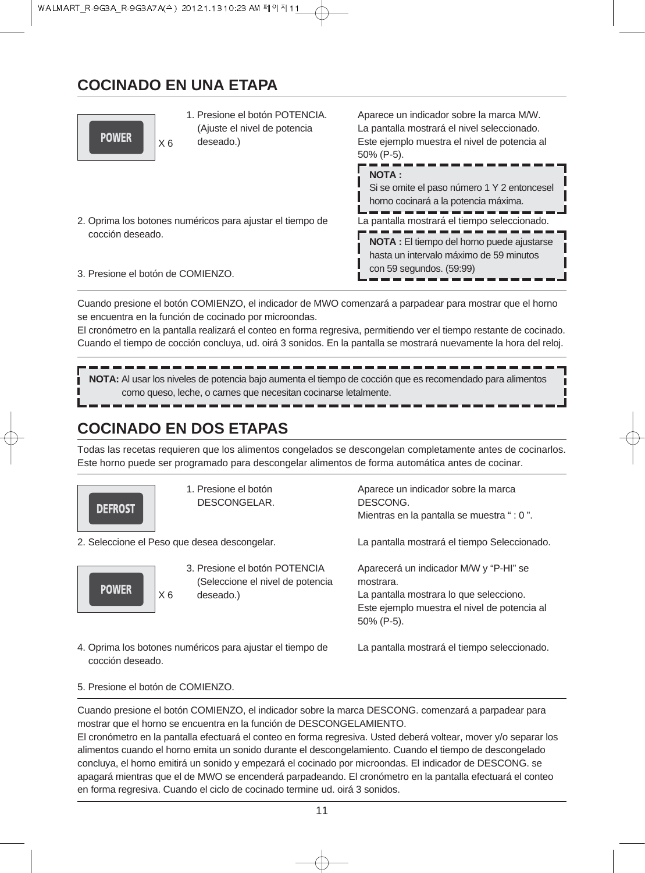## **COCINADO EN UNA ETAPA**



1. Presione el botón POTENCIA. (Ajuste el nivel de potencia deseado.)

Aparece un indicador sobre la marca M/W. La pantalla mostrará el nivel seleccionado. Este ejemplo muestra el nivel de potencia al 50% (P-5).

2. Oprima los botones numéricos para ajustar el tiempo de cocción deseado.

La pantalla mostrará el tiempo seleccionado. **NOTA :** Si se omite el paso número 1 Y 2 entoncesel horno cocinará a la potencia máxima.

**NOTA :** El tiempo del horno puede ajustarse hasta un intervalo máximo de 59 minutos

con 59 segundos. (59:99)

3. Presione el botón de COMIENZO.

Cuando presione el botón COMIENZO, el indicador de MWO comenzará a parpadear para mostrar que el horno se encuentra en la función de cocinado por microondas.

El cronómetro en la pantalla realizará el conteo en forma regresiva, permitiendo ver el tiempo restante de cocinado. Cuando el tiempo de cocción concluya, ud. oirá 3 sonidos. En la pantalla se mostrará nuevamente la hora del reloj.

**NOTA:** Al usar los niveles de potencia bajo aumenta el tiempo de cocción que es recomendado para alimentos como queso, leche, o carnes que necesitan cocinarse letalmente.

## **COCINADO EN DOS ETAPAS**

Todas las recetas requieren que los alimentos congelados se descongelan completamente antes de cocinarlos. Este horno puede ser programado para descongelar alimentos de forma automática antes de cocinar.



1. Presione el botón DESCONGELAR.

2. Seleccione el Peso que desea descongelar.



3. Presione el botón POTENCIA (Seleccione el nivel de potencia deseado.)

Aparece un indicador sobre la marca DESCONG. Mientras en la pantalla se muestra " : 0 ".

La pantalla mostrará el tiempo Seleccionado.

Aparecerá un indicador M/W y "P-HI" se mostrara. La pantalla mostrara lo que selecciono. Este ejemplo muestra el nivel de potencia al 50% (P-5).

4. Oprima los botones numéricos para ajustar el tiempo de cocción deseado.

La pantalla mostrará el tiempo seleccionado.

5. Presione el botón de COMIENZO.

Cuando presione el botón COMIENZO, el indicador sobre la marca DESCONG. comenzará a parpadear para mostrar que el horno se encuentra en la función de DESCONGELAMIENTO.

El cronómetro en la pantalla efectuará el conteo en forma regresiva. Usted deberá voltear, mover y/o separar los alimentos cuando el horno emita un sonido durante el descongelamiento. Cuando el tiempo de descongelado concluya, el horno emitirá un sonido y empezará el cocinado por microondas. El indicador de DESCONG. se apagará mientras que el de MWO se encenderá parpadeando. El cronómetro en la pantalla efectuará el conteo en forma regresiva. Cuando el ciclo de cocinado termine ud. oirá 3 sonidos.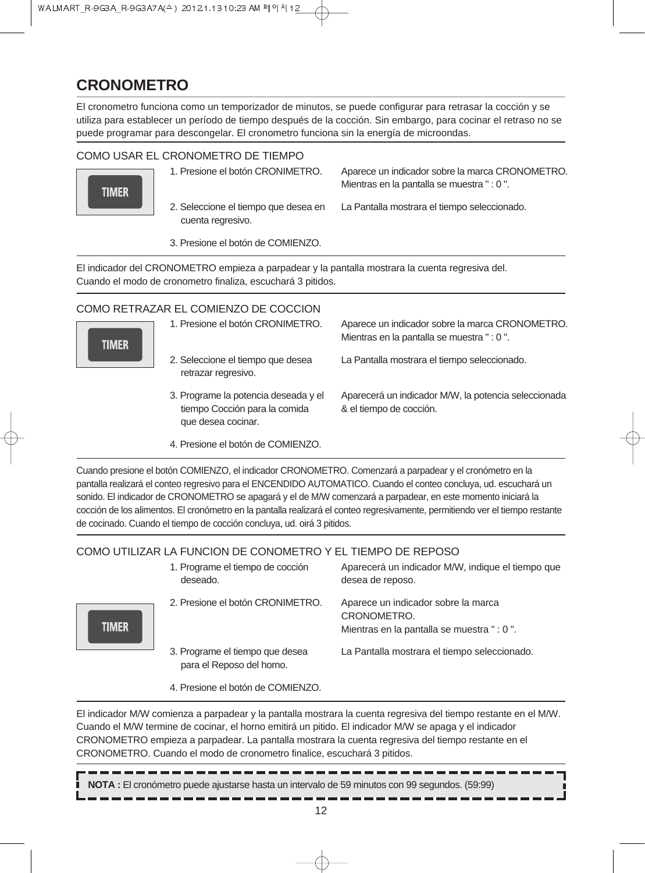## **CRONOMETRO**

El cronometro funciona como un temporizador de minutos, se puede configurar para retrasar la cocción y se utiliza para establecer un período de tiempo después de la cocción. Sin embargo, para cocinar el retraso no se puede programar para descongelar. El cronometro funciona sin la energía de microondas.

#### COMO USAR EL CRONOMETRO DE TIEMPO



1. Presione el botón CRONIMETRO.

Aparece un indicador sobre la marca CRONOMETRO. Mientras en la pantalla se muestra " : 0 ".

2. Seleccione el tiempo que desea en cuenta regresivo.

La Pantalla mostrara el tiempo seleccionado.

3. Presione el botón de COMIENZO.

El indicador del CRONOMETRO empieza a parpadear y la pantalla mostrara la cuenta regresiva del. Cuando el modo de cronometro finaliza, escuchará 3 pitidos.

#### COMO RETRAZAR EL COMIENZO DE COCCION



- 1. Presione el botón CRONIMETRO. Aparece un indicador sobre la marca CRONOMETRO. Mientras en la pantalla se muestra " : 0 ".
- 2. Seleccione el tiempo que desea retrazar regresivo.
- 3. Programe la potencia deseada y el tiempo Cocción para la comida que desea cocinar.

La Pantalla mostrara el tiempo seleccionado.

- Aparecerá un indicador M/W, la potencia seleccionada & el tiempo de cocción.
- 4. Presione el botón de COMIENZO.

Cuando presione el botón COMIENZO, el indicador CRONOMETRO. Comenzará a parpadear y el cronómetro en la pantalla realizará el conteo regresivo para el ENCENDIDO AUTOMATICO. Cuando el conteo concluya, ud. escuchará un sonido. El indicador de CRONOMETRO se apagará y el de M/W comenzará a parpadear, en este momento iniciará la cocción de los alimentos. El cronómetro en la pantalla realizará el conteo regresivamente, permitiendo ver el tiempo restante de cocinado. Cuando el tiempo de cocción concluya, ud. oirá 3 pitidos.

#### COMO UTILIZAR LA FUNCION DE CONOMETRO Y EL TIEMPO DE REPOSO

|              | 1. Programe el tiempo de cocción<br>deseado.                 | Aparecerá un indicador M/W, indique el tiempo que<br>desea de reposo.                            |
|--------------|--------------------------------------------------------------|--------------------------------------------------------------------------------------------------|
| <b>TIMER</b> | 2. Presione el botón CRONIMETRO.                             | Aparece un indicador sobre la marca<br>CRONOMETRO.<br>Mientras en la pantalla se muestra " : 0". |
|              | 3. Programe el tiempo que desea<br>para el Reposo del horno. | La Pantalla mostrara el tiempo seleccionado.                                                     |
|              | 4. Presione el botón de COMIENZO.                            |                                                                                                  |

El indicador M/W comienza a parpadear y la pantalla mostrara la cuenta regresiva del tiempo restante en el M/W. Cuando el M/W termine de cocinar, el horno emitirá un pitido. El indicador M/W se apaga y el indicador CRONOMETRO empieza a parpadear. La pantalla mostrara la cuenta regresiva del tiempo restante en el CRONOMETRO. Cuando el modo de cronometro finalice, escuchará 3 pitidos.

**NOTA :** El cronómetro puede ajustarse hasta un intervalo de 59 minutos con 99 segundos. (59:99)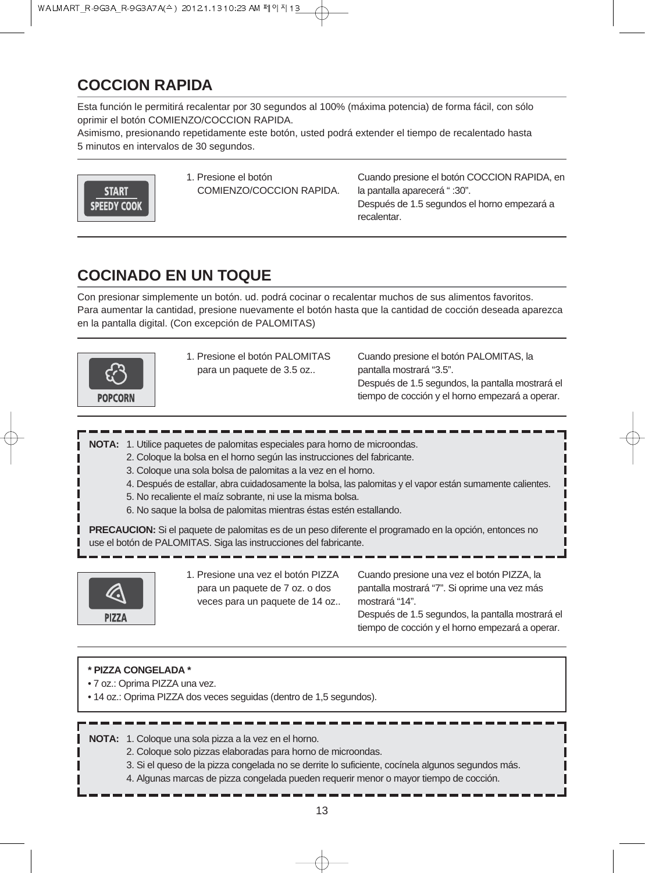## **COCCION RAPIDA**

Esta función le permitirá recalentar por 30 segundos al 100% (máxima potencia) de forma fácil, con sólo oprimir el botón COMIENZO/COCCION RAPIDA.

Asimismo, presionando repetidamente este botón, usted podrá extender el tiempo de recalentado hasta 5 minutos en intervalos de 30 segundos.



1. Presione el botón COMIENZO/COCCION RAPIDA. Cuando presione el botón COCCION RAPIDA, en la pantalla aparecerá " :30". Después de 1.5 segundos el horno empezará a

## **COCINADO EN UN TOQUE**

Con presionar simplemente un botón. ud. podrá cocinar o recalentar muchos de sus alimentos favoritos. Para aumentar la cantidad, presione nuevamente el botón hasta que la cantidad de cocción deseada aparezca en la pantalla digital. (Con excepción de PALOMITAS)

recalentar.



1. Presione el botón PALOMITAS para un paquete de 3.5 oz..

Cuando presione el botón PALOMITAS, la pantalla mostrará "3.5". Después de 1.5 segundos, la pantalla mostrará el tiempo de cocción y el horno empezará a operar.

**NOTA:** 1. Utilice paquetes de palomitas especiales para horno de microondas.

- 2. Coloque la bolsa en el horno según las instrucciones del fabricante.
- 3. Coloque una sola bolsa de palomitas a la vez en el horno.
- 4. Después de estallar, abra cuidadosamente la bolsa, las palomitas y el vapor están sumamente calientes.
- 5. No recaliente el maíz sobrante, ni use la misma bolsa.
- 6. No saque la bolsa de palomitas mientras éstas estén estallando.

**PRECAUCION:** Si el paquete de palomitas es de un peso diferente el programado en la opción, entonces no use el botón de PALOMITAS. Siga las instrucciones del fabricante.



1. Presione una vez el botón PIZZA para un paquete de 7 oz. o dos veces para un paquete de 14 oz..

Cuando presione una vez el botón PIZZA, la pantalla mostrará "7". Si oprime una vez más mostrará "14".

Después de 1.5 segundos, la pantalla mostrará el tiempo de cocción y el horno empezará a operar.

#### **\* PIZZA CONGELADA \***

- 7 oz.: Oprima PIZZA una vez.
- 14 oz.: Oprima PIZZA dos veces seguidas (dentro de 1,5 segundos).

**NOTA:** 1. Coloque una sola pizza a la vez en el horno.

- 2. Coloque solo pizzas elaboradas para horno de microondas.
- 3. Si el queso de la pizza congelada no se derrite lo suficiente, cocínela algunos segundos más.
- 4. Algunas marcas de pizza congelada pueden requerir menor o mayor tiempo de cocción.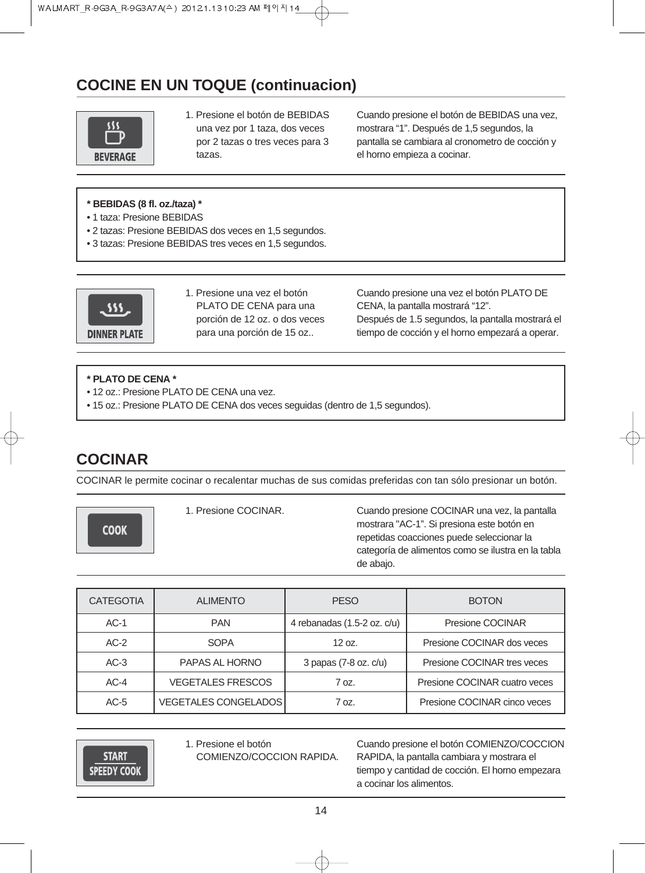## **COCINE EN UN TOQUE (continuacion)**



1. Presione el botón de BEBIDAS una vez por 1 taza, dos veces por 2 tazas o tres veces para 3 tazas.

Cuando presione el botón de BEBIDAS una vez, mostrara "1". Después de 1,5 segundos, la pantalla se cambiara al cronometro de cocción y el horno empieza a cocinar.

- **\* BEBIDAS (8 fl. oz./taza) \***
- 1 taza: Presione BEBIDAS
- 2 tazas: Presione BEBIDAS dos veces en 1,5 segundos.
- 3 tazas: Presione BEBIDAS tres veces en 1,5 segundos.



1. Presione una vez el botón PLATO DE CENA para una porción de 12 oz. o dos veces para una porción de 15 oz..

Cuando presione una vez el botón PLATO DE CENA, la pantalla mostrará "12". Después de 1.5 segundos, la pantalla mostrará el tiempo de cocción y el horno empezará a operar.

#### **\* PLATO DE CENA \***

- 12 oz.: Presione PLATO DE CENA una vez.
- 15 oz.: Presione PLATO DE CENA dos veces seguidas (dentro de 1,5 segundos).

## **COCINAR**

COCINAR le permite cocinar o recalentar muchas de sus comidas preferidas con tan sólo presionar un botón.

**COOK** 

1. Presione COCINAR. Cuando presione COCINAR una vez, la pantalla mostrara "AC-1". Si presiona este botón en repetidas coacciones puede seleccionar la categoría de alimentos como se ilustra en la tabla de abajo.

| <b>CATEGOTIA</b> | <b>ALIMENTO</b>             | <b>PESO</b>                 | <b>BOTON</b>                  |
|------------------|-----------------------------|-----------------------------|-------------------------------|
| $AC-1$           | <b>PAN</b>                  | 4 rebanadas (1.5-2 oz. c/u) | Presione COCINAR              |
| $AC-2$           | <b>SOPA</b>                 | 12 oz.                      | Presione COCINAR dos veces    |
| $AC-3$           | PAPAS AL HORNO              | 3 papas (7-8 oz. c/u)       | Presione COCINAR tres veces   |
| $AC-4$           | <b>VEGETALES FRESCOS</b>    | 70z                         | Presione COCINAR cuatro veces |
| $AC-5$           | <b>VEGETALES CONGELADOS</b> | 70z                         | Presione COCINAR cinco veces  |

**START SPEEDY COOK**  1. Presione el botón COMIENZO/COCCION RAPIDA. Cuando presione el botón COMIENZO/COCCION RAPIDA, la pantalla cambiara y mostrara el tiempo y cantidad de cocción. El horno empezara a cocinar los alimentos.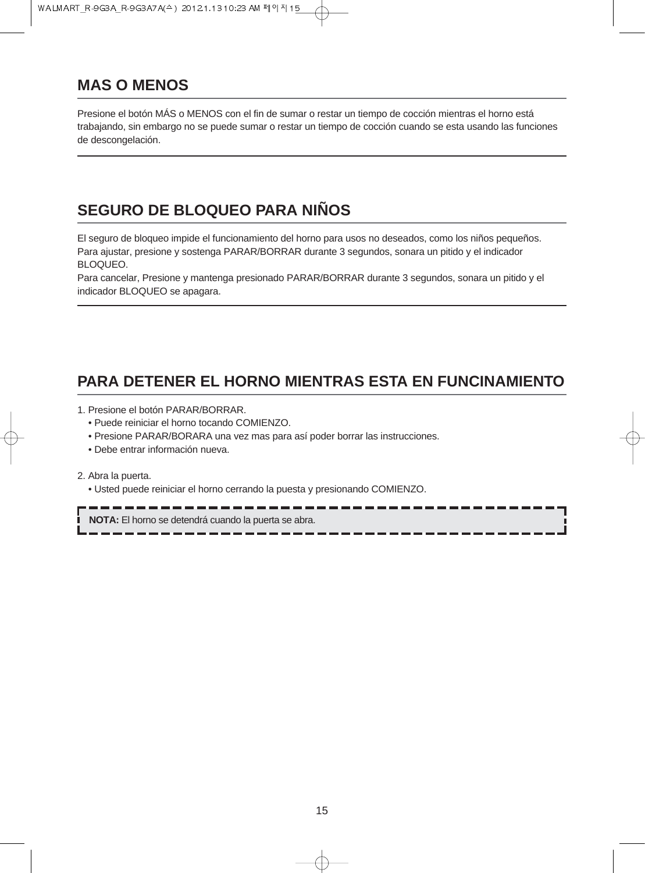## **MAS O MENOS**

Presione el botón MÁS o MENOS con el fin de sumar o restar un tiempo de cocción mientras el horno está trabajando, sin embargo no se puede sumar o restar un tiempo de cocción cuando se esta usando las funciones de descongelación.

## **SEGURO DE BLOQUEO PARA NIÑOS**

El seguro de bloqueo impide el funcionamiento del horno para usos no deseados, como los niños pequeños. Para ajustar, presione y sostenga PARAR/BORRAR durante 3 segundos, sonara un pitido y el indicador BLOQUEO.

Para cancelar, Presione y mantenga presionado PARAR/BORRAR durante 3 segundos, sonara un pitido y el indicador BLOQUEO se apagara.

## **PARA DETENER EL HORNO MIENTRAS ESTA EN FUNCINAMIENTO**

1. Presione el botón PARAR/BORRAR.

- Puede reiniciar el horno tocando COMIENZO.
- Presione PARAR/BORARA una vez mas para así poder borrar las instrucciones.
- Debe entrar información nueva.

2. Abra la puerta.

• Usted puede reiniciar el horno cerrando la puesta y presionando COMIENZO.

**NOTA:** El horno se detendrá cuando la puerta se abra.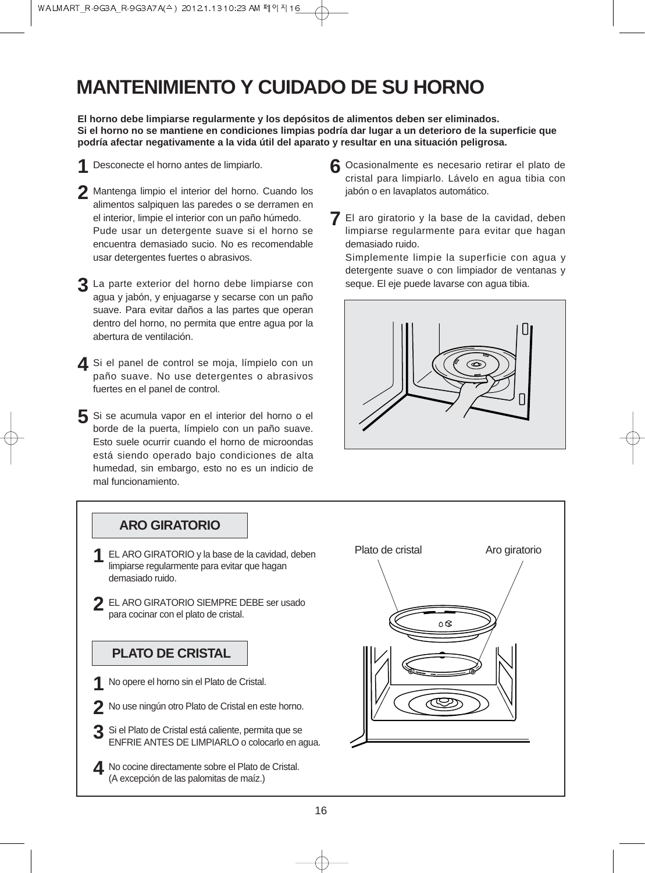## **MANTENIMIENTO Y CUIDADO DE SU HORNO**

**El horno debe limpiarse regularmente y los depósitos de alimentos deben ser eliminados. Si el horno no se mantiene en condiciones limpias podría dar lugar a un deterioro de la superficie que podría afectar negativamente a la vida útil del aparato y resultar en una situación peligrosa.**

- Desconecte el horno antes de limpiarlo. **1**
- 2 Mantenga limpio el interior del horno. Cuando los alimentos salpiquen las paredes o se derramen en el interior, limpie el interior con un paño húmedo. Pude usar un detergente suave si el horno se encuentra demasiado sucio. No es recomendable usar detergentes fuertes o abrasivos.
- La parte exterior del horno debe limpiarse con **3** agua y jabón, y enjuagarse y secarse con un paño suave. Para evitar daños a las partes que operan dentro del horno, no permita que entre agua por la abertura de ventilación.
- 4 Si el panel de control se moja, límpielo con un paño suave. No use detergentes o abrasivos fuertes en el panel de control.
- Si se acumula vapor en el interior del horno o el **5** borde de la puerta, límpielo con un paño suave. Esto suele ocurrir cuando el horno de microondas está siendo operado bajo condiciones de alta humedad, sin embargo, esto no es un indicio de mal funcionamiento.
- Ocasionalmente es necesario retirar el plato de **6** cristal para limpiarlo. Lávelo en agua tibia con jabón o en lavaplatos automático.
- El aro giratorio y la base de la cavidad, deben **7** limpiarse regularmente para evitar que hagan demasiado ruido.

Simplemente limpie la superficie con agua y detergente suave o con limpiador de ventanas y seque. El eje puede lavarse con agua tibia.



### **ARO GIRATORIO**

- limpiarse regularmente para evitar que hagan demasiado ruido.
- 2 EL ARO GIRATORIO SIEMPRE DEBE ser usado para cocinar con el plato de cristal.

### **PLATO DE CRISTAL**

- 1 No opere el horno sin el Plato de Cristal.
- No use ningún otro Plato de Cristal en este horno. **2**
- Si el Plato de Cristal está caliente, permita que se ENFRIE ANTES DE LIMPIARLO o colocarlo en agua. **3**
- A No cocine directamente sobre el Plato de Cristal.<br>(A excepción de las palomitas de maíz) (A excepción de las palomitas de maíz.)

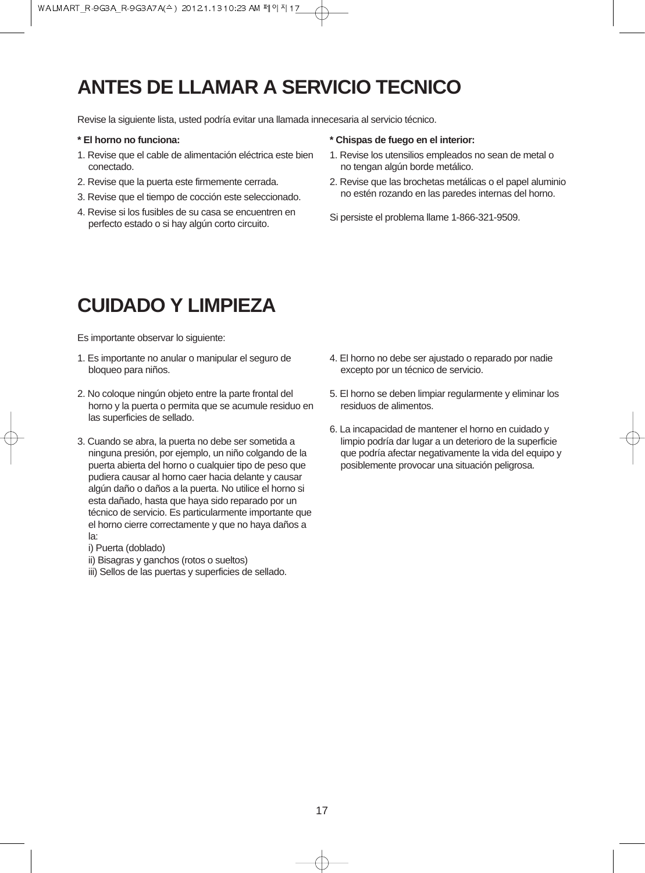## **ANTES DE LLAMAR A SERVICIO TECNICO**

Revise la siguiente lista, usted podría evitar una llamada innecesaria al servicio técnico.

#### **\* El horno no funciona:**

- 1. Revise que el cable de alimentación eléctrica este bien conectado.
- 2. Revise que la puerta este firmemente cerrada.
- 3. Revise que el tiempo de cocción este seleccionado.
- 4. Revise si los fusibles de su casa se encuentren en perfecto estado o si hay algún corto circuito.

#### **\* Chispas de fuego en el interior:**

- 1. Revise los utensilios empleados no sean de metal o no tengan algún borde metálico.
- 2. Revise que las brochetas metálicas o el papel aluminio no estén rozando en las paredes internas del horno.
- Si persiste el problema llame 1-866-321-9509.

## **CUIDADO Y LIMPIEZA**

Es importante observar lo siguiente:

- 1. Es importante no anular o manipular el seguro de bloqueo para niños.
- 2. No coloque ningún objeto entre la parte frontal del horno y la puerta o permita que se acumule residuo en las superficies de sellado.
- 3. Cuando se abra, la puerta no debe ser sometida a ninguna presión, por ejemplo, un niño colgando de la puerta abierta del horno o cualquier tipo de peso que pudiera causar al horno caer hacia delante y causar algún daño o daños a la puerta. No utilice el horno si esta dañado, hasta que haya sido reparado por un técnico de servicio. Es particularmente importante que el horno cierre correctamente y que no haya daños a la:
	- i) Puerta (doblado)
	- ii) Bisagras y ganchos (rotos o sueltos)
	- iii) Sellos de las puertas y superficies de sellado.
- 4. El horno no debe ser ajustado o reparado por nadie excepto por un técnico de servicio.
- 5. El horno se deben limpiar regularmente y eliminar los residuos de alimentos.
- 6. La incapacidad de mantener el horno en cuidado y limpio podría dar lugar a un deterioro de la superficie que podría afectar negativamente la vida del equipo y posiblemente provocar una situación peligrosa.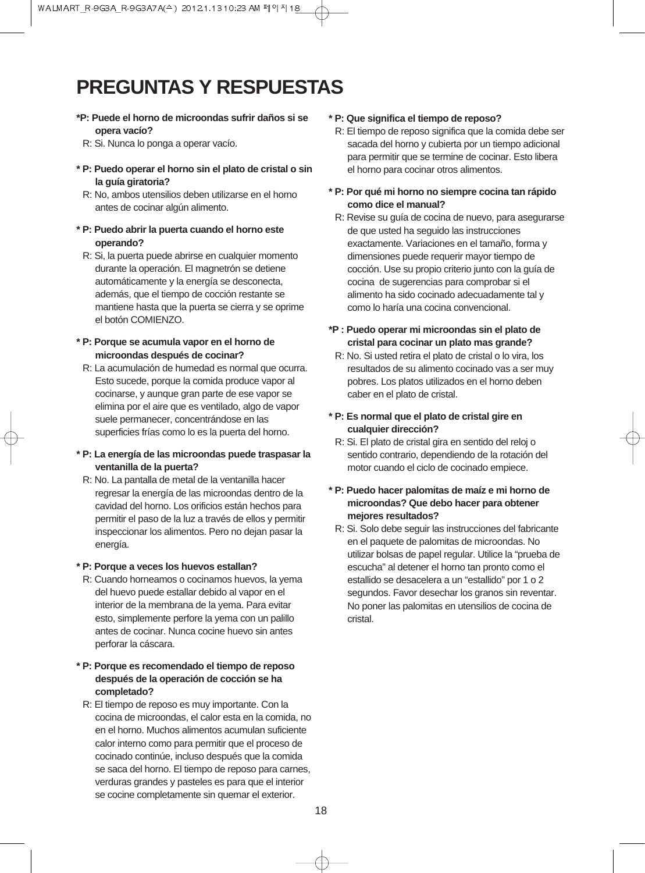## **PREGUNTAS Y RESPUESTAS**

- **\*P: Puede el horno de microondas sufrir daños si se opera vacío?**
- R: Si. Nunca lo ponga a operar vacío.
- **\* P: Puedo operar el horno sin el plato de cristal o sin la guía giratoria?**
- R: No, ambos utensilios deben utilizarse en el horno antes de cocinar algún alimento.
- **\* P: Puedo abrir la puerta cuando el horno este operando?**
	- R: Si, la puerta puede abrirse en cualquier momento durante la operación. El magnetrón se detiene automáticamente y la energía se desconecta, además, que el tiempo de cocción restante se mantiene hasta que la puerta se cierra y se oprime el botón COMIENZO.
- **\* P: Porque se acumula vapor en el horno de microondas después de cocinar?**
- R: La acumulación de humedad es normal que ocurra. Esto sucede, porque la comida produce vapor al cocinarse, y aunque gran parte de ese vapor se elimina por el aire que es ventilado, algo de vapor suele permanecer, concentrándose en las superficies frías como lo es la puerta del horno.
- **\* P: La energía de las microondas puede traspasar la ventanilla de la puerta?**
- R: No. La pantalla de metal de la ventanilla hacer regresar la energía de las microondas dentro de la cavidad del horno. Los orificios están hechos para permitir el paso de la luz a través de ellos y permitir inspeccionar los alimentos. Pero no dejan pasar la energía.

#### **\* P: Porque a veces los huevos estallan?**

- R: Cuando horneamos o cocinamos huevos, la yema del huevo puede estallar debido al vapor en el interior de la membrana de la yema. Para evitar esto, simplemente perfore la yema con un palillo antes de cocinar. Nunca cocine huevo sin antes perforar la cáscara.
- **\* P: Porque es recomendado el tiempo de reposo después de la operación de cocción se ha completado?**
	- R: El tiempo de reposo es muy importante. Con la cocina de microondas, el calor esta en la comida, no en el horno. Muchos alimentos acumulan suficiente calor interno como para permitir que el proceso de cocinado continúe, incluso después que la comida se saca del horno. El tiempo de reposo para carnes, verduras grandes y pasteles es para que el interior se cocine completamente sin quemar el exterior.

#### **\* P: Que significa el tiempo de reposo?**

- R: El tiempo de reposo significa que la comida debe ser sacada del horno y cubierta por un tiempo adicional para permitir que se termine de cocinar. Esto libera el horno para cocinar otros alimentos.
- **\* P: Por qué mi horno no siempre cocina tan rápido como dice el manual?**
- R: Revise su guía de cocina de nuevo, para asegurarse de que usted ha seguido las instrucciones exactamente. Variaciones en el tamaño, forma y dimensiones puede requerir mayor tiempo de cocción. Use su propio criterio junto con la guía de cocina de sugerencias para comprobar si el alimento ha sido cocinado adecuadamente tal y como lo haría una cocina convencional.
- **\*P : Puedo operar mi microondas sin el plato de cristal para cocinar un plato mas grande?**
- R: No. Si usted retira el plato de cristal o lo vira, los resultados de su alimento cocinado vas a ser muy pobres. Los platos utilizados en el horno deben caber en el plato de cristal.
- **\* P: Es normal que el plato de cristal gire en cualquier dirección?**
- R: Si. El plato de cristal gira en sentido del reloj o sentido contrario, dependiendo de la rotación del motor cuando el ciclo de cocinado empiece.
- **\* P: Puedo hacer palomitas de maíz e mi horno de microondas? Que debo hacer para obtener mejores resultados?**
	- R: Si. Solo debe seguir las instrucciones del fabricante en el paquete de palomitas de microondas. No utilizar bolsas de papel regular. Utilice la "prueba de escucha" al detener el horno tan pronto como el estallido se desacelera a un "estallido" por 1 o 2 segundos. Favor desechar los granos sin reventar. No poner las palomitas en utensilios de cocina de cristal.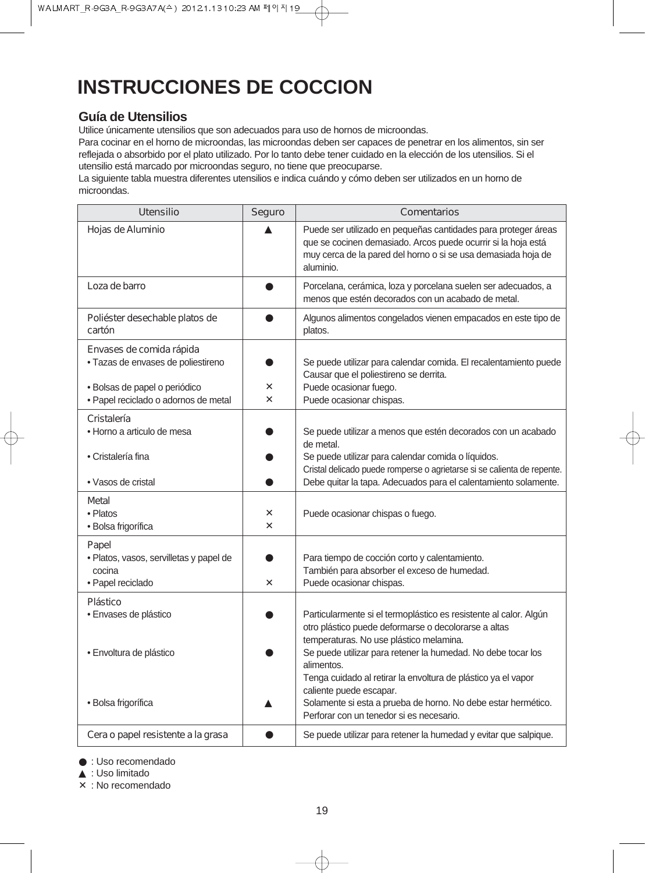## **INSTRUCCIONES DE COCCION**

#### **Guía de Utensilios**

Utilice únicamente utensilios que son adecuados para uso de hornos de microondas.

Para cocinar en el horno de microondas, las microondas deben ser capaces de penetrar en los alimentos, sin ser reflejada o absorbido por el plato utilizado. Por lo tanto debe tener cuidado en la elección de los utensilios. Si el utensilio está marcado por microondas seguro, no tiene que preocuparse.

La siguiente tabla muestra diferentes utensilios e indica cuándo y cómo deben ser utilizados en un horno de microondas.

| <b>Utensilio</b>                                                      | <b>Seguro</b>           | <b>Comentarios</b>                                                                                                                                                                                            |
|-----------------------------------------------------------------------|-------------------------|---------------------------------------------------------------------------------------------------------------------------------------------------------------------------------------------------------------|
| Hojas de Aluminio                                                     |                         | Puede ser utilizado en pequeñas cantidades para proteger áreas<br>que se cocinen demasiado. Arcos puede ocurrir si la hoja está<br>muy cerca de la pared del horno o si se usa demasiada hoja de<br>aluminio. |
| Loza de barro                                                         |                         | Porcelana, cerámica, loza y porcelana suelen ser adecuados, a<br>menos que estén decorados con un acabado de metal.                                                                                           |
| Poliéster desechable platos de<br>cartón                              |                         | Algunos alimentos congelados vienen empacados en este tipo de<br>platos.                                                                                                                                      |
| Envases de comida rápida                                              |                         |                                                                                                                                                                                                               |
| · Tazas de envases de poliestireno                                    | X                       | Se puede utilizar para calendar comida. El recalentamiento puede<br>Causar que el poliestireno se derrita.                                                                                                    |
| · Bolsas de papel o periódico<br>· Papel reciclado o adornos de metal | $\overline{\mathsf{x}}$ | Puede ocasionar fuego.<br>Puede ocasionar chispas.                                                                                                                                                            |
| Cristalería                                                           |                         |                                                                                                                                                                                                               |
| • Horno a articulo de mesa                                            |                         | Se puede utilizar a menos que estén decorados con un acabado<br>de metal.                                                                                                                                     |
| • Cristalería fina                                                    |                         | Se puede utilizar para calendar comida o líquidos.<br>Cristal delicado puede romperse o agrietarse si se calienta de repente.                                                                                 |
| • Vasos de cristal                                                    |                         | Debe quitar la tapa. Adecuados para el calentamiento solamente.                                                                                                                                               |
| <b>Metal</b>                                                          |                         |                                                                                                                                                                                                               |
| • Platos                                                              | X                       | Puede ocasionar chispas o fuego.                                                                                                                                                                              |
| · Bolsa frigorífica                                                   | X.                      |                                                                                                                                                                                                               |
| Papel                                                                 |                         |                                                                                                                                                                                                               |
| · Platos, vasos, servilletas y papel de                               |                         | Para tiempo de cocción corto y calentamiento.                                                                                                                                                                 |
| cocina                                                                |                         | También para absorber el exceso de humedad.                                                                                                                                                                   |
| · Papel reciclado                                                     | X                       | Puede ocasionar chispas.                                                                                                                                                                                      |
| <b>Plástico</b>                                                       |                         |                                                                                                                                                                                                               |
| · Envases de plástico                                                 |                         | Particularmente si el termoplástico es resistente al calor. Algún<br>otro plástico puede deformarse o decolorarse a altas<br>temperaturas. No use plástico melamina.                                          |
| · Envoltura de plástico                                               |                         | Se puede utilizar para retener la humedad. No debe tocar los<br>alimentos.                                                                                                                                    |
|                                                                       |                         | Tenga cuidado al retirar la envoltura de plástico ya el vapor<br>caliente puede escapar.                                                                                                                      |
| · Bolsa frigorífica                                                   |                         | Solamente si esta a prueba de horno. No debe estar hermético.<br>Perforar con un tenedor si es necesario.                                                                                                     |
| Cera o papel resistente a la grasa                                    |                         | Se puede utilizar para retener la humedad y evitar que salpique.                                                                                                                                              |

● : Uso recomendado

▲ : Uso limitado

✕ : No recomendado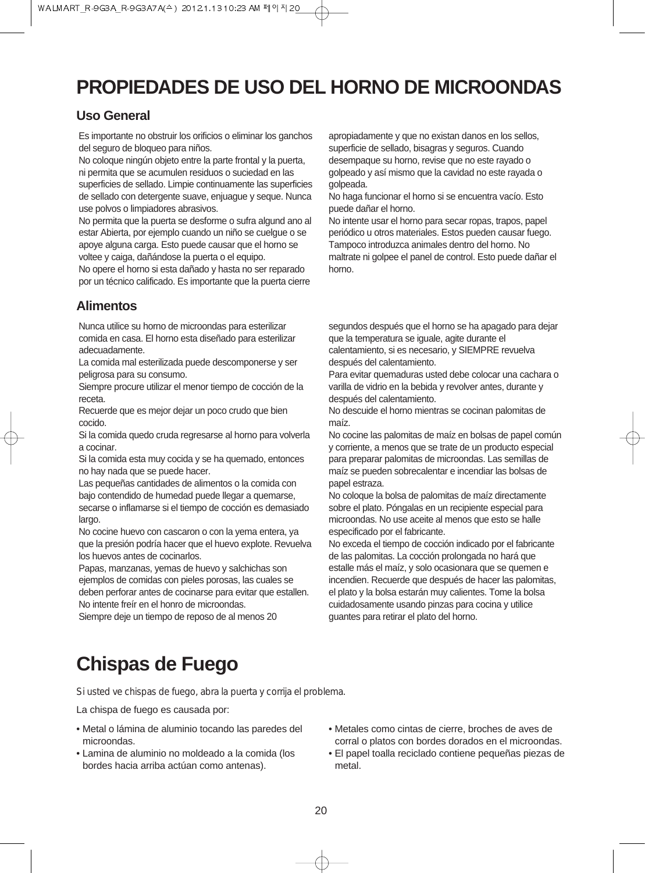## **PROPIEDADES DE USO DEL HORNO DE MICROONDAS**

#### **Uso General**

Es importante no obstruir los orificios o eliminar los ganchos del seguro de bloqueo para niños.

No coloque ningún objeto entre la parte frontal y la puerta, ni permita que se acumulen residuos o suciedad en las superficies de sellado. Limpie continuamente las superficies de sellado con detergente suave, enjuague y seque. Nunca use polvos o limpiadores abrasivos.

No permita que la puerta se desforme o sufra algund ano al estar Abierta, por ejemplo cuando un niño se cuelgue o se apoye alguna carga. Esto puede causar que el horno se voltee y caiga, dañándose la puerta o el equipo.

No opere el horno si esta dañado y hasta no ser reparado por un técnico calificado. Es importante que la puerta cierre

#### **Alimentos**

Nunca utilice su horno de microondas para esterilizar comida en casa. El horno esta diseñado para esterilizar adecuadamente.

La comida mal esterilizada puede descomponerse y ser peligrosa para su consumo.

Siempre procure utilizar el menor tiempo de cocción de la receta.

Recuerde que es mejor dejar un poco crudo que bien cocido.

Si la comida quedo cruda regresarse al horno para volverla a cocinar.

Si la comida esta muy cocida y se ha quemado, entonces no hay nada que se puede hacer.

Las pequeñas cantidades de alimentos o la comida con bajo contendido de humedad puede llegar a quemarse, secarse o inflamarse si el tiempo de cocción es demasiado largo.

No cocine huevo con cascaron o con la yema entera, ya que la presión podría hacer que el huevo explote. Revuelva los huevos antes de cocinarlos.

Papas, manzanas, yemas de huevo y salchichas son ejemplos de comidas con pieles porosas, las cuales se deben perforar antes de cocinarse para evitar que estallen. No intente freír en el honro de microondas.

Siempre deje un tiempo de reposo de al menos 20

apropiadamente y que no existan danos en los sellos, superficie de sellado, bisagras y seguros. Cuando desempaque su horno, revise que no este rayado o golpeado y así mismo que la cavidad no este rayada o golpeada.

No haga funcionar el horno si se encuentra vacío. Esto puede dañar el horno.

No intente usar el horno para secar ropas, trapos, papel periódico u otros materiales. Estos pueden causar fuego. Tampoco introduzca animales dentro del horno. No maltrate ni golpee el panel de control. Esto puede dañar el horno.

segundos después que el horno se ha apagado para dejar que la temperatura se iguale, agite durante el calentamiento, si es necesario, y SIEMPRE revuelva después del calentamiento.

Para evitar quemaduras usted debe colocar una cachara o varilla de vidrio en la bebida y revolver antes, durante y después del calentamiento.

No descuide el horno mientras se cocinan palomitas de maíz.

No cocine las palomitas de maíz en bolsas de papel común y corriente, a menos que se trate de un producto especial para preparar palomitas de microondas. Las semillas de maíz se pueden sobrecalentar e incendiar las bolsas de papel estraza.

No coloque la bolsa de palomitas de maíz directamente sobre el plato. Póngalas en un recipiente especial para microondas. No use aceite al menos que esto se halle especificado por el fabricante.

No exceda el tiempo de cocción indicado por el fabricante de las palomitas. La cocción prolongada no hará que estalle más el maíz, y solo ocasionara que se quemen e incendien. Recuerde que después de hacer las palomitas, el plato y la bolsa estarán muy calientes. Tome la bolsa cuidadosamente usando pinzas para cocina y utilice guantes para retirar el plato del horno.

## **Chispas de Fuego**

*Si usted ve chispas de fuego, abra la puerta y corrija el problema.*

La chispa de fuego es causada por:

- Metal o lámina de aluminio tocando las paredes del microondas.
- Lamina de aluminio no moldeado a la comida (los bordes hacia arriba actúan como antenas).
- Metales como cintas de cierre, broches de aves de corral o platos con bordes dorados en el microondas.
- El papel toalla reciclado contiene pequeñas piezas de metal.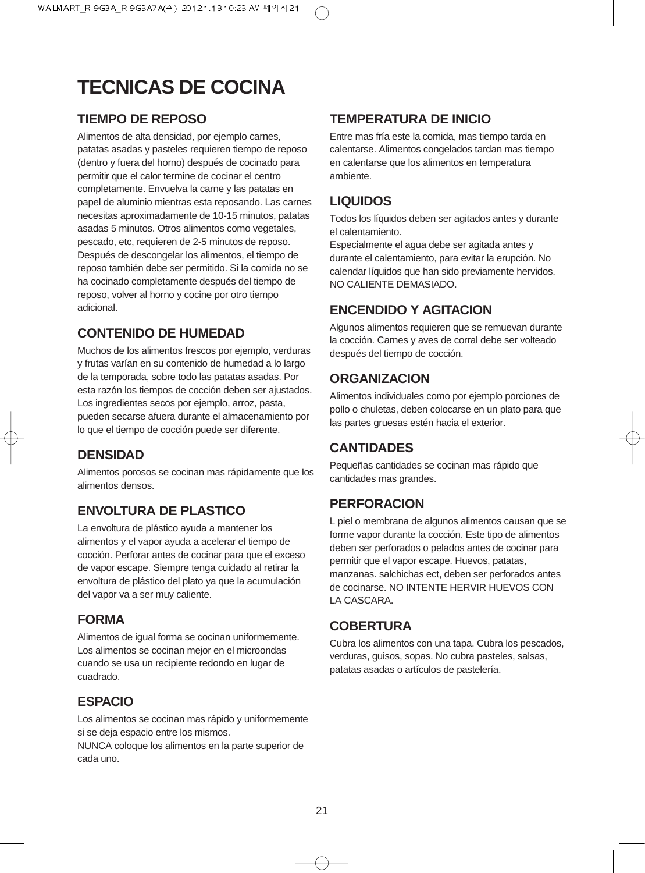## **TECNICAS DE COCINA**

### **TIEMPO DE REPOSO**

Alimentos de alta densidad, por ejemplo carnes, patatas asadas y pasteles requieren tiempo de reposo (dentro y fuera del horno) después de cocinado para permitir que el calor termine de cocinar el centro completamente. Envuelva la carne y las patatas en papel de aluminio mientras esta reposando. Las carnes necesitas aproximadamente de 10-15 minutos, patatas asadas 5 minutos. Otros alimentos como vegetales, pescado, etc, requieren de 2-5 minutos de reposo. Después de descongelar los alimentos, el tiempo de reposo también debe ser permitido. Si la comida no se ha cocinado completamente después del tiempo de reposo, volver al horno y cocine por otro tiempo adicional.

### **CONTENIDO DE HUMEDAD**

Muchos de los alimentos frescos por ejemplo, verduras y frutas varían en su contenido de humedad a lo largo de la temporada, sobre todo las patatas asadas. Por esta razón los tiempos de cocción deben ser ajustados. Los ingredientes secos por ejemplo, arroz, pasta, pueden secarse afuera durante el almacenamiento por lo que el tiempo de cocción puede ser diferente.

## **DENSIDAD**

Alimentos porosos se cocinan mas rápidamente que los alimentos densos.

## **ENVOLTURA DE PLASTICO**

La envoltura de plástico ayuda a mantener los alimentos y el vapor ayuda a acelerar el tiempo de cocción. Perforar antes de cocinar para que el exceso de vapor escape. Siempre tenga cuidado al retirar la envoltura de plástico del plato ya que la acumulación del vapor va a ser muy caliente.

### **FORMA**

Alimentos de igual forma se cocinan uniformemente. Los alimentos se cocinan mejor en el microondas cuando se usa un recipiente redondo en lugar de cuadrado.

### **ESPACIO**

Los alimentos se cocinan mas rápido y uniformemente si se deja espacio entre los mismos.

NUNCA coloque los alimentos en la parte superior de cada uno.

### **TEMPERATURA DE INICIO**

Entre mas fría este la comida, mas tiempo tarda en calentarse. Alimentos congelados tardan mas tiempo en calentarse que los alimentos en temperatura ambiente.

### **LIQUIDOS**

Todos los líquidos deben ser agitados antes y durante el calentamiento.

Especialmente el agua debe ser agitada antes y durante el calentamiento, para evitar la erupción. No calendar líquidos que han sido previamente hervidos. NO CALIENTE DEMASIADO.

## **ENCENDIDO Y AGITACION**

Algunos alimentos requieren que se remuevan durante la cocción. Carnes y aves de corral debe ser volteado después del tiempo de cocción.

### **ORGANIZACION**

Alimentos individuales como por ejemplo porciones de pollo o chuletas, deben colocarse en un plato para que las partes gruesas estén hacia el exterior.

### **CANTIDADES**

Pequeñas cantidades se cocinan mas rápido que cantidades mas grandes.

## **PERFORACION**

L piel o membrana de algunos alimentos causan que se forme vapor durante la cocción. Este tipo de alimentos deben ser perforados o pelados antes de cocinar para permitir que el vapor escape. Huevos, patatas, manzanas. salchichas ect, deben ser perforados antes de cocinarse. NO INTENTE HERVIR HUEVOS CON LA CASCARA.

### **COBERTURA**

Cubra los alimentos con una tapa. Cubra los pescados, verduras, guisos, sopas. No cubra pasteles, salsas, patatas asadas o artículos de pastelería.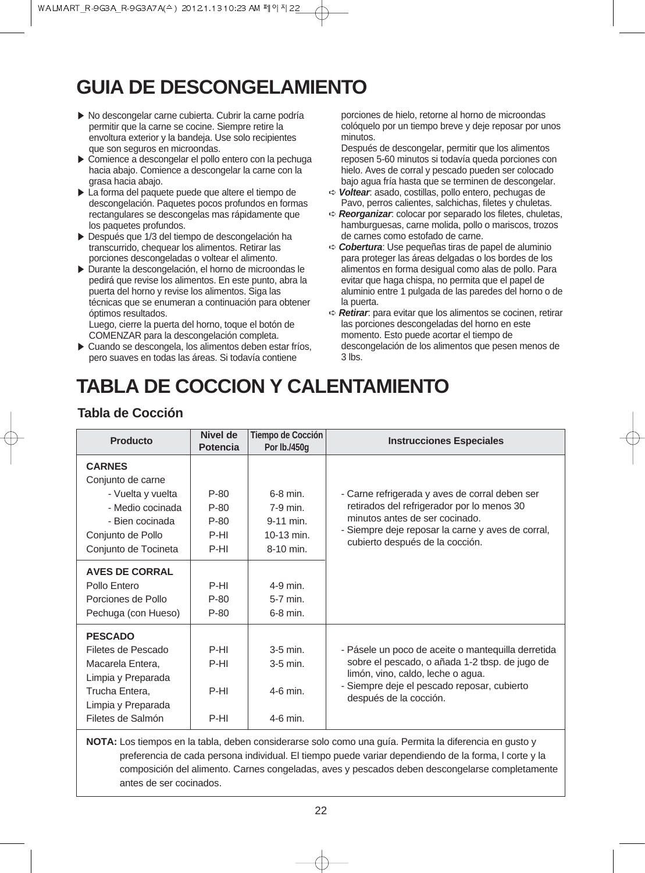## **GUIA DE DESCONGELAMIENTO**

- ▶ No descongelar carne cubierta. Cubrir la carne podría permitir que la carne se cocine. Siempre retire la envoltura exterior y la bandeja. Use solo recipientes que son seguros en microondas.
- ▶ Comience a descongelar el pollo entero con la pechuga hacia abajo. Comience a descongelar la carne con la grasa hacia abajo.
- ▶ La forma del paquete puede que altere el tiempo de descongelación. Paquetes pocos profundos en formas rectangulares se descongelas mas rápidamente que los paquetes profundos.
- ▶ Después que 1/3 del tiempo de descongelación ha transcurrido, chequear los alimentos. Retirar las porciones descongeladas o voltear el alimento.
- ▶ Durante la descongelación, el horno de microondas le pedirá que revise los alimentos. En este punto, abra la puerta del horno y revise los alimentos. Siga las técnicas que se enumeran a continuación para obtener óptimos resultados.

Luego, cierre la puerta del horno, toque el botón de COMENZAR para la descongelación completa.

▶ Cuando se descongela, los alimentos deben estar fríos. pero suaves en todas las áreas. Si todavía contiene

porciones de hielo, retorne al horno de microondas colóquelo por un tiempo breve y deje reposar por unos minutos.

Después de descongelar, permitir que los alimentos reposen 5-60 minutos si todavía queda porciones con hielo. Aves de corral y pescado pueden ser colocado bajo agua fría hasta que se terminen de descongelar.

- ➪ **Voltear**: asado, costillas, pollo entero, pechugas de Pavo, perros calientes, salchichas, filetes y chuletas.
- ➪ **Reorganizar**: colocar por separado los filetes, chuletas, hamburguesas, carne molida, pollo o mariscos, trozos de carnes como estofado de carne.
- ➪ **Cobertura**: Use pequeñas tiras de papel de aluminio para proteger las áreas delgadas o los bordes de los alimentos en forma desigual como alas de pollo. Para evitar que haga chispa, no permita que el papel de aluminio entre 1 pulgada de las paredes del horno o de la puerta.
- ➪ **Retirar**: para evitar que los alimentos se cocinen, retirar las porciones descongeladas del horno en este momento. Esto puede acortar el tiempo de descongelación de los alimentos que pesen menos de  $3$  lbs.

## **TABLA DE COCCION Y CALENTAMIENTO**

### **Tabla de Cocción**

| <b>Producto</b>                                                                                                                             | Nivel de<br><b>Potencia</b>              | <b>Tiempo de Cocción</b><br>Por lb./450q                           | <b>Instrucciones Especiales</b>                                                                                                                                                                                        |
|---------------------------------------------------------------------------------------------------------------------------------------------|------------------------------------------|--------------------------------------------------------------------|------------------------------------------------------------------------------------------------------------------------------------------------------------------------------------------------------------------------|
| <b>CARNES</b><br>Conjunto de carne<br>- Vuelta y vuelta<br>- Medio cocinada<br>- Bien cocinada<br>Conjunto de Pollo<br>Conjunto de Tocineta | $P-80$<br>P-80<br>$P-80$<br>P-HI<br>P-HI | $6-8$ min.<br>$7-9$ min.<br>9-11 min.<br>$10-13$ min.<br>8-10 min. | - Carne refrigerada y aves de corral deben ser<br>retirados del refrigerador por lo menos 30<br>minutos antes de ser cocinado.<br>- Siempre deje reposar la carne y aves de corral,<br>cubierto después de la cocción. |
| <b>AVES DE CORRAL</b><br>Pollo Entero<br>Porciones de Pollo<br>Pechuga (con Hueso)                                                          | P-HI<br>P-80<br>P-80                     | 4-9 min.<br>$5-7$ min.<br>$6-8$ min.                               |                                                                                                                                                                                                                        |
| <b>PESCADO</b><br>Filetes de Pescado<br>Macarela Entera,<br>Limpia y Preparada<br>Trucha Entera,<br>Limpia y Preparada<br>Filetes de Salmón | P-HI<br>P-HI<br>P-HI<br>P-HI             | $3-5$ min.<br>$3-5$ min.<br>$4-6$ min.<br>4-6 min.                 | - Pásele un poco de aceite o mantequilla derretida<br>sobre el pescado, o añada 1-2 tbsp. de jugo de<br>limón, vino, caldo, leche o agua.<br>- Siempre deje el pescado reposar, cubierto<br>después de la cocción.     |

**NOTA:** Los tiempos en la tabla, deben considerarse solo como una guía. Permita la diferencia en gusto y preferencia de cada persona individual. El tiempo puede variar dependiendo de la forma, l corte y la composición del alimento. Carnes congeladas, aves y pescados deben descongelarse completamente antes de ser cocinados.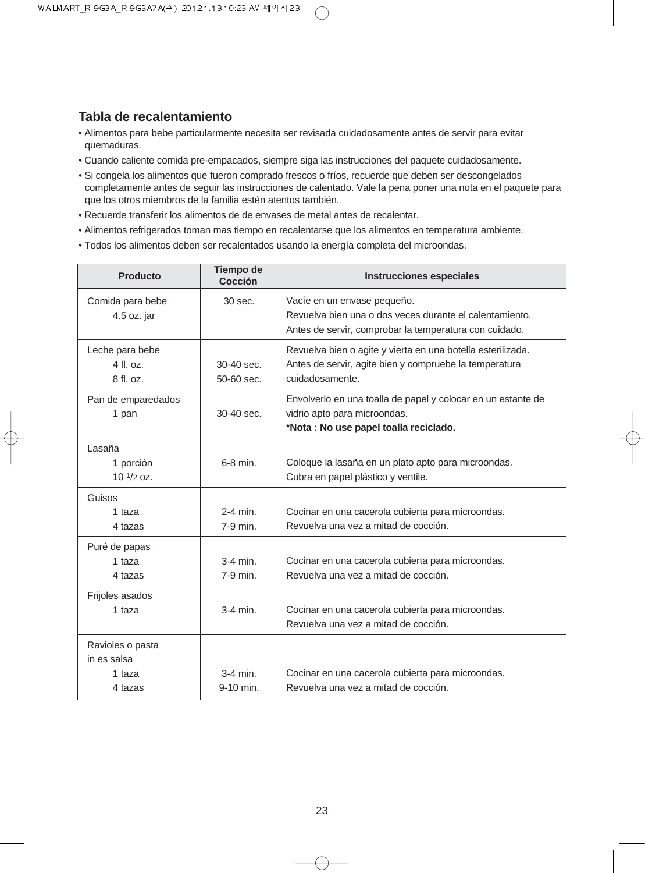#### **Tabla de recalentamiento**

- Alimentos para bebe particularmente necesita ser revisada cuidadosamente antes de servir para evitar quemaduras.
- Cuando caliente comida pre-empacados, siempre siga las instrucciones del paquete cuidadosamente.
- Si congela los alimentos que fueron comprado frescos o fríos, recuerde que deben ser descongelados completamente antes de seguir las instrucciones de calentado. Vale la pena poner una nota en el paquete para que los otros miembros de la familia estén atentos también.
- Recuerde transferir los alimentos de de envases de metal antes de recalentar.
- Alimentos refrigerados toman mas tiempo en recalentarse que los alimentos en temperatura ambiente.
- Todos los alimentos deben ser recalentados usando la energía completa del microondas.

| Producto                                             | <b>Tiempo de</b><br>Cocción | <b>Instrucciones especiales</b>                                                                                                                  |
|------------------------------------------------------|-----------------------------|--------------------------------------------------------------------------------------------------------------------------------------------------|
| Comida para bebe<br>4.5 oz. jar                      | 30 sec.                     | Vacíe en un envase pequeño.<br>Revuelva bien una o dos veces durante el calentamiento.<br>Antes de servir, comprobar la temperatura con cuidado. |
| Leche para bebe<br>4 fl. oz.<br>8 fl. oz.            | 30-40 sec.<br>50-60 sec.    | Revuelva bien o agite y vierta en una botella esterilizada.<br>Antes de servir, agite bien y compruebe la temperatura<br>cuidadosamente.         |
| Pan de emparedados<br>1 pan                          | 30-40 sec.                  | Envolverlo en una toalla de papel y colocar en un estante de<br>vidrio apto para microondas.<br>*Nota : No use papel toalla reciclado.           |
| Lasaña<br>1 porción<br>$101/2$ oz.                   | $6-8$ min.                  | Coloque la lasaña en un plato apto para microondas.<br>Cubra en papel plástico y ventile.                                                        |
| Guisos<br>1 taza<br>4 tazas                          | $2-4$ min.<br>7-9 min.      | Cocinar en una cacerola cubierta para microondas.<br>Revuelva una vez a mitad de cocción.                                                        |
| Puré de papas<br>1 taza<br>4 tazas                   | $3-4$ min.<br>7-9 min.      | Cocinar en una cacerola cubierta para microondas.<br>Revuelva una vez a mitad de cocción.                                                        |
| Frijoles asados<br>1 taza                            | $3-4$ min.                  | Cocinar en una cacerola cubierta para microondas.<br>Revuelva una vez a mitad de cocción.                                                        |
| Ravioles o pasta<br>in es salsa<br>1 taza<br>4 tazas | $3-4$ min.<br>9-10 min.     | Cocinar en una cacerola cubierta para microondas.<br>Revuelva una vez a mitad de cocción.                                                        |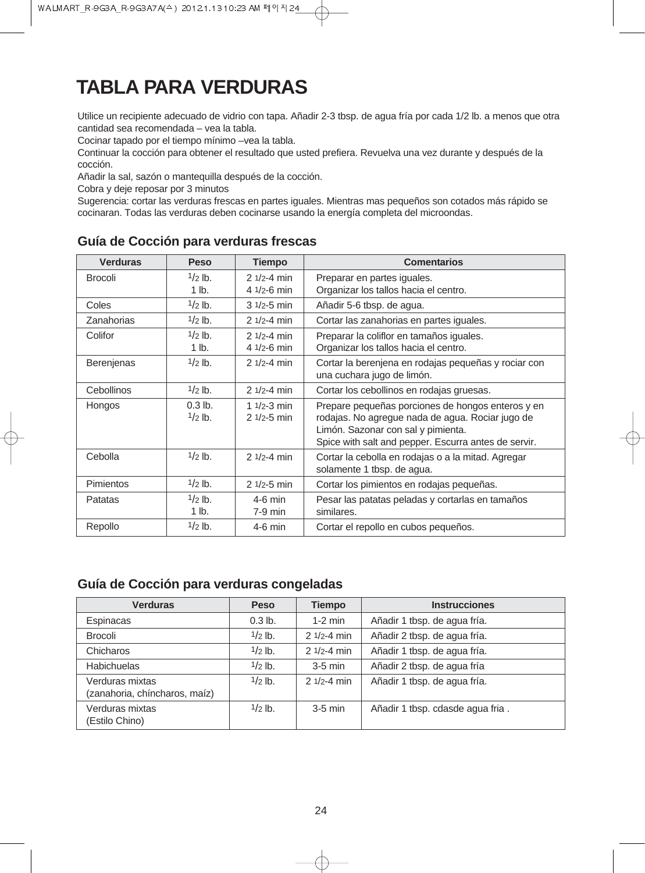## **TABLA PARA VERDURAS**

Utilice un recipiente adecuado de vidrio con tapa. Añadir 2-3 tbsp. de agua fría por cada 1/2 lb. a menos que otra cantidad sea recomendada – vea la tabla.

Cocinar tapado por el tiempo mínimo –vea la tabla.

Continuar la cocción para obtener el resultado que usted prefiera. Revuelva una vez durante y después de la cocción.

Añadir la sal, sazón o mantequilla después de la cocción.

Cobra y deje reposar por 3 minutos

Sugerencia: cortar las verduras frescas en partes iguales. Mientras mas pequeños son cotados más rápido se cocinaran. Todas las verduras deben cocinarse usando la energía completa del microondas.

| <b>Verduras</b>   | <b>Peso</b>            | <b>Tiempo</b>                     | <b>Comentarios</b>                                                                                                                                                                                  |  |  |
|-------------------|------------------------|-----------------------------------|-----------------------------------------------------------------------------------------------------------------------------------------------------------------------------------------------------|--|--|
| <b>Brocoli</b>    | $1/2$ lb.              | $21/2 - 4 min$                    | Preparar en partes iguales.                                                                                                                                                                         |  |  |
|                   | $1$ lb.                | 4 $1/2 - 6$ min                   | Organizar los tallos hacia el centro.                                                                                                                                                               |  |  |
| Coles             | $1/2$ lb.              | $31/2 - 5$ min                    | Añadir 5-6 tbsp. de agua.                                                                                                                                                                           |  |  |
| Zanahorias        | $1/2$ lb.              | $21/2 - 4 min$                    | Cortar las zanahorias en partes iguales.                                                                                                                                                            |  |  |
| Colifor           | $1/2$ lb.              | $21/2 - 4 min$                    | Preparar la coliflor en tamaños iguales.                                                                                                                                                            |  |  |
|                   | $1$ lb.                | 4 $1/2 - 6$ min                   | Organizar los tallos hacia el centro.                                                                                                                                                               |  |  |
| <b>Berenjenas</b> | $1/2$ lb.              | $21/2 - 4 min$                    | Cortar la berenjena en rodajas pequeñas y rociar con<br>una cuchara jugo de limón.                                                                                                                  |  |  |
| Cebollinos        | $1/2$ lb.              | $21/2 - 4 min$                    | Cortar los cebollinos en rodajas gruesas.                                                                                                                                                           |  |  |
| Hongos            | $0.3$ lb.<br>$1/2$ lb. | 1 $1/2 - 3$ min<br>$21/2 - 5$ min | Prepare pequeñas porciones de hongos enteros y en<br>rodajas. No agregue nada de agua. Rociar jugo de<br>Limón. Sazonar con sal y pimienta.<br>Spice with salt and pepper. Escurra antes de servir. |  |  |
| Cebolla           | $1/2$ lb.              | $21/2 - 4$ min                    | Cortar la cebolla en rodajas o a la mitad. Agregar<br>solamente 1 tbsp. de agua.                                                                                                                    |  |  |
| <b>Pimientos</b>  | $1/2$ lb.              | $21/2 - 5$ min                    | Cortar los pimientos en rodajas pequeñas.                                                                                                                                                           |  |  |
| Patatas           | $1/2$ lb.<br>1 lb.     | $4-6$ min<br>$7-9$ min            | Pesar las patatas peladas y cortarlas en tamaños<br>similares.                                                                                                                                      |  |  |
| Repollo           | $1/2$ lb.              | $4-6$ min                         | Cortar el repollo en cubos pequeños.                                                                                                                                                                |  |  |

#### **Guía de Cocción para verduras frescas**

#### **Guía de Cocción para verduras congeladas**

| <b>Verduras</b>                                  | <b>Peso</b> | <b>Tiempo</b>  | <b>Instrucciones</b>             |
|--------------------------------------------------|-------------|----------------|----------------------------------|
| Espinacas                                        | $0.3$ lb.   | $1-2$ min      | Añadir 1 tbsp. de agua fría.     |
| <b>Brocoli</b>                                   | $1/2$ lb.   | $21/2 - 4 min$ | Añadir 2 tbsp. de agua fría.     |
| Chicharos                                        | $1/2$ lb.   | $21/2 - 4$ min | Añadir 1 tbsp. de agua fría.     |
| <b>Habichuelas</b>                               | $1/2$ lb.   | $3-5$ min      | Añadir 2 tbsp. de agua fría      |
| Verduras mixtas<br>(zanahoria, chíncharos, maíz) | $1/2$ lb.   | $21/2 - 4 min$ | Añadir 1 tbsp. de agua fría.     |
| Verduras mixtas<br>(Estilo Chino)                | $1/2$ lb.   | $3-5$ min      | Añadir 1 tbsp. cdasde agua fria. |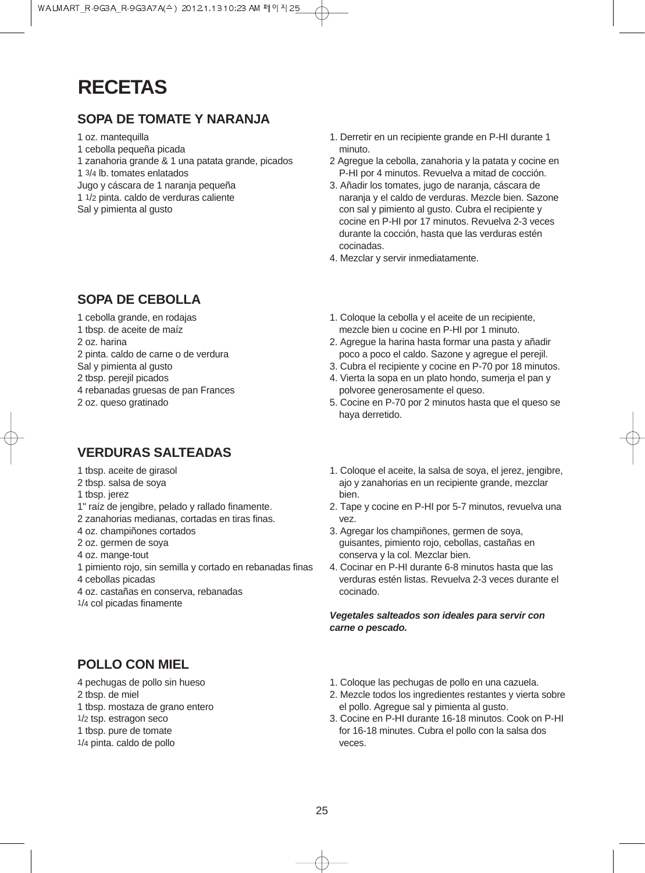## **RECETAS**

### **SOPA DE TOMATE Y NARANJA**

#### 1 oz. mantequilla

- 1 cebolla pequeña picada
- 1 zanahoria grande & 1 una patata grande, picados
- 1 3/4 lb. tomates enlatados
- Jugo y cáscara de 1 naranja pequeña
- 1 1/2 pinta. caldo de verduras caliente
- Sal y pimienta al gusto

### **SOPA DE CEBOLLA**

- 1 cebolla grande, en rodajas
- 1 tbsp. de aceite de maíz
- 2 oz. harina
- 2 pinta. caldo de carne o de verdura
- Sal y pimienta al gusto
- 2 tbsp. perejil picados
- 4 rebanadas gruesas de pan Frances
- 2 oz. queso gratinado

## **VERDURAS SALTEADAS**

- 1 tbsp. aceite de girasol
- 2 tbsp. salsa de soya
- 1 tbsp. jerez
- 1" raíz de jengibre, pelado y rallado finamente.
- 2 zanahorias medianas, cortadas en tiras finas.
- 4 oz. champiñones cortados
- 2 oz. germen de soya
- 4 oz. mange-tout
- 1 pimiento rojo, sin semilla y cortado en rebanadas finas 4 cebollas picadas
- 4 oz. castañas en conserva, rebanadas
- 1/4 col picadas finamente

## **POLLO CON MIEL**

- 4 pechugas de pollo sin hueso
- 2 tbsp. de miel
- 1 tbsp. mostaza de grano entero
- 1/2 tsp. estragon seco
- 1 tbsp. pure de tomate
- 1/4 pinta. caldo de pollo
- 1. Derretir en un recipiente grande en P-HI durante 1 minuto.
- 2 Agregue la cebolla, zanahoria y la patata y cocine en P-HI por 4 minutos. Revuelva a mitad de cocción.
- 3. Añadir los tomates, jugo de naranja, cáscara de naranja y el caldo de verduras. Mezcle bien. Sazone con sal y pimiento al gusto. Cubra el recipiente y cocine en P-HI por 17 minutos. Revuelva 2-3 veces durante la cocción, hasta que las verduras estén cocinadas.
- 4. Mezclar y servir inmediatamente.
- 1. Coloque la cebolla y el aceite de un recipiente, mezcle bien u cocine en P-HI por 1 minuto.
- 2. Agregue la harina hasta formar una pasta y añadir poco a poco el caldo. Sazone y agregue el perejil.
- 3. Cubra el recipiente y cocine en P-70 por 18 minutos.
- 4. Vierta la sopa en un plato hondo, sumerja el pan y polvoree generosamente el queso.
- 5. Cocine en P-70 por 2 minutos hasta que el queso se haya derretido.
- 1. Coloque el aceite, la salsa de soya, el jerez, jengibre, ajo y zanahorias en un recipiente grande, mezclar bien.
- 2. Tape y cocine en P-HI por 5-7 minutos, revuelva una vez.
- 3. Agregar los champiñones, germen de soya, guisantes, pimiento rojo, cebollas, castañas en conserva y la col. Mezclar bien.
- 4. Cocinar en P-HI durante 6-8 minutos hasta que las verduras estén listas. Revuelva 2-3 veces durante el cocinado.

**Vegetales salteados son ideales para servir con carne o pescado.** 

- 1. Coloque las pechugas de pollo en una cazuela.
- 2. Mezcle todos los ingredientes restantes y vierta sobre el pollo. Agregue sal y pimienta al gusto.
- 3. Cocine en P-HI durante 16-18 minutos. Cook on P-HI for 16-18 minutes. Cubra el pollo con la salsa dos veces.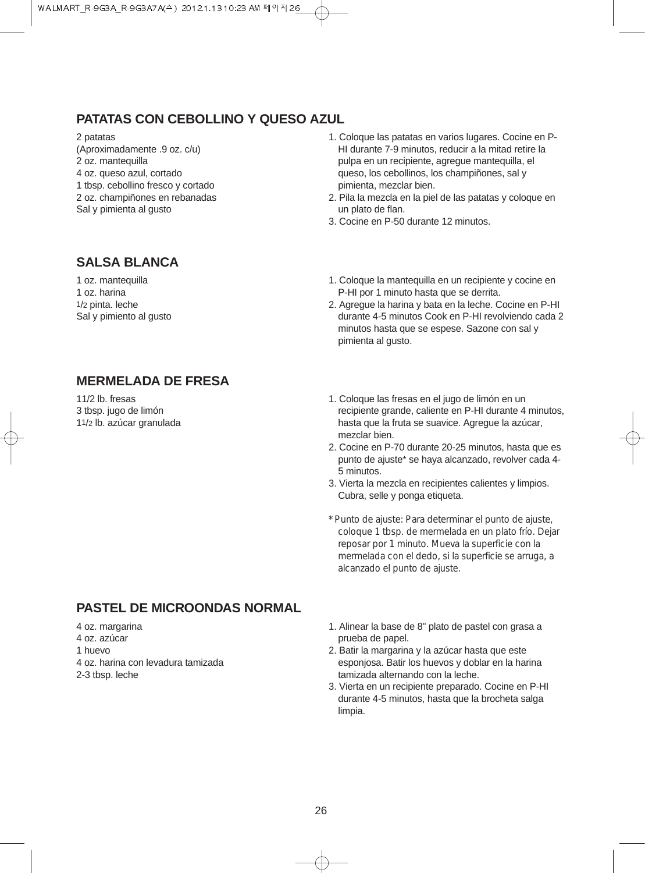### **PATATAS CON CEBOLLINO Y QUESO AZUL**

#### 2 patatas

(Aproximadamente .9 oz. c/u)

- 2 oz. mantequilla
- 4 oz. queso azul, cortado
- 1 tbsp. cebollino fresco y cortado 2 oz. champiñones en rebanadas
- Sal y pimienta al gusto
- 1. Coloque las patatas en varios lugares. Cocine en P-HI durante 7-9 minutos, reducir a la mitad retire la pulpa en un recipiente, agregue mantequilla, el queso, los cebollinos, los champiñones, sal y pimienta, mezclar bien.
- 2. Pila la mezcla en la piel de las patatas y coloque en un plato de flan.
- 3. Cocine en P-50 durante 12 minutos.

### **SALSA BLANCA**

1 oz. mantequilla 1 oz. harina 1/2 pinta. leche Sal y pimiento al gusto

- 1. Coloque la mantequilla en un recipiente y cocine en P-HI por 1 minuto hasta que se derrita.
- 2. Agregue la harina y bata en la leche. Cocine en P-HI durante 4-5 minutos Cook en P-HI revolviendo cada 2 minutos hasta que se espese. Sazone con sal y pimienta al gusto.

### **MERMELADA DE FRESA**

11/2 lb. fresas 3 tbsp. jugo de limón 11/2 lb. azúcar granulada

- 1. Coloque las fresas en el jugo de limón en un recipiente grande, caliente en P-HI durante 4 minutos, hasta que la fruta se suavice. Agregue la azúcar, mezclar bien.
- 2. Cocine en P-70 durante 20-25 minutos, hasta que es punto de ajuste\* se haya alcanzado, revolver cada 4- 5 minutos.
- 3. Vierta la mezcla en recipientes calientes y limpios. Cubra, selle y ponga etiqueta.
- *\* Punto de ajuste: Para determinar el punto de ajuste, coloque 1 tbsp. de mermelada en un plato frío. Dejar reposar por 1 minuto. Mueva la superficie con la mermelada con el dedo, si la superficie se arruga, a alcanzado el punto de ajuste.*

## **PASTEL DE MICROONDAS NORMAL**

4 oz. margarina 4 oz. azúcar

- 1 huevo
- 4 oz. harina con levadura tamizada
- 2-3 tbsp. leche
- 1. Alinear la base de 8" plato de pastel con grasa a prueba de papel.
- 2. Batir la margarina y la azúcar hasta que este esponjosa. Batir los huevos y doblar en la harina tamizada alternando con la leche.
- 3. Vierta en un recipiente preparado. Cocine en P-HI durante 4-5 minutos, hasta que la brocheta salga limpia.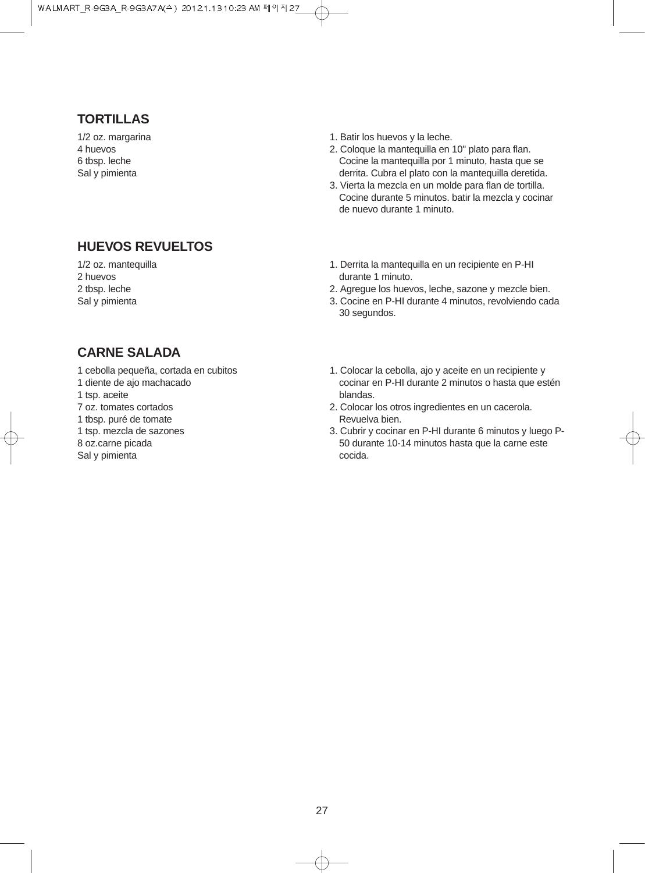### **TORTILLAS**

1/2 oz. margarina 4 huevos 6 tbsp. leche Sal y pimienta

### **HUEVOS REVUELTOS**

1/2 oz. mantequilla 2 huevos 2 tbsp. leche Sal y pimienta

- 1. Batir los huevos y la leche.
- 2. Coloque la mantequilla en 10" plato para flan. Cocine la mantequilla por 1 minuto, hasta que se derrita. Cubra el plato con la mantequilla deretida.
- 3. Vierta la mezcla en un molde para flan de tortilla. Cocine durante 5 minutos. batir la mezcla y cocinar de nuevo durante 1 minuto.
- 1. Derrita la mantequilla en un recipiente en P-HI durante 1 minuto.
- 2. Agregue los huevos, leche, sazone y mezcle bien.
- 3. Cocine en P-HI durante 4 minutos, revolviendo cada 30 segundos.

#### **CARNE SALADA**

- 1 cebolla pequeña, cortada en cubitos
- 1 diente de ajo machacado
- 1 tsp. aceite
- 7 oz. tomates cortados
- 1 tbsp. puré de tomate
- 1 tsp. mezcla de sazones
- 8 oz.carne picada
- Sal y pimienta
- 1. Colocar la cebolla, ajo y aceite en un recipiente y cocinar en P-HI durante 2 minutos o hasta que estén blandas.
- 2. Colocar los otros ingredientes en un cacerola. Revuelva bien.
- 3. Cubrir y cocinar en P-HI durante 6 minutos y luego P-50 durante 10-14 minutos hasta que la carne este cocida.